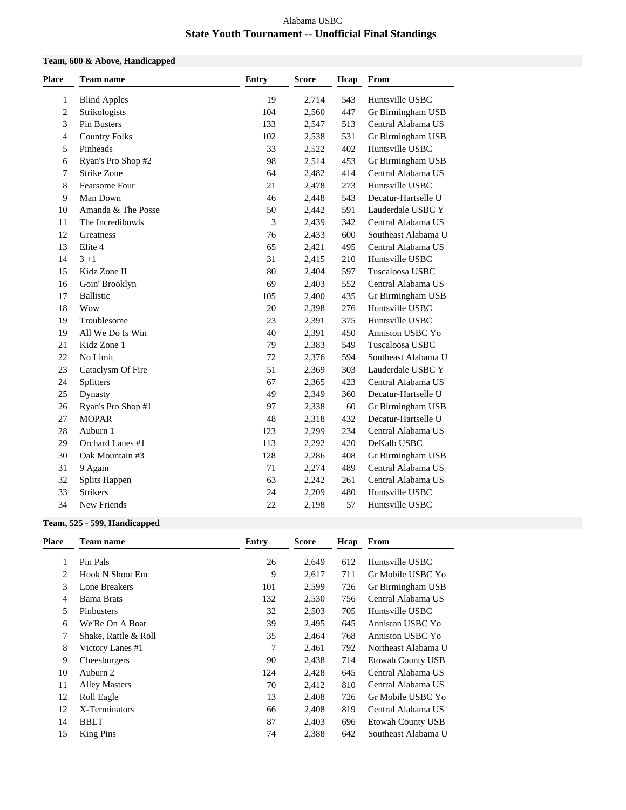### Alabama USBC **State Youth Tournament -- Unofficial Final Standings**

## **Team, 600 & Above, Handicapped**

| <b>Place</b>   | <b>Team name</b>     | <b>Entry</b>   | <b>Score</b> | Hcap | From                |
|----------------|----------------------|----------------|--------------|------|---------------------|
| 1              | <b>Blind Apples</b>  | 19             | 2,714        | 543  | Huntsville USBC     |
| $\overline{c}$ | Strikologists        | 104            | 2,560        | 447  | Gr Birmingham USB   |
| 3              | Pin Busters          | 133            | 2,547        | 513  | Central Alabama US  |
| 4              | <b>Country Folks</b> | 102            | 2,538        | 531  | Gr Birmingham USB   |
| 5              | Pinheads             | 33             | 2,522        | 402  | Huntsville USBC     |
| 6              | Ryan's Pro Shop #2   | 98             | 2,514        | 453  | Gr Birmingham USB   |
| 7              | Strike Zone          | 64             | 2,482        | 414  | Central Alabama US  |
| 8              | Fearsome Four        | 21             | 2,478        | 273  | Huntsville USBC     |
| 9              | Man Down             | 46             | 2,448        | 543  | Decatur-Hartselle U |
| 10             | Amanda & The Posse   | 50             | 2,442        | 591  | Lauderdale USBC Y   |
| 11             | The Incredibowls     | $\mathfrak{Z}$ | 2,439        | 342  | Central Alabama US  |
| 12             | Greatness            | 76             | 2,433        | 600  | Southeast Alabama U |
| 13             | Elite 4              | 65             | 2,421        | 495  | Central Alabama US  |
| 14             | $3 + 1$              | 31             | 2,415        | 210  | Huntsville USBC     |
| 15             | Kidz Zone II         | 80             | 2,404        | 597  | Tuscaloosa USBC     |
| 16             | Goin' Brooklyn       | 69             | 2,403        | 552  | Central Alabama US  |
| 17             | <b>Ballistic</b>     | 105            | 2,400        | 435  | Gr Birmingham USB   |
| 18             | Wow                  | 20             | 2,398        | 276  | Huntsville USBC     |
| 19             | Troublesome          | 23             | 2,391        | 375  | Huntsville USBC     |
| 19             | All We Do Is Win     | 40             | 2,391        | 450  | Anniston USBC Yo    |
| 21             | Kidz Zone 1          | 79             | 2,383        | 549  | Tuscaloosa USBC     |
| 22             | No Limit             | 72             | 2,376        | 594  | Southeast Alabama U |
| 23             | Cataclysm Of Fire    | 51             | 2,369        | 303  | Lauderdale USBC Y   |
| 24             | Splitters            | 67             | 2,365        | 423  | Central Alabama US  |
| 25             | Dynasty              | 49             | 2,349        | 360  | Decatur-Hartselle U |
| 26             | Ryan's Pro Shop #1   | 97             | 2,338        | 60   | Gr Birmingham USB   |
| 27             | <b>MOPAR</b>         | 48             | 2,318        | 432  | Decatur-Hartselle U |
| 28             | Auburn 1             | 123            | 2,299        | 234  | Central Alabama US  |
| 29             | Orchard Lanes #1     | 113            | 2,292        | 420  | DeKalb USBC         |
| 30             | Oak Mountain #3      | 128            | 2,286        | 408  | Gr Birmingham USB   |
| 31             | 9 Again              | 71             | 2,274        | 489  | Central Alabama US  |
| 32             | Splits Happen        | 63             | 2,242        | 261  | Central Alabama US  |
| 33             | <b>Strikers</b>      | 24             | 2,209        | 480  | Huntsville USBC     |
| 34             | New Friends          | 22             | 2,198        | 57   | Huntsville USBC     |
|                |                      |                |              |      |                     |

### **Team, 525 - 599, Handicapped**

| Place | <b>Team name</b>       | Entry | Score |     | Hcap From                |
|-------|------------------------|-------|-------|-----|--------------------------|
|       | Pin Pals               | 26    | 2.649 | 612 | Huntsville USBC          |
| 2     | <b>Hook N Shoot Em</b> | 9     | 2,617 | 711 | Gr Mobile USBC Yo        |
| 3     | Lone Breakers          | 101   | 2,599 | 726 | Gr Birmingham USB        |
| 4     | <b>Bama Brats</b>      | 132   | 2,530 | 756 | Central Alabama US       |
| 5     | Pinbusters             | 32    | 2,503 | 705 | Huntsville USBC          |
| 6     | We'Re On A Boat        | 39    | 2,495 | 645 | Anniston USBC Yo         |
|       | Shake, Rattle & Roll   | 35    | 2,464 | 768 | Anniston USBC Yo         |
| 8     | Victory Lanes #1       | 7     | 2,461 | 792 | Northeast Alabama U      |
| 9     | Cheesburgers           | 90    | 2,438 | 714 | <b>Etowah County USB</b> |
| 10    | Auburn 2               | 124   | 2,428 | 645 | Central Alabama US       |
| 11    | <b>Alley Masters</b>   | 70    | 2,412 | 810 | Central Alabama US       |
| 12    | Roll Eagle             | 13    | 2,408 | 726 | Gr Mobile USBC Yo        |
| 12    | X-Terminators          | 66    | 2,408 | 819 | Central Alabama US       |
| 14    | <b>BBLT</b>            | 87    | 2,403 | 696 | Etowah County USB        |
| 15    | <b>King Pins</b>       | 74    | 2,388 | 642 | Southeast Alabama U      |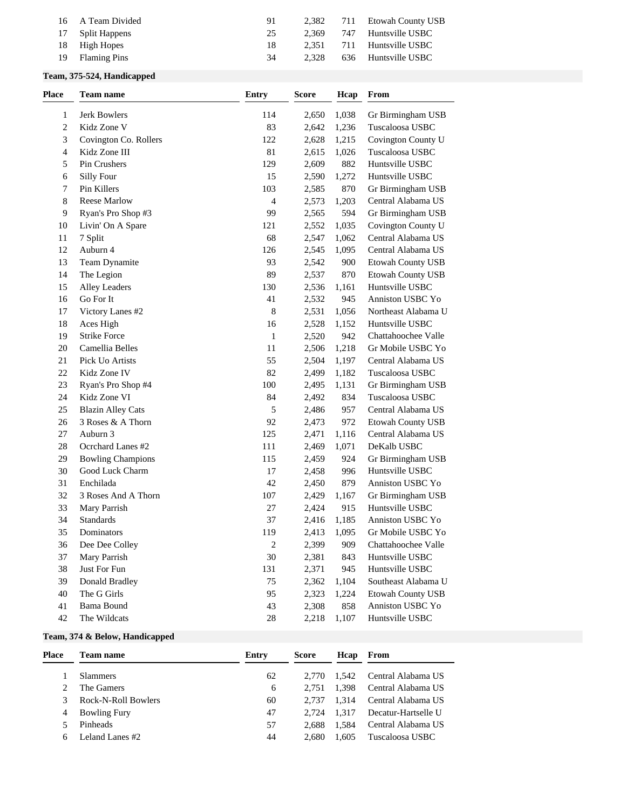| Huntsville USBC<br>17 Split Happens<br>747<br>2.369<br>25<br>Huntsville USBC<br>18 High Hopes<br>711<br>2.351<br>18<br>Huntsville USBC<br><b>Flaming Pins</b><br>2.328<br>636<br>-19<br>34 | 16 A Team Divided | 91 | 2.382 | 711 | Etowah County USB |
|--------------------------------------------------------------------------------------------------------------------------------------------------------------------------------------------|-------------------|----|-------|-----|-------------------|
|                                                                                                                                                                                            |                   |    |       |     |                   |
|                                                                                                                                                                                            |                   |    |       |     |                   |
|                                                                                                                                                                                            |                   |    |       |     |                   |

# **Team, 375-524, Handicapped**

| <b>Place</b> | <b>Team name</b>         | <b>Entry</b>   | <b>Score</b> | Hcap  | From                |
|--------------|--------------------------|----------------|--------------|-------|---------------------|
| 1            | Jerk Bowlers             | 114            | 2,650        | 1,038 | Gr Birmingham USB   |
| 2            | Kidz Zone V              | 83             | 2,642        | 1,236 | Tuscaloosa USBC     |
| 3            | Covington Co. Rollers    | 122            | 2,628        | 1,215 | Covington County U  |
| 4            | Kidz Zone III            | 81             | 2,615        | 1,026 | Tuscaloosa USBC     |
| 5            | Pin Crushers             | 129            | 2,609        | 882   | Huntsville USBC     |
| 6            | Silly Four               | 15             | 2,590        | 1,272 | Huntsville USBC     |
| 7            | Pin Killers              | 103            | 2,585        | 870   | Gr Birmingham USB   |
| 8            | <b>Reese Marlow</b>      | $\overline{4}$ | 2,573        | 1,203 | Central Alabama US  |
| 9            | Ryan's Pro Shop #3       | 99             | 2,565        | 594   | Gr Birmingham USB   |
| 10           | Livin' On A Spare        | 121            | 2,552        | 1,035 | Covington County U  |
| 11           | 7 Split                  | 68             | 2,547        | 1,062 | Central Alabama US  |
| 12           | Auburn 4                 | 126            | 2,545        | 1,095 | Central Alabama US  |
| 13           | Team Dynamite            | 93             | 2,542        | 900   | Etowah County USB   |
| 14           | The Legion               | 89             | 2,537        | 870   | Etowah County USB   |
| 15           | Alley Leaders            | 130            | 2,536        | 1,161 | Huntsville USBC     |
| 16           | Go For It                | 41             | 2,532        | 945   | Anniston USBC Yo    |
| 17           | Victory Lanes #2         | 8              | 2,531        | 1,056 | Northeast Alabama U |
| 18           | Aces High                | 16             | 2,528        | 1,152 | Huntsville USBC     |
| 19           | <b>Strike Force</b>      | $\mathbf{1}$   | 2,520        | 942   | Chattahoochee Valle |
| 20           | Camellia Belles          | 11             | 2,506        | 1,218 | Gr Mobile USBC Yo   |
| 21           | Pick Uo Artists          | 55             | 2,504        | 1,197 | Central Alabama US  |
| 22           | Kidz Zone IV             | 82             | 2,499        | 1,182 | Tuscaloosa USBC     |
| 23           | Ryan's Pro Shop #4       | 100            | 2,495        | 1,131 | Gr Birmingham USB   |
| 24           | Kidz Zone VI             | 84             | 2,492        | 834   | Tuscaloosa USBC     |
| 25           | <b>Blazin Alley Cats</b> | 5              | 2,486        | 957   | Central Alabama US  |
| 26           | 3 Roses & A Thorn        | 92             | 2,473        | 972   | Etowah County USB   |
| 27           | Auburn 3                 | 125            | 2,471        | 1,116 | Central Alabama US  |
| 28           | Ocrchard Lanes #2        | 111            | 2,469        | 1,071 | DeKalb USBC         |
| 29           | <b>Bowling Champions</b> | 115            | 2,459        | 924   | Gr Birmingham USB   |
| 30           | Good Luck Charm          | 17             | 2,458        | 996   | Huntsville USBC     |
| 31           | Enchilada                | 42             | 2,450        | 879   | Anniston USBC Yo    |
| 32           | 3 Roses And A Thorn      | 107            | 2,429        | 1,167 | Gr Birmingham USB   |
| 33           | Mary Parrish             | 27             | 2,424        | 915   | Huntsville USBC     |
| 34           | Standards                | 37             | 2,416        | 1,185 | Anniston USBC Yo    |
| 35           | Dominators               | 119            | 2,413        | 1,095 | Gr Mobile USBC Yo   |
| 36           | Dee Dee Colley           | $\sqrt{2}$     | 2,399        | 909   | Chattahoochee Valle |
| 37           | Mary Parrish             | $30\,$         | 2,381        | 843   | Huntsville USBC     |
| 38           | Just For Fun             | 131            | 2,371        | 945   | Huntsville USBC     |
| 39           | Donald Bradley           | 75             | 2,362        | 1,104 | Southeast Alabama U |
| 40           | The G Girls              | 95             | 2,323        | 1,224 | Etowah County USB   |
| 41           | <b>Bama Bound</b>        | 43             | 2,308        | 858   | Anniston USBC Yo    |
| 42           | The Wildcats             | $28\,$         | 2,218        | 1,107 | Huntsville USBC     |

### **Team, 374 & Below, Handicapped**

| Place | <b>Team name</b>    | Entry | <b>Score</b> | Hcap        | From                |
|-------|---------------------|-------|--------------|-------------|---------------------|
|       | Slammers            | 62    |              | 2.770 1.542 | Central Alabama US  |
|       | The Gamers          | 6     | 2.751        | 1.398       | Central Alabama US  |
|       | Rock-N-Roll Bowlers | 60    |              | 2.737 1.314 | Central Alabama US  |
| 4     | <b>Bowling Fury</b> | 47    | 2.724        | 1.317       | Decatur-Hartselle U |
|       | Pinheads            | 57    | 2.688        | 1.584       | Central Alabama US  |
| 6.    | Leland Lanes #2     | 44    | 2.680        | 1.605       | Tuscaloosa USBC     |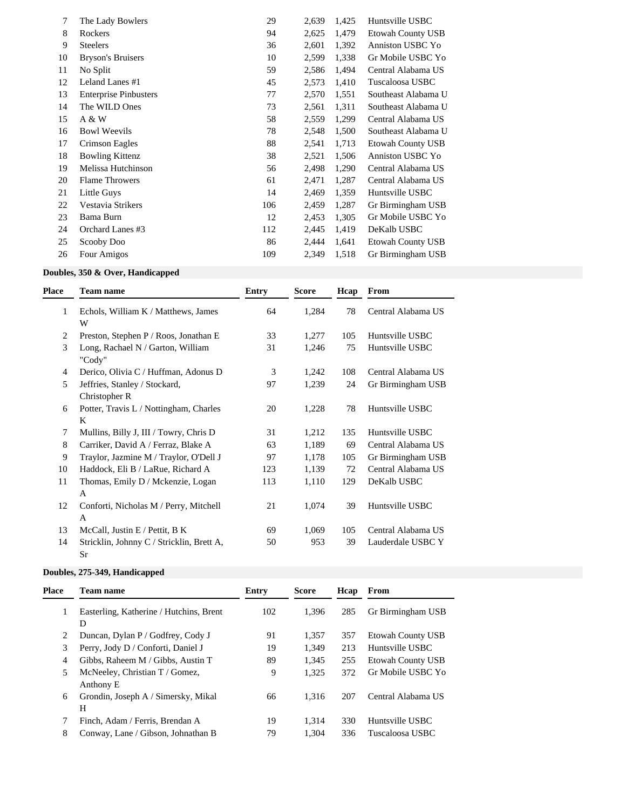| 7  | The Lady Bowlers             | 29  | 2,639 | 1,425 | Huntsville USBC          |
|----|------------------------------|-----|-------|-------|--------------------------|
| 8  | Rockers                      | 94  | 2,625 | 1,479 | <b>Etowah County USB</b> |
| 9  | <b>Steelers</b>              | 36  | 2,601 | 1,392 | Anniston USBC Yo         |
| 10 | <b>Bryson's Bruisers</b>     | 10  | 2,599 | 1,338 | Gr Mobile USBC Yo        |
| 11 | No Split                     | 59  | 2,586 | 1,494 | Central Alabama US       |
| 12 | Leland Lanes #1              | 45  | 2,573 | 1,410 | Tuscaloosa USBC          |
| 13 | <b>Enterprise Pinbusters</b> | 77  | 2,570 | 1,551 | Southeast Alabama U      |
| 14 | The WILD Ones                | 73  | 2,561 | 1,311 | Southeast Alabama U      |
| 15 | A & W                        | 58  | 2,559 | 1,299 | Central Alabama US       |
| 16 | <b>Bowl Weevils</b>          | 78  | 2,548 | 1,500 | Southeast Alabama U      |
| 17 | Crimson Eagles               | 88  | 2,541 | 1,713 | Etowah County USB        |
| 18 | <b>Bowling Kittenz</b>       | 38  | 2,521 | 1,506 | Anniston USBC Yo         |
| 19 | Melissa Hutchinson           | 56  | 2,498 | 1,290 | Central Alabama US       |
| 20 | <b>Flame Throwers</b>        | 61  | 2,471 | 1,287 | Central Alabama US       |
| 21 | Little Guys                  | 14  | 2,469 | 1,359 | Huntsville USBC          |
| 22 | Vestavia Strikers            | 106 | 2,459 | 1,287 | Gr Birmingham USB        |
| 23 | Bama Burn                    | 12  | 2,453 | 1,305 | Gr Mobile USBC Yo        |
| 24 | Orchard Lanes #3             | 112 | 2,445 | 1,419 | DeKalb USBC              |
| 25 | Scooby Doo                   | 86  | 2,444 | 1,641 | <b>Etowah County USB</b> |
| 26 | Four Amigos                  | 109 | 2,349 | 1,518 | Gr Birmingham USB        |

# **Doubles, 350 & Over, Handicapped**

| Place | <b>Team name</b>                                | <b>Entry</b> | <b>Score</b> | Hcap | From               |
|-------|-------------------------------------------------|--------------|--------------|------|--------------------|
| 1     | Echols, William K / Matthews, James<br>W        | 64           | 1,284        | 78   | Central Alabama US |
| 2     | Preston, Stephen P / Roos, Jonathan E           | 33           | 1,277        | 105  | Huntsville USBC    |
| 3     | Long, Rachael N / Garton, William<br>"Cody"     | 31           | 1,246        | 75   | Huntsville USBC    |
| 4     | Derico, Olivia C / Huffman, Adonus D            | 3            | 1,242        | 108  | Central Alabama US |
| 5     | Jeffries, Stanley / Stockard,<br>Christopher R  | 97           | 1,239        | 24   | Gr Birmingham USB  |
| 6     | Potter, Travis L / Nottingham, Charles<br>K     | 20           | 1,228        | 78   | Huntsville USBC    |
| 7     | Mullins, Billy J, III / Towry, Chris D          | 31           | 1,212        | 135  | Huntsville USBC    |
| 8     | Carriker, David A / Ferraz, Blake A             | 63           | 1,189        | 69   | Central Alabama US |
| 9     | Traylor, Jazmine M / Traylor, O'Dell J          | 97           | 1,178        | 105  | Gr Birmingham USB  |
| 10    | Haddock, Eli B / LaRue, Richard A               | 123          | 1,139        | 72   | Central Alabama US |
| 11    | Thomas, Emily D / Mckenzie, Logan<br>A          | 113          | 1,110        | 129  | DeKalb USBC        |
| 12    | Conforti, Nicholas M / Perry, Mitchell<br>A     | 21           | 1,074        | 39   | Huntsville USBC    |
| 13    | McCall, Justin E / Pettit, B K                  | 69           | 1,069        | 105  | Central Alabama US |
| 14    | Stricklin, Johnny C / Stricklin, Brett A,<br>Sr | 50           | 953          | 39   | Lauderdale USBC Y  |

# **Doubles, 275-349, Handicapped**

| <b>Place</b> | <b>Team name</b>                        | Entry | Score | Hcap | From                     |
|--------------|-----------------------------------------|-------|-------|------|--------------------------|
|              | Easterling, Katherine / Hutchins, Brent | 102   | 1.396 | 285  | Gr Birmingham USB        |
|              | D                                       |       |       |      |                          |
|              | Duncan, Dylan P / Godfrey, Cody J       | 91    | 1,357 | 357  | <b>Etowah County USB</b> |
| 3            | Perry, Jody D / Conforti, Daniel J      | 19    | 1.349 | 213  | Huntsville USBC          |
| 4            | Gibbs, Raheem M / Gibbs, Austin T       | 89    | 1,345 | 255  | <b>Etowah County USB</b> |
|              | McNeeley, Christian T / Gomez,          | 9     | 1,325 | 372  | Gr Mobile USBC Yo        |
|              | Anthony E                               |       |       |      |                          |
| 6            | Grondin, Joseph A / Simersky, Mikal     | 66    | 1.316 | 207  | Central Alabama US       |
|              | H                                       |       |       |      |                          |
|              | Finch, Adam / Ferris, Brendan A         | 19    | 1.314 | 330  | Huntsville USBC          |
| 8            | Conway, Lane / Gibson, Johnathan B      | 79    | 1.304 | 336  | Tuscaloosa USBC          |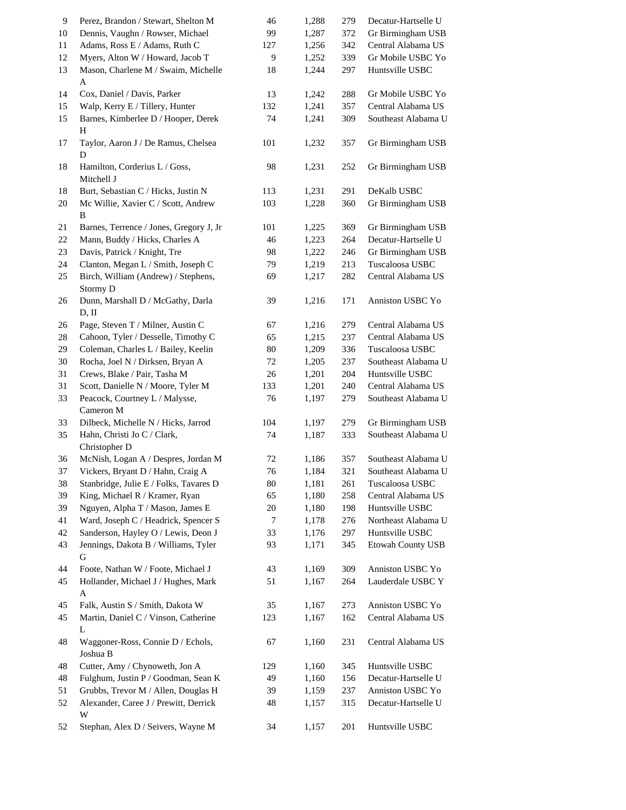| 9  | Perez, Brandon / Stewart, Shelton M        | 46     | 1,288 | 279 | Decatur-Hartselle U |
|----|--------------------------------------------|--------|-------|-----|---------------------|
| 10 | Dennis, Vaughn / Rowser, Michael           | 99     | 1,287 | 372 | Gr Birmingham USB   |
| 11 | Adams, Ross E / Adams, Ruth C              | 127    | 1,256 | 342 | Central Alabama US  |
| 12 | Myers, Alton W / Howard, Jacob T           | 9      | 1,252 | 339 | Gr Mobile USBC Yo   |
| 13 | Mason, Charlene M / Swaim, Michelle        | 18     | 1,244 | 297 | Huntsville USBC     |
|    | A                                          |        |       |     |                     |
| 14 | Cox, Daniel / Davis, Parker                | 13     | 1,242 | 288 | Gr Mobile USBC Yo   |
| 15 | Walp, Kerry E / Tillery, Hunter            | 132    | 1,241 | 357 | Central Alabama US  |
| 15 | Barnes, Kimberlee D / Hooper, Derek        | 74     | 1,241 | 309 | Southeast Alabama U |
|    | H                                          |        |       |     |                     |
| 17 | Taylor, Aaron J / De Ramus, Chelsea        | 101    | 1,232 | 357 | Gr Birmingham USB   |
|    | D                                          |        |       |     |                     |
| 18 | Hamilton, Corderius L / Goss,              | 98     | 1,231 | 252 | Gr Birmingham USB   |
|    | Mitchell J                                 |        |       |     |                     |
| 18 | Burt, Sebastian C / Hicks, Justin N        | 113    | 1,231 | 291 | DeKalb USBC         |
| 20 | Mc Willie, Xavier C / Scott, Andrew        | 103    | 1,228 | 360 | Gr Birmingham USB   |
|    | B                                          |        |       |     |                     |
| 21 | Barnes, Terrence / Jones, Gregory J, Jr    | 101    | 1,225 | 369 | Gr Birmingham USB   |
| 22 | Mann, Buddy / Hicks, Charles A             | 46     | 1,223 | 264 | Decatur-Hartselle U |
| 23 | Davis, Patrick / Knight, Tre               | 98     | 1,222 | 246 | Gr Birmingham USB   |
| 24 | Clanton, Megan L / Smith, Joseph C         | 79     | 1,219 | 213 | Tuscaloosa USBC     |
|    | Birch, William (Andrew) / Stephens,        | 69     | 1,217 | 282 | Central Alabama US  |
| 25 |                                            |        |       |     |                     |
|    | Stormy D                                   |        |       |     |                     |
| 26 | Dunn, Marshall D / McGathy, Darla<br>D, II | 39     | 1,216 | 171 | Anniston USBC Yo    |
|    |                                            |        |       |     |                     |
| 26 | Page, Steven T / Milner, Austin C          | 67     | 1,216 | 279 | Central Alabama US  |
| 28 | Cahoon, Tyler / Desselle, Timothy C        | 65     | 1,215 | 237 | Central Alabama US  |
| 29 | Coleman, Charles L / Bailey, Keelin        | 80     | 1,209 | 336 | Tuscaloosa USBC     |
| 30 | Rocha, Joel N / Dirksen, Bryan A           | 72     | 1,205 | 237 | Southeast Alabama U |
| 31 | Crews, Blake / Pair, Tasha M               | 26     | 1,201 | 204 | Huntsville USBC     |
| 31 | Scott, Danielle N / Moore, Tyler M         | 133    | 1,201 | 240 | Central Alabama US  |
| 33 | Peacock, Courtney L / Malysse,             | 76     | 1,197 | 279 | Southeast Alabama U |
|    | Cameron M                                  |        |       |     |                     |
| 33 | Dilbeck, Michelle N / Hicks, Jarrod        | 104    | 1,197 | 279 | Gr Birmingham USB   |
| 35 | Hahn, Christi Jo C / Clark,                | 74     | 1,187 | 333 | Southeast Alabama U |
|    | Christopher D                              |        |       |     |                     |
| 36 | McNish, Logan A / Despres, Jordan M        | 72     | 1,186 | 357 | Southeast Alabama U |
| 37 | Vickers, Bryant D / Hahn, Craig A          | 76     | 1,184 | 321 | Southeast Alabama U |
| 38 | Stanbridge, Julie E / Folks, Tavares D     | 80     | 1,181 | 261 | Tuscaloosa USBC     |
| 39 | King, Michael R / Kramer, Ryan             | 65     | 1,180 | 258 | Central Alabama US  |
| 39 | Nguyen, Alpha T / Mason, James E           | $20\,$ | 1,180 | 198 | Huntsville USBC     |
| 41 | Ward, Joseph C / Headrick, Spencer S       | 7      | 1,178 | 276 | Northeast Alabama U |
| 42 | Sanderson, Hayley O / Lewis, Deon J        | 33     | 1,176 | 297 | Huntsville USBC     |
| 43 | Jennings, Dakota B / Williams, Tyler       | 93     | 1,171 | 345 | Etowah County USB   |
|    | G                                          |        |       |     |                     |
| 44 | Foote, Nathan W / Foote, Michael J         | 43     | 1,169 | 309 | Anniston USBC Yo    |
| 45 | Hollander, Michael J / Hughes, Mark        | 51     | 1,167 | 264 | Lauderdale USBC Y   |
|    | A                                          |        |       |     |                     |
| 45 | Falk, Austin S / Smith, Dakota W           | 35     | 1,167 | 273 | Anniston USBC Yo    |
| 45 | Martin, Daniel C / Vinson, Catherine       | 123    | 1,167 | 162 | Central Alabama US  |
|    | L                                          |        |       |     |                     |
| 48 | Waggoner-Ross, Connie D / Echols,          | 67     |       | 231 | Central Alabama US  |
|    | Joshua B                                   |        | 1,160 |     |                     |
|    |                                            |        |       |     |                     |
| 48 | Cutter, Amy / Chynoweth, Jon A             | 129    | 1,160 | 345 | Huntsville USBC     |
| 48 | Fulghum, Justin P / Goodman, Sean K        | 49     | 1,160 | 156 | Decatur-Hartselle U |
| 51 | Grubbs, Trevor M / Allen, Douglas H        | 39     | 1,159 | 237 | Anniston USBC Yo    |
| 52 | Alexander, Caree J / Prewitt, Derrick      | 48     | 1,157 | 315 | Decatur-Hartselle U |
|    | W                                          |        |       |     |                     |
| 52 | Stephan, Alex D / Seivers, Wayne M         | 34     | 1,157 | 201 | Huntsville USBC     |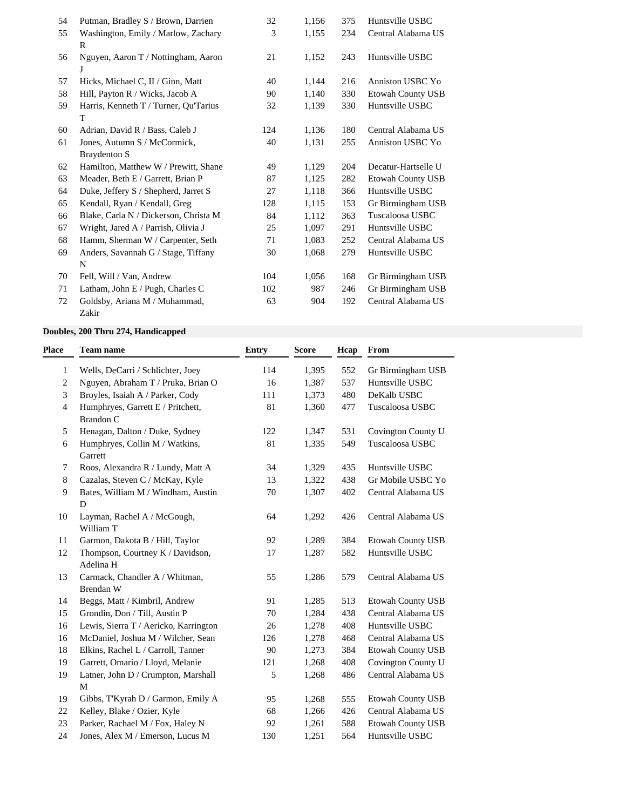| 54 | Putman, Bradley S / Brown, Darrien    | 32  | 1,156 | 375 | Huntsville USBC          |
|----|---------------------------------------|-----|-------|-----|--------------------------|
| 55 | Washington, Emily / Marlow, Zachary   | 3   | 1,155 | 234 | Central Alabama US       |
|    | R                                     |     |       |     |                          |
| 56 | Nguyen, Aaron T / Nottingham, Aaron   | 21  | 1,152 | 243 | Huntsville USBC          |
|    |                                       |     |       |     |                          |
| 57 | Hicks, Michael C, II / Ginn, Matt     | 40  | 1,144 | 216 | Anniston USBC Yo         |
| 58 | Hill, Payton R / Wicks, Jacob A       | 90  | 1,140 | 330 | <b>Etowah County USB</b> |
| 59 | Harris, Kenneth T / Turner, Qu'Tarius | 32  | 1,139 | 330 | Huntsville USBC          |
|    | T                                     |     |       |     |                          |
| 60 | Adrian, David R / Bass, Caleb J       | 124 | 1,136 | 180 | Central Alabama US       |
| 61 | Jones, Autumn S / McCormick,          | 40  | 1,131 | 255 | Anniston USBC Yo         |
|    | <b>Braydenton S</b>                   |     |       |     |                          |
| 62 | Hamilton, Matthew W / Prewitt, Shane  | 49  | 1,129 | 204 | Decatur-Hartselle U      |
| 63 | Meader, Beth E / Garrett, Brian P     | 87  | 1,125 | 282 | <b>Etowah County USB</b> |
| 64 | Duke, Jeffery S / Shepherd, Jarret S  | 27  | 1,118 | 366 | Huntsville USBC          |
| 65 | Kendall, Ryan / Kendall, Greg         | 128 | 1,115 | 153 | Gr Birmingham USB        |
| 66 | Blake, Carla N / Dickerson, Christa M | 84  | 1,112 | 363 | Tuscaloosa USBC          |
| 67 | Wright, Jared A / Parrish, Olivia J   | 25  | 1,097 | 291 | Huntsville USBC          |
| 68 | Hamm, Sherman W / Carpenter, Seth     | 71  | 1.083 | 252 | Central Alabama US       |
| 69 | Anders, Savannah G / Stage, Tiffany   | 30  | 1,068 | 279 | Huntsville USBC          |
|    | $\mathbf N$                           |     |       |     |                          |
| 70 | Fell, Will / Van, Andrew              | 104 | 1,056 | 168 | Gr Birmingham USB        |
| 71 | Latham, John E / Pugh, Charles C      | 102 | 987   | 246 | Gr Birmingham USB        |
| 72 | Goldsby, Ariana M / Muhammad,         | 63  | 904   | 192 | Central Alabama US       |
|    | Zakir                                 |     |       |     |                          |

## **Doubles, 200 Thru 274, Handicapped**

| Place | <b>Team name</b>                                      | <b>Entry</b> | <b>Score</b> | Hcap | From                     |
|-------|-------------------------------------------------------|--------------|--------------|------|--------------------------|
| 1     | Wells, DeCarri / Schlichter, Joey                     | 114          | 1,395        | 552  | Gr Birmingham USB        |
| 2     | Nguyen, Abraham T / Pruka, Brian O                    | 16           | 1,387        | 537  | Huntsville USBC          |
| 3     | Broyles, Isaiah A / Parker, Cody                      | 111          | 1,373        | 480  | DeKalb USBC              |
| 4     | Humphryes, Garrett E / Pritchett,<br><b>Brandon C</b> | 81           | 1,360        | 477  | Tuscaloosa USBC          |
| 5     | Henagan, Dalton / Duke, Sydney                        | 122          | 1,347        | 531  | Covington County U       |
| 6     | Humphryes, Collin M / Watkins,<br>Garrett             | 81           | 1,335        | 549  | Tuscaloosa USBC          |
| 7     | Roos, Alexandra R / Lundy, Matt A                     | 34           | 1,329        | 435  | Huntsville USBC          |
| 8     | Cazalas, Steven C / McKay, Kyle                       | 13           | 1,322        | 438  | Gr Mobile USBC Yo        |
| 9     | Bates, William M / Windham, Austin<br>D               | 70           | 1,307        | 402  | Central Alabama US       |
| 10    | Layman, Rachel A / McGough,<br>William T              | 64           | 1,292        | 426  | Central Alabama US       |
| 11    | Garmon, Dakota B / Hill, Taylor                       | 92           | 1,289        | 384  | <b>Etowah County USB</b> |
| 12    | Thompson, Courtney K / Davidson,<br>Adelina H         | 17           | 1,287        | 582  | Huntsville USBC          |
| 13    | Carmack, Chandler A / Whitman,<br>Brendan W           | 55           | 1,286        | 579  | Central Alabama US       |
| 14    | Beggs, Matt / Kimbril, Andrew                         | 91           | 1,285        | 513  | Etowah County USB        |
| 15    | Grondin, Don / Till, Austin P                         | 70           | 1,284        | 438  | Central Alabama US       |
| 16    | Lewis, Sierra T / Aericko, Karrington                 | 26           | 1,278        | 408  | Huntsville USBC          |
| 16    | McDaniel, Joshua M / Wilcher, Sean                    | 126          | 1,278        | 468  | Central Alabama US       |
| 18    | Elkins, Rachel L / Carroll, Tanner                    | 90           | 1,273        | 384  | Etowah County USB        |
| 19    | Garrett, Omario / Lloyd, Melanie                      | 121          | 1,268        | 408  | Covington County U       |
| 19    | Latner, John D / Crumpton, Marshall<br>M              | 5            | 1,268        | 486  | Central Alabama US       |
| 19    | Gibbs, T'Kyrah D / Garmon, Emily A                    | 95           | 1,268        | 555  | Etowah County USB        |
| 22    | Kelley, Blake / Ozier, Kyle                           | 68           | 1,266        | 426  | Central Alabama US       |
| 23    | Parker, Rachael M / Fox, Haley N                      | 92           | 1,261        | 588  | <b>Etowah County USB</b> |
| 24    | Jones, Alex M / Emerson, Lucus M                      | 130          | 1,251        | 564  | Huntsville USBC          |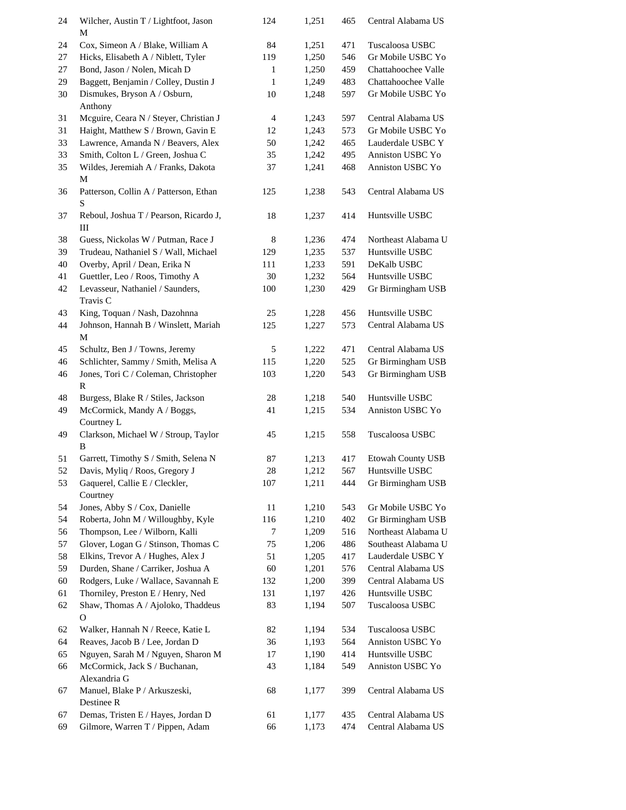| 24       | Wilcher, Austin T / Lightfoot, Jason                                     | 124          | 1,251          | 465        | Central Alabama US                     |
|----------|--------------------------------------------------------------------------|--------------|----------------|------------|----------------------------------------|
|          | М                                                                        |              |                |            |                                        |
| 24       | Cox, Simeon A / Blake, William A                                         | 84           | 1,251          | 471        | Tuscaloosa USBC                        |
| 27       | Hicks, Elisabeth A / Niblett, Tyler                                      | 119          | 1,250          | 546        | Gr Mobile USBC Yo                      |
| 27       | Bond, Jason / Nolen, Micah D                                             | 1            | 1,250          | 459        | Chattahoochee Valle                    |
| 29       | Baggett, Benjamin / Colley, Dustin J                                     | $\mathbf{1}$ | 1,249          | 483        | Chattahoochee Valle                    |
| 30       | Dismukes, Bryson A / Osburn,                                             | 10           | 1,248          | 597        | Gr Mobile USBC Yo                      |
|          | Anthony                                                                  |              |                |            |                                        |
| 31       | Mcguire, Ceara N / Steyer, Christian J                                   | 4            | 1,243          | 597        | Central Alabama US                     |
| 31       | Haight, Matthew S / Brown, Gavin E<br>Lawrence, Amanda N / Beavers, Alex | 12           | 1,243          | 573        | Gr Mobile USBC Yo<br>Lauderdale USBC Y |
| 33       |                                                                          | 50           | 1,242          | 465        |                                        |
| 33<br>35 | Smith, Colton L / Green, Joshua C<br>Wildes, Jeremiah A / Franks, Dakota | 35<br>37     | 1,242<br>1,241 | 495<br>468 | Anniston USBC Yo<br>Anniston USBC Yo   |
|          | M                                                                        |              |                |            |                                        |
| 36       | Patterson, Collin A / Patterson, Ethan                                   | 125          | 1,238          | 543        | Central Alabama US                     |
|          | S                                                                        |              |                |            |                                        |
| 37       | Reboul, Joshua T / Pearson, Ricardo J,                                   | 18           | 1,237          | 414        | Huntsville USBC                        |
|          | Ш                                                                        |              |                |            |                                        |
| 38       | Guess, Nickolas W / Putman, Race J                                       | 8            | 1,236          | 474        | Northeast Alabama U                    |
| 39       | Trudeau, Nathaniel S / Wall, Michael                                     | 129          | 1,235          | 537        | Huntsville USBC                        |
| 40       | Overby, April / Dean, Erika N                                            | 111          | 1,233          | 591        | DeKalb USBC                            |
| 41       | Guettler, Leo / Roos, Timothy A                                          | 30           | 1,232          | 564        | Huntsville USBC                        |
| 42       | Levasseur, Nathaniel / Saunders,                                         | 100          | 1,230          | 429        | Gr Birmingham USB                      |
|          | Travis C                                                                 |              |                |            |                                        |
| 43       | King, Toquan / Nash, Dazohnna                                            | 25           | 1,228          | 456        | Huntsville USBC                        |
| 44       | Johnson, Hannah B / Winslett, Mariah                                     | 125          | 1,227          | 573        | Central Alabama US                     |
|          | M                                                                        |              |                |            |                                        |
| 45       | Schultz, Ben J / Towns, Jeremy                                           | 5            | 1,222          | 471        | Central Alabama US                     |
| 46       | Schlichter, Sammy / Smith, Melisa A                                      | 115          | 1,220          | 525        | Gr Birmingham USB                      |
| 46       | Jones, Tori C / Coleman, Christopher                                     | 103          | 1,220          | 543        | Gr Birmingham USB                      |
|          | $\mathbb{R}$                                                             |              |                |            |                                        |
| 48       | Burgess, Blake R / Stiles, Jackson                                       | 28           | 1,218          | 540        | Huntsville USBC                        |
| 49       | McCormick, Mandy A / Boggs,                                              | 41           | 1,215          | 534        | Anniston USBC Yo                       |
|          | Courtney L                                                               |              |                |            |                                        |
| 49       | Clarkson, Michael W / Stroup, Taylor                                     | 45           | 1,215          | 558        | Tuscaloosa USBC                        |
|          | B                                                                        |              |                |            |                                        |
| 51       | Garrett, Timothy S / Smith, Selena N                                     | 87           | 1,213          | 417        | Etowah County USB                      |
| 52       | Davis, Myliq / Roos, Gregory J                                           | 28           | 1,212          | 567        | Huntsville USBC                        |
| 53       | Gaquerel, Callie E / Cleckler,                                           | 107          | 1,211          | 444        | Gr Birmingham USB                      |
|          | Courtney                                                                 |              |                |            |                                        |
| 54       | Jones, Abby S / Cox, Danielle                                            | 11           | 1,210          | 543        | Gr Mobile USBC Yo                      |
| 54       | Roberta, John M / Willoughby, Kyle                                       | 116          | 1,210          | 402        | Gr Birmingham USB                      |
| 56       | Thompson, Lee / Wilborn, Kalli                                           | 7            | 1,209          | 516        | Northeast Alabama U                    |
| 57       | Glover, Logan G / Stinson, Thomas C                                      | 75           | 1,206          | 486        | Southeast Alabama U                    |
| 58       | Elkins, Trevor A / Hughes, Alex J                                        | 51           | 1,205          | 417        | Lauderdale USBC Y                      |
| 59       | Durden, Shane / Carriker, Joshua A                                       | 60           | 1,201          | 576        | Central Alabama US                     |
| 60       | Rodgers, Luke / Wallace, Savannah E                                      | 132          | 1,200          | 399        | Central Alabama US                     |
| 61       | Thorniley, Preston E / Henry, Ned                                        | 131          | 1,197          | 426        | Huntsville USBC                        |
| 62       | Shaw, Thomas A / Ajoloko, Thaddeus                                       | 83           | 1,194          | 507        | Tuscaloosa USBC                        |
|          | $\mathbf O$                                                              |              |                |            |                                        |
| 62       | Walker, Hannah N / Reece, Katie L                                        | 82           | 1,194          | 534        | Tuscaloosa USBC                        |
| 64       | Reaves, Jacob B / Lee, Jordan D                                          | 36           | 1,193          | 564        | Anniston USBC Yo                       |
| 65       | Nguyen, Sarah M / Nguyen, Sharon M                                       | 17           | 1,190          | 414        | Huntsville USBC                        |
| 66       | McCormick, Jack S / Buchanan,                                            | 43           | 1,184          | 549        | Anniston USBC Yo                       |
|          | Alexandria G                                                             |              |                |            |                                        |
| 67       | Manuel, Blake P / Arkuszeski,                                            | 68           | 1,177          | 399        | Central Alabama US                     |
|          | Destinee R<br>Demas, Tristen E / Hayes, Jordan D                         |              |                |            | Central Alabama US                     |
| 67<br>69 | Gilmore, Warren T / Pippen, Adam                                         | 61<br>66     | 1,177<br>1,173 | 435<br>474 | Central Alabama US                     |
|          |                                                                          |              |                |            |                                        |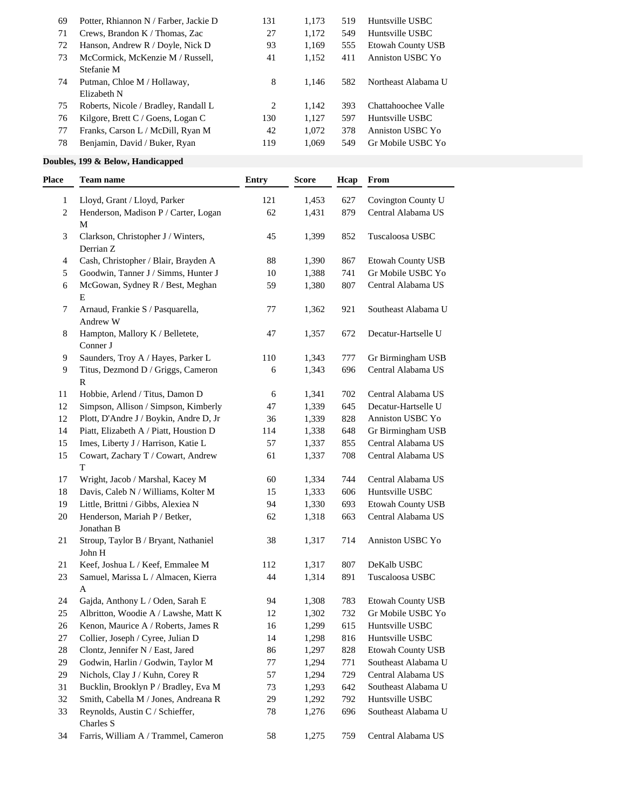| 69 | Potter, Rhiannon N / Farber, Jackie D | 131 | 1.173 | 519 | Huntsville USBC          |
|----|---------------------------------------|-----|-------|-----|--------------------------|
| 71 | Crews, Brandon K / Thomas, Zac        | 27  | 1.172 | 549 | Huntsville USBC          |
| 72 | Hanson, Andrew R / Doyle, Nick D      | 93  | 1.169 | 555 | <b>Etowah County USB</b> |
| 73 | McCormick, McKenzie M / Russell,      | 41  | 1,152 | 411 | Anniston USBC Yo         |
|    | Stefanie M                            |     |       |     |                          |
| 74 | Putman, Chloe M / Hollaway,           | 8   | 1.146 | 582 | Northeast Alabama U      |
|    | Elizabeth N                           |     |       |     |                          |
| 75 | Roberts, Nicole / Bradley, Randall L  | 2   | 1.142 | 393 | Chattahoochee Valle      |
| 76 | Kilgore, Brett C / Goens, Logan C     | 130 | 1.127 | 597 | Huntsville USBC          |
| 77 | Franks, Carson L / McDill, Ryan M     | 42  | 1,072 | 378 | Anniston USBC Yo         |
| 78 | Benjamin, David / Buker, Ryan         | 119 | 1.069 | 549 | Gr Mobile USBC Yo        |
|    |                                       |     |       |     |                          |

### **Doubles, 199 & Below, Handicapped**

| Place        | <b>Team name</b>                                                        | <b>Entry</b> | <b>Score</b> | Hcap | From                           |
|--------------|-------------------------------------------------------------------------|--------------|--------------|------|--------------------------------|
| $\mathbf{1}$ | Lloyd, Grant / Lloyd, Parker                                            | 121          | 1,453        | 627  | Covington County U             |
| 2            | Henderson, Madison P / Carter, Logan                                    | 62           | 1,431        | 879  | Central Alabama US             |
|              | M                                                                       |              |              |      |                                |
| 3            | Clarkson, Christopher J / Winters,                                      | 45           | 1,399        | 852  | Tuscaloosa USBC                |
|              | Derrian Z                                                               |              |              |      |                                |
| 4            | Cash, Christopher / Blair, Brayden A                                    | 88           | 1,390        | 867  | Etowah County USB              |
| 5            | Goodwin, Tanner J / Simms, Hunter J                                     | 10           | 1,388        | 741  | Gr Mobile USBC Yo              |
| 6            | McGowan, Sydney R / Best, Meghan                                        | 59           | 1,380        | 807  | Central Alabama US             |
|              | ${\bf E}$                                                               |              |              |      |                                |
| 7            | Arnaud, Frankie S / Pasquarella,                                        | 77           | 1,362        | 921  | Southeast Alabama U            |
|              | Andrew W                                                                |              |              |      |                                |
| 8            | Hampton, Mallory K / Belletete,                                         | 47           | 1,357        | 672  | Decatur-Hartselle U            |
|              | Conner J                                                                |              |              |      |                                |
| 9            | Saunders, Troy A / Hayes, Parker L                                      | 110          | 1,343        | 777  | Gr Birmingham USB              |
| 9            | Titus, Dezmond D / Griggs, Cameron                                      | 6            | 1,343        | 696  | Central Alabama US             |
|              | R                                                                       |              |              |      |                                |
| 11           | Hobbie, Arlend / Titus, Damon D                                         | 6            | 1,341        | 702  | Central Alabama US             |
| 12           | Simpson, Allison / Simpson, Kimberly                                    | 47           | 1,339        | 645  | Decatur-Hartselle U            |
| 12           | Plott, D'Andre J / Boykin, Andre D, Jr                                  | 36           | 1,339        | 828  | Anniston USBC Yo               |
| 14           | Piatt, Elizabeth A / Piatt, Houstion D                                  | 114          | 1,338        | 648  | Gr Birmingham USB              |
| 15           | Imes, Liberty J / Harrison, Katie L                                     | 57           | 1,337        | 855  | Central Alabama US             |
| 15           | Cowart, Zachary T / Cowart, Andrew                                      | 61           | 1,337        | 708  | Central Alabama US             |
|              | T                                                                       |              |              |      |                                |
| 17           | Wright, Jacob / Marshal, Kacey M                                        | 60           | 1,334        | 744  | Central Alabama US             |
| 18           | Davis, Caleb N / Williams, Kolter M                                     | 15           | 1,333        | 606  | Huntsville USBC                |
| 19           | Little, Brittni / Gibbs, Alexiea N                                      | 94           | 1,330        | 693  | Etowah County USB              |
| 20           | Henderson, Mariah P / Betker,                                           | 62           | 1,318        | 663  | Central Alabama US             |
|              | Jonathan B                                                              |              |              |      |                                |
| 21           | Stroup, Taylor B / Bryant, Nathaniel                                    | 38           | 1,317        | 714  | Anniston USBC Yo               |
|              | John H                                                                  |              |              |      |                                |
| 21           | Keef, Joshua L / Keef, Emmalee M<br>Samuel, Marissa L / Almacen, Kierra | 112          | 1,317        | 807  | DeKalb USBC<br>Tuscaloosa USBC |
| 23           | A                                                                       | 44           | 1,314        | 891  |                                |
| 24           | Gajda, Anthony L / Oden, Sarah E                                        | 94           | 1,308        | 783  | Etowah County USB              |
| 25           | Albritton, Woodie A / Lawshe, Matt K                                    | 12           | 1,302        | 732  | Gr Mobile USBC Yo              |
| 26           | Kenon, Maurice A / Roberts, James R                                     | 16           | 1,299        | 615  | Huntsville USBC                |
| 27           | Collier, Joseph / Cyree, Julian D                                       | 14           | 1,298        | 816  | Huntsville USBC                |
| 28           | Clontz, Jennifer N / East, Jared                                        | 86           | 1,297        | 828  | Etowah County USB              |
| 29           | Godwin, Harlin / Godwin, Taylor M                                       | $77 \,$      | 1,294        | 771  | Southeast Alabama U            |
| 29           | Nichols, Clay J / Kuhn, Corey R                                         | 57           | 1,294        | 729  | Central Alabama US             |
| 31           | Bucklin, Brooklyn P / Bradley, Eva M                                    | 73           | 1,293        | 642  | Southeast Alabama U            |
| 32           | Smith, Cabella M / Jones, Andreana R                                    | 29           | 1,292        | 792  | Huntsville USBC                |
| 33           | Reynolds, Austin C / Schieffer,                                         | $78\,$       | 1,276        | 696  | Southeast Alabama U            |
|              | Charles S                                                               |              |              |      |                                |
| 34           | Farris, William A / Trammel, Cameron                                    | 58           | 1,275        | 759  | Central Alabama US             |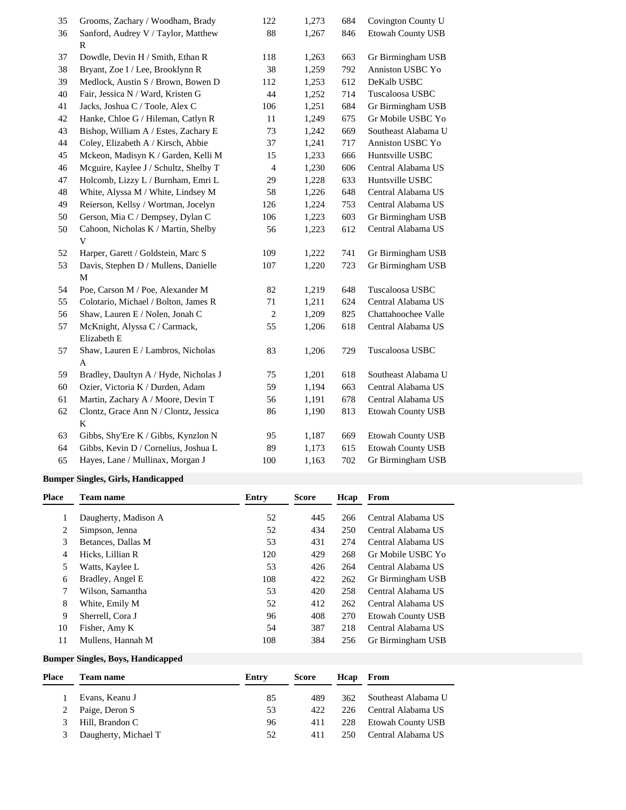| 35 | Grooms, Zachary / Woodham, Brady      | 122            | 1,273 | 684 | Covington County U  |
|----|---------------------------------------|----------------|-------|-----|---------------------|
| 36 | Sanford, Audrey V / Taylor, Matthew   | 88             | 1,267 | 846 | Etowah County USB   |
|    | R                                     |                |       |     |                     |
| 37 | Dowdle, Devin H / Smith, Ethan R      | 118            | 1,263 | 663 | Gr Birmingham USB   |
| 38 | Bryant, Zoe I / Lee, Brooklynn R      | 38             | 1,259 | 792 | Anniston USBC Yo    |
| 39 | Medlock, Austin S / Brown, Bowen D    | 112            | 1,253 | 612 | DeKalb USBC         |
| 40 | Fair, Jessica N / Ward, Kristen G     | 44             | 1,252 | 714 | Tuscaloosa USBC     |
| 41 | Jacks, Joshua C / Toole, Alex C       | 106            | 1,251 | 684 | Gr Birmingham USB   |
| 42 | Hanke, Chloe G / Hileman, Catlyn R    | 11             | 1,249 | 675 | Gr Mobile USBC Yo   |
| 43 | Bishop, William A / Estes, Zachary E  | 73             | 1,242 | 669 | Southeast Alabama U |
| 44 | Coley, Elizabeth A / Kirsch, Abbie    | 37             | 1,241 | 717 | Anniston USBC Yo    |
| 45 | Mckeon, Madisyn K / Garden, Kelli M   | 15             | 1,233 | 666 | Huntsville USBC     |
| 46 | Mcguire, Kaylee J / Schultz, Shelby T | 4              | 1,230 | 606 | Central Alabama US  |
| 47 | Holcomb, Lizzy L / Burnham, Emri L    | 29             | 1,228 | 633 | Huntsville USBC     |
| 48 | White, Alyssa M / White, Lindsey M    | 58             | 1,226 | 648 | Central Alabama US  |
| 49 | Reierson, Kellsy / Wortman, Jocelyn   | 126            | 1,224 | 753 | Central Alabama US  |
| 50 | Gerson, Mia C / Dempsey, Dylan C      | 106            | 1,223 | 603 | Gr Birmingham USB   |
| 50 | Cahoon, Nicholas K / Martin, Shelby   | 56             | 1,223 | 612 | Central Alabama US  |
|    | V                                     |                |       |     |                     |
| 52 | Harper, Garett / Goldstein, Marc S    | 109            | 1,222 | 741 | Gr Birmingham USB   |
| 53 | Davis, Stephen D / Mullens, Danielle  | 107            | 1,220 | 723 | Gr Birmingham USB   |
|    | M                                     |                |       |     |                     |
| 54 | Poe, Carson M / Poe, Alexander M      | 82             | 1,219 | 648 | Tuscaloosa USBC     |
| 55 | Colotario, Michael / Bolton, James R  | 71             | 1,211 | 624 | Central Alabama US  |
| 56 | Shaw, Lauren E / Nolen, Jonah C       | $\overline{c}$ | 1,209 | 825 | Chattahoochee Valle |
| 57 | McKnight, Alyssa C / Carmack,         | 55             | 1,206 | 618 | Central Alabama US  |
|    | Elizabeth E                           |                |       |     |                     |
| 57 | Shaw, Lauren E / Lambros, Nicholas    | 83             | 1,206 | 729 | Tuscaloosa USBC     |
|    | A                                     |                |       |     |                     |
| 59 | Bradley, Daultyn A / Hyde, Nicholas J | 75             | 1,201 | 618 | Southeast Alabama U |
| 60 | Ozier, Victoria K / Durden, Adam      | 59             | 1,194 | 663 | Central Alabama US  |
| 61 | Martin, Zachary A / Moore, Devin T    | 56             | 1,191 | 678 | Central Alabama US  |
| 62 | Clontz, Grace Ann N / Clontz, Jessica | 86             | 1,190 | 813 | Etowah County USB   |
|    | K                                     |                |       |     |                     |
| 63 | Gibbs, Shy'Ere K / Gibbs, Kynzlon N   | 95             | 1,187 | 669 | Etowah County USB   |
| 64 | Gibbs, Kevin D / Cornelius, Joshua L  | 89             | 1,173 | 615 | Etowah County USB   |
| 65 | Hayes, Lane / Mullinax, Morgan J      | 100            | 1,163 | 702 | Gr Birmingham USB   |

### **Bumper Singles, Girls, Handicapped**

| <b>Place</b> | <b>Team name</b>     | Entry | <b>Score</b> | Hcap | From                     |
|--------------|----------------------|-------|--------------|------|--------------------------|
|              | Daugherty, Madison A | 52    | 445          | 266  | Central Alabama US       |
| 2            | Simpson, Jenna       | 52    | 434          | 250  | Central Alabama US       |
| 3            | Betances, Dallas M   | 53    | 431          | 274  | Central Alabama US       |
| 4            | Hicks, Lillian R     | 120   | 429          | 268  | Gr Mobile USBC Yo        |
| 5            | Watts, Kaylee L      | 53    | 426          | 264  | Central Alabama US       |
| 6            | Bradley, Angel E     | 108   | 422          | 262  | Gr Birmingham USB        |
|              | Wilson, Samantha     | 53    | 420          | 258  | Central Alabama US       |
| 8            | White, Emily M       | 52    | 412          | 262  | Central Alabama US       |
| 9            | Sherrell, Cora J     | 96    | 408          | 270  | <b>Etowah County USB</b> |
| 10           | Fisher, Amy K        | 54    | 387          | 218  | Central Alabama US       |
| 11           | Mullens, Hannah M    | 108   | 384          | 256  | Gr Birmingham USB        |

## **Bumper Singles, Boys, Handicapped**

| Place | Team name            | Entry | Score |      | Heap From               |
|-------|----------------------|-------|-------|------|-------------------------|
|       | Evans, Keanu J       | 85    | 489   |      | 362 Southeast Alabama U |
|       | Paige, Deron S       | 53    | 422   | 226  | Central Alabama US      |
|       | Hill, Brandon C      | 96    | 411   | 228  | Etowah County USB       |
|       | Daugherty, Michael T | 52    | 411   | 250. | Central Alabama US      |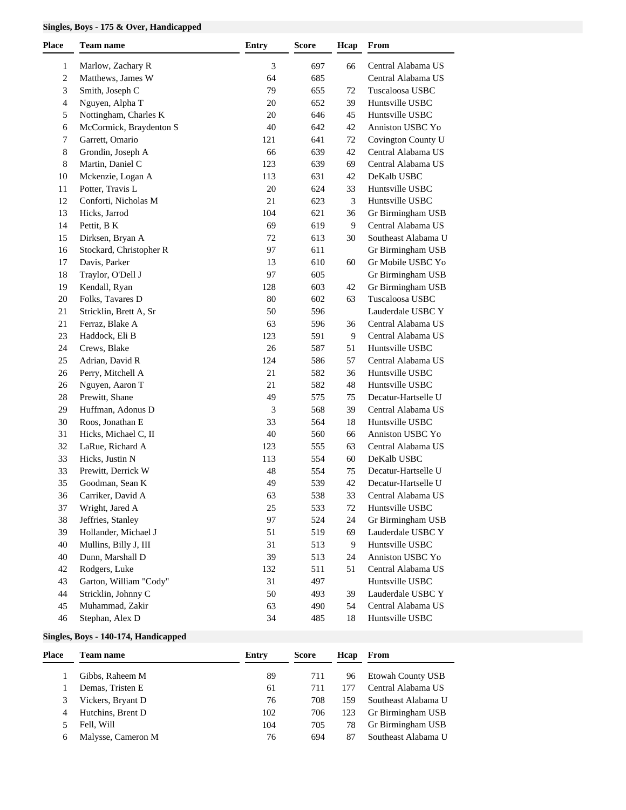### **Singles, Boys - 175 & Over, Handicapped**

| Place        | <b>Team name</b>        | <b>Entry</b> | <b>Score</b> | Hcap | From                |
|--------------|-------------------------|--------------|--------------|------|---------------------|
| $\mathbf{1}$ | Marlow, Zachary R       | 3            | 697          | 66   | Central Alabama US  |
| 2            | Matthews, James W       | 64           | 685          |      | Central Alabama US  |
| 3            | Smith, Joseph C         | 79           | 655          | 72   | Tuscaloosa USBC     |
| 4            | Nguyen, Alpha T         | 20           | 652          | 39   | Huntsville USBC     |
| 5            | Nottingham, Charles K   | 20           | 646          | 45   | Huntsville USBC     |
| 6            | McCormick, Braydenton S | 40           | 642          | 42   | Anniston USBC Yo    |
| 7            | Garrett, Omario         | 121          | 641          | 72   | Covington County U  |
| 8            | Grondin, Joseph A       | 66           | 639          | 42   | Central Alabama US  |
| 8            | Martin, Daniel C        | 123          | 639          | 69   | Central Alabama US  |
| 10           | Mckenzie, Logan A       | 113          | 631          | 42   | DeKalb USBC         |
| 11           | Potter, Travis L        | 20           | 624          | 33   | Huntsville USBC     |
| 12           | Conforti, Nicholas M    | 21           | 623          | 3    | Huntsville USBC     |
| 13           | Hicks, Jarrod           | 104          | 621          | 36   | Gr Birmingham USB   |
| 14           | Pettit, B K             | 69           | 619          | 9    | Central Alabama US  |
| 15           | Dirksen, Bryan A        | 72           | 613          | 30   | Southeast Alabama U |
| 16           | Stockard, Christopher R | 97           | 611          |      | Gr Birmingham USB   |
| 17           | Davis, Parker           | 13           | 610          | 60   | Gr Mobile USBC Yo   |
| 18           | Traylor, O'Dell J       | 97           | 605          |      | Gr Birmingham USB   |
| 19           | Kendall, Ryan           | 128          | 603          | 42   | Gr Birmingham USB   |
| 20           | Folks, Tavares D        | 80           | 602          | 63   | Tuscaloosa USBC     |
| 21           | Stricklin, Brett A, Sr  | 50           | 596          |      | Lauderdale USBC Y   |
| 21           | Ferraz, Blake A         | 63           | 596          | 36   | Central Alabama US  |
| 23           | Haddock, Eli B          | 123          | 591          | 9    | Central Alabama US  |
| 24           | Crews, Blake            | 26           | 587          | 51   | Huntsville USBC     |
| 25           | Adrian, David R         | 124          | 586          | 57   | Central Alabama US  |
| 26           | Perry, Mitchell A       | $21\,$       | 582          | 36   | Huntsville USBC     |
| 26           | Nguyen, Aaron T         | $21\,$       | 582          | 48   | Huntsville USBC     |
| 28           | Prewitt, Shane          | 49           | 575          | 75   | Decatur-Hartselle U |
| 29           | Huffman, Adonus D       | 3            | 568          | 39   | Central Alabama US  |
| 30           | Roos, Jonathan E        | 33           | 564          | 18   | Huntsville USBC     |
| 31           | Hicks, Michael C, II    | 40           | 560          | 66   | Anniston USBC Yo    |
| 32           | LaRue, Richard A        | 123          | 555          | 63   | Central Alabama US  |
| 33           | Hicks, Justin N         | 113          | 554          | 60   | DeKalb USBC         |
| 33           | Prewitt, Derrick W      | 48           | 554          | 75   | Decatur-Hartselle U |
| 35           | Goodman, Sean K         | 49           | 539          | 42   | Decatur-Hartselle U |
| 36           | Carriker, David A       | 63           | 538          | 33   | Central Alabama US  |
| 37           | Wright, Jared A         | 25           | 533          | 72   | Huntsville USBC     |
| 38           | Jeffries, Stanley       | 97           | 524          | 24   | Gr Birmingham USB   |
| 39           | Hollander, Michael J    | 51           | 519          | 69   | Lauderdale USBC Y   |
| 40           | Mullins, Billy J, III   | 31           | 513          | 9    | Huntsville USBC     |
| 40           | Dunn, Marshall D        | 39           | 513          | 24   | Anniston USBC Yo    |
| 42           | Rodgers, Luke           | 132          | 511          | 51   | Central Alabama US  |
| 43           | Garton, William "Cody"  | 31           | 497          |      | Huntsville USBC     |
| 44           | Stricklin, Johnny C     | 50           | 493          | 39   | Lauderdale USBC Y   |
| 45           | Muhammad, Zakir         | 63           | 490          | 54   | Central Alabama US  |
| 46           | Stephan, Alex D         | 34           | 485          | 18   | Huntsville USBC     |

### **Singles, Boys - 140-174, Handicapped**

| Place | <b>Team name</b>   | Entry | <b>Score</b> | Hcap | From                |
|-------|--------------------|-------|--------------|------|---------------------|
|       | Gibbs, Raheem M    | 89    | 711          | 96   | Etowah County USB   |
|       | Demas, Tristen E   | 61    | 711          |      | Central Alabama US  |
|       | Vickers, Bryant D  | 76    | 708          | 159  | Southeast Alabama U |
| 4     | Hutchins, Brent D  | 102   | 706          | 123  | Gr Birmingham USB   |
|       | Fell. Will         | 104   | 705          | 78   | Gr Birmingham USB   |
| 6     | Malysse, Cameron M | 76    | 694          | 87   | Southeast Alabama U |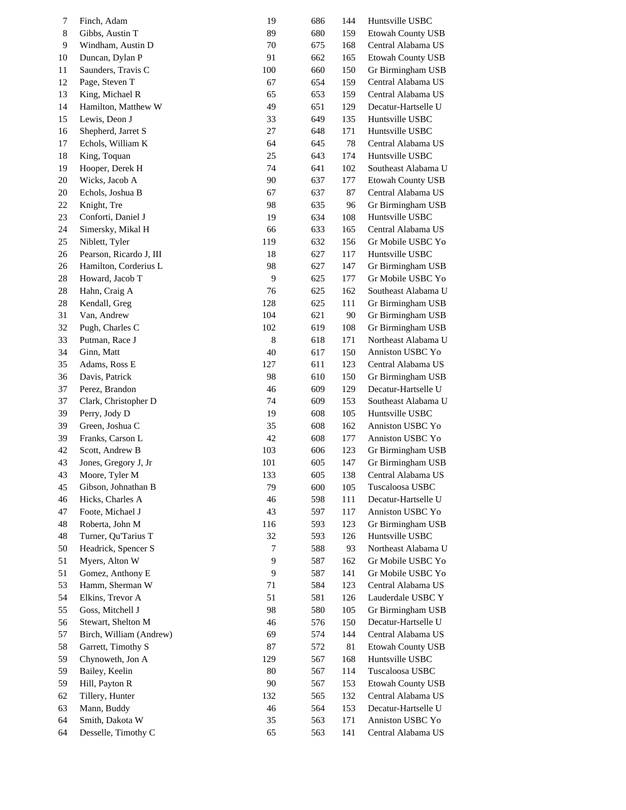| 7  | Finch, Adam             | 19  | 686 | 144 | Huntsville USBC          |
|----|-------------------------|-----|-----|-----|--------------------------|
| 8  | Gibbs, Austin T         | 89  | 680 | 159 | <b>Etowah County USB</b> |
| 9  | Windham, Austin D       | 70  | 675 | 168 | Central Alabama US       |
| 10 | Duncan, Dylan P         | 91  | 662 | 165 | <b>Etowah County USB</b> |
| 11 | Saunders, Travis C      | 100 | 660 | 150 | Gr Birmingham USB        |
| 12 | Page, Steven T          | 67  | 654 | 159 | Central Alabama US       |
| 13 | King, Michael R         | 65  | 653 | 159 | Central Alabama US       |
| 14 | Hamilton, Matthew W     | 49  | 651 | 129 | Decatur-Hartselle U      |
| 15 | Lewis, Deon J           | 33  | 649 | 135 | Huntsville USBC          |
| 16 | Shepherd, Jarret S      | 27  | 648 | 171 | Huntsville USBC          |
| 17 | Echols, William K       | 64  | 645 | 78  | Central Alabama US       |
|    | King, Toquan            |     |     |     | Huntsville USBC          |
| 18 |                         | 25  | 643 | 174 |                          |
| 19 | Hooper, Derek H         | 74  | 641 | 102 | Southeast Alabama U      |
| 20 | Wicks, Jacob A          | 90  | 637 | 177 | Etowah County USB        |
| 20 | Echols, Joshua B        | 67  | 637 | 87  | Central Alabama US       |
| 22 | Knight, Tre             | 98  | 635 | 96  | Gr Birmingham USB        |
| 23 | Conforti, Daniel J      | 19  | 634 | 108 | Huntsville USBC          |
| 24 | Simersky, Mikal H       | 66  | 633 | 165 | Central Alabama US       |
| 25 | Niblett, Tyler          | 119 | 632 | 156 | Gr Mobile USBC Yo        |
| 26 | Pearson, Ricardo J, III | 18  | 627 | 117 | Huntsville USBC          |
| 26 | Hamilton, Corderius L   | 98  | 627 | 147 | Gr Birmingham USB        |
| 28 | Howard, Jacob T         | 9   | 625 | 177 | Gr Mobile USBC Yo        |
| 28 | Hahn, Craig A           | 76  | 625 | 162 | Southeast Alabama U      |
| 28 | Kendall, Greg           | 128 | 625 | 111 | Gr Birmingham USB        |
| 31 | Van, Andrew             | 104 | 621 | 90  | Gr Birmingham USB        |
| 32 | Pugh, Charles C         | 102 | 619 | 108 | Gr Birmingham USB        |
| 33 | Putman, Race J          | 8   | 618 | 171 | Northeast Alabama U      |
| 34 | Ginn, Matt              | 40  | 617 | 150 | Anniston USBC Yo         |
| 35 | Adams, Ross E           | 127 | 611 | 123 | Central Alabama US       |
| 36 | Davis, Patrick          | 98  | 610 | 150 | Gr Birmingham USB        |
| 37 | Perez, Brandon          | 46  | 609 | 129 | Decatur-Hartselle U      |
| 37 | Clark, Christopher D    | 74  | 609 | 153 | Southeast Alabama U      |
| 39 | Perry, Jody D           | 19  | 608 | 105 | Huntsville USBC          |
| 39 | Green, Joshua C         | 35  | 608 | 162 | Anniston USBC Yo         |
| 39 | Franks, Carson L        | 42  | 608 | 177 | Anniston USBC Yo         |
| 42 | Scott, Andrew B         | 103 | 606 | 123 | Gr Birmingham USB        |
| 43 | Jones, Gregory J, Jr    | 101 | 605 | 147 | Gr Birmingham USB        |
| 43 | Moore, Tyler M          | 133 | 605 | 138 | Central Alabama US       |
| 45 | Gibson, Johnathan B     | 79  | 600 | 105 | Tuscaloosa USBC          |
| 46 | Hicks, Charles A        | 46  | 598 | 111 | Decatur-Hartselle U      |
| 47 | Foote, Michael J        | 43  | 597 | 117 | Anniston USBC Yo         |
| 48 | Roberta, John M         | 116 | 593 | 123 | Gr Birmingham USB        |
| 48 | Turner, Qu'Tarius T     | 32  | 593 | 126 | Huntsville USBC          |
| 50 | Headrick, Spencer S     | 7   | 588 | 93  | Northeast Alabama U      |
| 51 | Myers, Alton W          | 9   | 587 | 162 | Gr Mobile USBC Yo        |
| 51 | Gomez, Anthony E        | 9   | 587 | 141 | Gr Mobile USBC Yo        |
| 53 | Hamm, Sherman W         | 71  | 584 | 123 | Central Alabama US       |
| 54 | Elkins, Trevor A        | 51  | 581 | 126 | Lauderdale USBC Y        |
| 55 | Goss, Mitchell J        | 98  | 580 | 105 | Gr Birmingham USB        |
| 56 | Stewart, Shelton M      | 46  | 576 | 150 | Decatur-Hartselle U      |
| 57 | Birch, William (Andrew) | 69  | 574 | 144 | Central Alabama US       |
| 58 | Garrett, Timothy S      | 87  | 572 | 81  | Etowah County USB        |
| 59 | Chynoweth, Jon A        | 129 | 567 | 168 | Huntsville USBC          |
| 59 | Bailey, Keelin          | 80  | 567 | 114 | Tuscaloosa USBC          |
| 59 | Hill, Payton R          | 90  | 567 | 153 | Etowah County USB        |
| 62 | Tillery, Hunter         | 132 | 565 | 132 | Central Alabama US       |
| 63 | Mann, Buddy             | 46  | 564 | 153 | Decatur-Hartselle U      |
| 64 | Smith, Dakota W         | 35  | 563 | 171 | Anniston USBC Yo         |
| 64 | Desselle, Timothy C     | 65  | 563 | 141 | Central Alabama US       |
|    |                         |     |     |     |                          |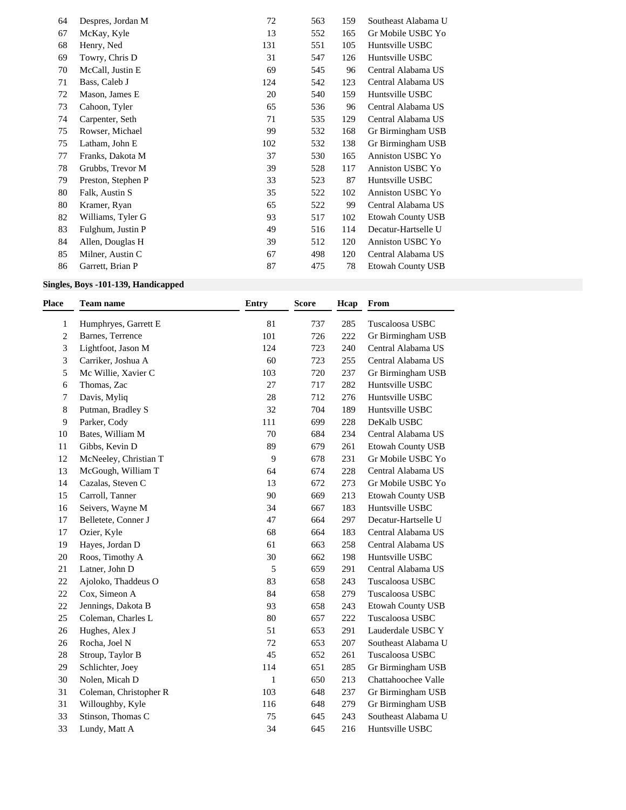| 64 | Despres, Jordan M  | 72  | 563 | 159 | Southeast Alabama U      |
|----|--------------------|-----|-----|-----|--------------------------|
| 67 | McKay, Kyle        | 13  | 552 | 165 | Gr Mobile USBC Yo        |
| 68 | Henry, Ned         | 131 | 551 | 105 | Huntsville USBC          |
| 69 | Towry, Chris D     | 31  | 547 | 126 | Huntsville USBC          |
| 70 | McCall, Justin E   | 69  | 545 | 96  | Central Alabama US       |
| 71 | Bass, Caleb J      | 124 | 542 | 123 | Central Alabama US       |
| 72 | Mason, James E     | 20  | 540 | 159 | Huntsville USBC          |
| 73 | Cahoon, Tyler      | 65  | 536 | 96  | Central Alabama US       |
| 74 | Carpenter, Seth    | 71  | 535 | 129 | Central Alabama US       |
| 75 | Rowser, Michael    | 99  | 532 | 168 | Gr Birmingham USB        |
| 75 | Latham, John E     | 102 | 532 | 138 | Gr Birmingham USB        |
| 77 | Franks, Dakota M   | 37  | 530 | 165 | Anniston USBC Yo         |
| 78 | Grubbs, Trevor M   | 39  | 528 | 117 | Anniston USBC Yo         |
| 79 | Preston, Stephen P | 33  | 523 | 87  | Huntsville USBC          |
| 80 | Falk, Austin S     | 35  | 522 | 102 | Anniston USBC Yo         |
| 80 | Kramer, Ryan       | 65  | 522 | 99  | Central Alabama US       |
| 82 | Williams, Tyler G  | 93  | 517 | 102 | Etowah County USB        |
| 83 | Fulghum, Justin P  | 49  | 516 | 114 | Decatur-Hartselle U      |
| 84 | Allen, Douglas H   | 39  | 512 | 120 | Anniston USBC Yo         |
| 85 | Milner, Austin C   | 67  | 498 | 120 | Central Alabama US       |
| 86 | Garrett, Brian P   | 87  | 475 | 78  | <b>Etowah County USB</b> |

## **Singles, Boys -101-139, Handicapped**

| <b>Place</b> | <b>Team name</b>       | <b>Entry</b> | <b>Score</b> | Hcap | From                     |
|--------------|------------------------|--------------|--------------|------|--------------------------|
| $\mathbf{1}$ | Humphryes, Garrett E   | 81           | 737          | 285  | Tuscaloosa USBC          |
| 2            | Barnes, Terrence       | 101          | 726          | 222  | Gr Birmingham USB        |
| 3            | Lightfoot, Jason M     | 124          | 723          | 240  | Central Alabama US       |
| 3            | Carriker, Joshua A     | 60           | 723          | 255  | Central Alabama US       |
| 5            | Mc Willie, Xavier C    | 103          | 720          | 237  | Gr Birmingham USB        |
| 6            | Thomas, Zac            | 27           | 717          | 282  | Huntsville USBC          |
| 7            | Davis, Myliq           | 28           | 712          | 276  | Huntsville USBC          |
| 8            | Putman, Bradley S      | 32           | 704          | 189  | Huntsville USBC          |
| 9            | Parker, Cody           | 111          | 699          | 228  | DeKalb USBC              |
| 10           | Bates, William M       | 70           | 684          | 234  | Central Alabama US       |
| 11           | Gibbs, Kevin D         | 89           | 679          | 261  | Etowah County USB        |
| 12           | McNeeley, Christian T  | $\mathbf{9}$ | 678          | 231  | Gr Mobile USBC Yo        |
| 13           | McGough, William T     | 64           | 674          | 228  | Central Alabama US       |
| 14           | Cazalas, Steven C      | 13           | 672          | 273  | Gr Mobile USBC Yo        |
| 15           | Carroll, Tanner        | 90           | 669          | 213  | <b>Etowah County USB</b> |
| 16           | Seivers, Wayne M       | 34           | 667          | 183  | Huntsville USBC          |
| 17           | Belletete, Conner J    | 47           | 664          | 297  | Decatur-Hartselle U      |
| 17           | Ozier, Kyle            | 68           | 664          | 183  | Central Alabama US       |
| 19           | Hayes, Jordan D        | 61           | 663          | 258  | Central Alabama US       |
| 20           | Roos, Timothy A        | 30           | 662          | 198  | Huntsville USBC          |
| 21           | Latner, John D         | 5            | 659          | 291  | Central Alabama US       |
| 22           | Ajoloko, Thaddeus O    | 83           | 658          | 243  | Tuscaloosa USBC          |
| 22           | Cox, Simeon A          | 84           | 658          | 279  | Tuscaloosa USBC          |
| 22           | Jennings, Dakota B     | 93           | 658          | 243  | Etowah County USB        |
| 25           | Coleman, Charles L     | 80           | 657          | 222  | Tuscaloosa USBC          |
| 26           | Hughes, Alex J         | 51           | 653          | 291  | Lauderdale USBC Y        |
| 26           | Rocha, Joel N          | 72           | 653          | 207  | Southeast Alabama U      |
| 28           | Stroup, Taylor B       | 45           | 652          | 261  | Tuscaloosa USBC          |
| 29           | Schlichter, Joey       | 114          | 651          | 285  | Gr Birmingham USB        |
| 30           | Nolen, Micah D         | $\mathbf{1}$ | 650          | 213  | Chattahoochee Valle      |
| 31           | Coleman, Christopher R | 103          | 648          | 237  | Gr Birmingham USB        |
| 31           | Willoughby, Kyle       | 116          | 648          | 279  | Gr Birmingham USB        |
| 33           | Stinson, Thomas C      | 75           | 645          | 243  | Southeast Alabama U      |
| 33           | Lundy, Matt A          | 34           | 645          | 216  | Huntsville USBC          |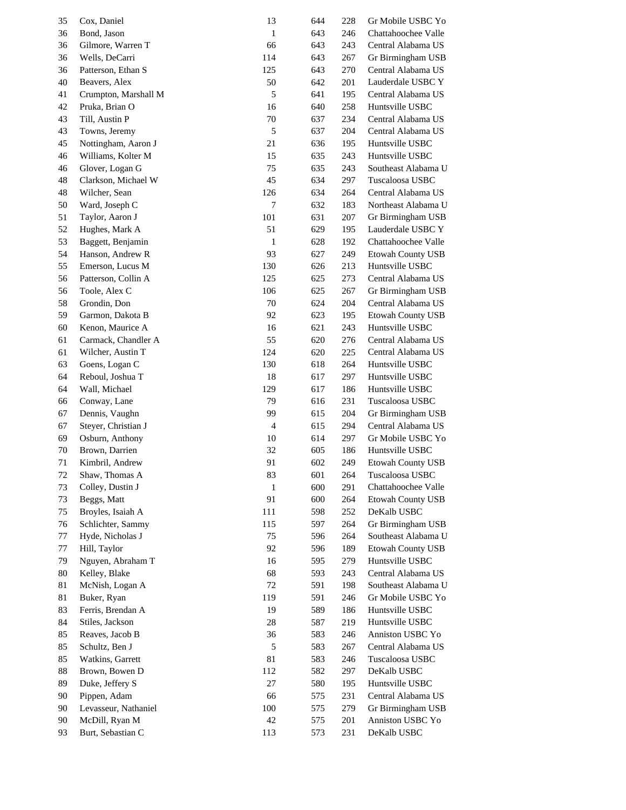| 35       | Cox, Daniel          | 13           | 644 | 228 | Gr Mobile USBC Yo        |
|----------|----------------------|--------------|-----|-----|--------------------------|
| 36       | Bond, Jason          | $\mathbf{1}$ | 643 | 246 | Chattahoochee Valle      |
| 36       | Gilmore, Warren T    | 66           | 643 | 243 | Central Alabama US       |
| 36       | Wells, DeCarri       | 114          | 643 | 267 | Gr Birmingham USB        |
| 36       | Patterson, Ethan S   | 125          | 643 | 270 | Central Alabama US       |
| 40       | Beavers, Alex        | 50           | 642 | 201 | Lauderdale USBC Y        |
| 41       | Crumpton, Marshall M | 5            | 641 | 195 | Central Alabama US       |
| 42       | Pruka, Brian O       | 16           | 640 | 258 | Huntsville USBC          |
| 43       | Till, Austin P       | 70           | 637 | 234 | Central Alabama US       |
| 43       | Towns, Jeremy        | 5            | 637 | 204 | Central Alabama US       |
| 45       | Nottingham, Aaron J  | 21           | 636 | 195 | Huntsville USBC          |
| 46       | Williams, Kolter M   | 15           | 635 | 243 | Huntsville USBC          |
|          | Glover, Logan G      | 75           | 635 | 243 | Southeast Alabama U      |
| 46<br>48 | Clarkson, Michael W  | 45           | 634 | 297 | Tuscaloosa USBC          |
|          | Wilcher, Sean        |              |     |     | Central Alabama US       |
| 48       |                      | 126          | 634 | 264 | Northeast Alabama U      |
| 50       | Ward, Joseph C       | 7            | 632 | 183 |                          |
| 51       | Taylor, Aaron J      | 101          | 631 | 207 | Gr Birmingham USB        |
| 52       | Hughes, Mark A       | 51           | 629 | 195 | Lauderdale USBC Y        |
| 53       | Baggett, Benjamin    | $\mathbf{1}$ | 628 | 192 | Chattahoochee Valle      |
| 54       | Hanson, Andrew R     | 93           | 627 | 249 | <b>Etowah County USB</b> |
| 55       | Emerson, Lucus M     | 130          | 626 | 213 | Huntsville USBC          |
| 56       | Patterson, Collin A  | 125          | 625 | 273 | Central Alabama US       |
| 56       | Toole, Alex C        | 106          | 625 | 267 | Gr Birmingham USB        |
| 58       | Grondin, Don         | 70           | 624 | 204 | Central Alabama US       |
| 59       | Garmon, Dakota B     | 92           | 623 | 195 | <b>Etowah County USB</b> |
| 60       | Kenon, Maurice A     | 16           | 621 | 243 | Huntsville USBC          |
| 61       | Carmack, Chandler A  | 55           | 620 | 276 | Central Alabama US       |
| 61       | Wilcher, Austin T    | 124          | 620 | 225 | Central Alabama US       |
| 63       | Goens, Logan C       | 130          | 618 | 264 | Huntsville USBC          |
| 64       | Reboul, Joshua T     | 18           | 617 | 297 | Huntsville USBC          |
| 64       | Wall, Michael        | 129          | 617 | 186 | Huntsville USBC          |
| 66       | Conway, Lane         | 79           | 616 | 231 | Tuscaloosa USBC          |
| 67       | Dennis, Vaughn       | 99           | 615 | 204 | Gr Birmingham USB        |
| 67       | Steyer, Christian J  | 4            | 615 | 294 | Central Alabama US       |
| 69       | Osburn, Anthony      | 10           | 614 | 297 | Gr Mobile USBC Yo        |
| 70       | Brown, Darrien       | 32           | 605 | 186 | Huntsville USBC          |
| 71       | Kimbril, Andrew      | 91           | 602 | 249 | <b>Etowah County USB</b> |
| 72       | Shaw, Thomas A       | 83           | 601 | 264 | Tuscaloosa USBC          |
| 73       | Colley, Dustin J     | 1            | 600 | 291 | Chattahoochee Valle      |
| 73       | Beggs, Matt          | 91           | 600 | 264 | <b>Etowah County USB</b> |
| 75       | Broyles, Isaiah A    | 111          | 598 | 252 | DeKalb USBC              |
| 76       | Schlichter, Sammy    | 115          | 597 | 264 | Gr Birmingham USB        |
| 77       | Hyde, Nicholas J     | 75           | 596 | 264 | Southeast Alabama U      |
| 77       | Hill, Taylor         | 92           | 596 | 189 | <b>Etowah County USB</b> |
| 79       | Nguyen, Abraham T    | 16           | 595 | 279 | Huntsville USBC          |
| 80       | Kelley, Blake        | 68           | 593 | 243 | Central Alabama US       |
| 81       | McNish, Logan A      | 72           | 591 | 198 | Southeast Alabama U      |
| 81       | Buker, Ryan          | 119          | 591 | 246 | Gr Mobile USBC Yo        |
| 83       | Ferris, Brendan A    | 19           | 589 | 186 | Huntsville USBC          |
| 84       | Stiles, Jackson      | $28\,$       | 587 | 219 | Huntsville USBC          |
| 85       | Reaves, Jacob B      | 36           | 583 | 246 | Anniston USBC Yo         |
| 85       | Schultz, Ben J       | 5            | 583 | 267 | Central Alabama US       |
| 85       | Watkins, Garrett     | 81           | 583 | 246 | Tuscaloosa USBC          |
| 88       | Brown, Bowen D       | 112          | 582 | 297 | DeKalb USBC              |
| 89       | Duke, Jeffery S      | 27           | 580 | 195 | Huntsville USBC          |
| 90       | Pippen, Adam         | 66           | 575 | 231 | Central Alabama US       |
| 90       | Levasseur, Nathaniel | 100          | 575 | 279 | Gr Birmingham USB        |
| 90       | McDill, Ryan M       | 42           | 575 | 201 | Anniston USBC Yo         |
| 93       | Burt, Sebastian C    | 113          | 573 | 231 | DeKalb USBC              |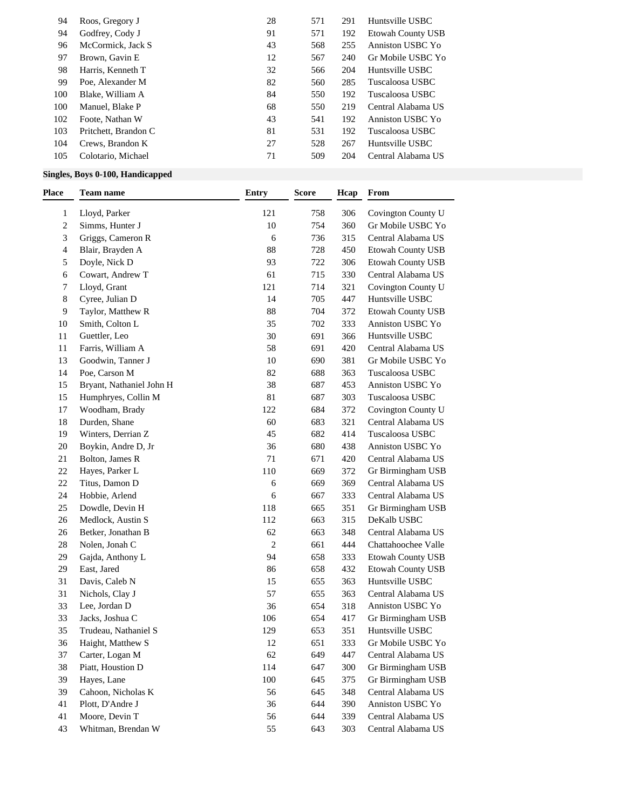| 94  | Roos, Gregory J      | 28 | 571 | 291 | Huntsville USBC          |
|-----|----------------------|----|-----|-----|--------------------------|
| 94  | Godfrey, Cody J      | 91 | 571 | 192 | <b>Etowah County USB</b> |
| 96  | McCormick, Jack S    | 43 | 568 | 255 | Anniston USBC Yo         |
| 97  | Brown, Gavin E       | 12 | 567 | 240 | Gr Mobile USBC Yo        |
| 98  | Harris, Kenneth T    | 32 | 566 | 204 | Huntsville USBC          |
| 99  | Poe, Alexander M     | 82 | 560 | 285 | Tuscaloosa USBC          |
| 100 | Blake, William A     | 84 | 550 | 192 | Tuscaloosa USBC          |
| 100 | Manuel, Blake P      | 68 | 550 | 219 | Central Alabama US       |
| 102 | Foote, Nathan W      | 43 | 541 | 192 | Anniston USBC Yo         |
| 103 | Pritchett, Brandon C | 81 | 531 | 192 | Tuscaloosa USBC          |
| 104 | Crews, Brandon K     | 27 | 528 | 267 | Huntsville USBC          |
| 105 | Colotario, Michael   | 71 | 509 | 204 | Central Alabama US       |

## **Singles, Boys 0-100, Handicapped**

| Place        | <b>Team name</b>         | <b>Entry</b>     | Score | Hcap | From                |
|--------------|--------------------------|------------------|-------|------|---------------------|
| $\mathbf{1}$ | Lloyd, Parker            | 121              | 758   | 306  | Covington County U  |
| 2            | Simms, Hunter J          | $10\,$           | 754   | 360  | Gr Mobile USBC Yo   |
| 3            | Griggs, Cameron R        | 6                | 736   | 315  | Central Alabama US  |
| 4            | Blair, Brayden A         | $88\,$           | 728   | 450  | Etowah County USB   |
| 5            | Doyle, Nick D            | 93               | 722   | 306  | Etowah County USB   |
| 6            | Cowart, Andrew T         | 61               | 715   | 330  | Central Alabama US  |
| 7            | Lloyd, Grant             | 121              | 714   | 321  | Covington County U  |
| 8            | Cyree, Julian D          | 14               | 705   | 447  | Huntsville USBC     |
| 9            | Taylor, Matthew R        | $88\,$           | 704   | 372  | Etowah County USB   |
| 10           | Smith, Colton L          | 35               | 702   | 333  | Anniston USBC Yo    |
| 11           | Guettler, Leo            | 30               | 691   | 366  | Huntsville USBC     |
| 11           | Farris, William A        | 58               | 691   | 420  | Central Alabama US  |
| 13           | Goodwin, Tanner J        | 10               | 690   | 381  | Gr Mobile USBC Yo   |
| 14           | Poe, Carson M            | 82               | 688   | 363  | Tuscaloosa USBC     |
| 15           | Bryant, Nathaniel John H | 38               | 687   | 453  | Anniston USBC Yo    |
| 15           | Humphryes, Collin M      | 81               | 687   | 303  | Tuscaloosa USBC     |
| 17           | Woodham, Brady           | 122              | 684   | 372  | Covington County U  |
| 18           | Durden, Shane            | 60               | 683   | 321  | Central Alabama US  |
| 19           | Winters, Derrian Z       | 45               | 682   | 414  | Tuscaloosa USBC     |
| 20           | Boykin, Andre D, Jr      | 36               | 680   | 438  | Anniston USBC Yo    |
| 21           | Bolton, James R          | 71               | 671   | 420  | Central Alabama US  |
| 22           | Hayes, Parker L          | 110              | 669   | 372  | Gr Birmingham USB   |
| 22           | Titus, Damon D           | 6                | 669   | 369  | Central Alabama US  |
| 24           | Hobbie, Arlend           | 6                | 667   | 333  | Central Alabama US  |
| 25           | Dowdle, Devin H          | 118              | 665   | 351  | Gr Birmingham USB   |
| 26           | Medlock, Austin S        | 112              | 663   | 315  | DeKalb USBC         |
| 26           | Betker, Jonathan B       | 62               | 663   | 348  | Central Alabama US  |
| 28           | Nolen, Jonah C           | $\boldsymbol{2}$ | 661   | 444  | Chattahoochee Valle |
| 29           | Gajda, Anthony L         | 94               | 658   | 333  | Etowah County USB   |
| 29           | East, Jared              | 86               | 658   | 432  | Etowah County USB   |
| 31           | Davis, Caleb N           | 15               | 655   | 363  | Huntsville USBC     |
| 31           | Nichols, Clay J          | 57               | 655   | 363  | Central Alabama US  |
| 33           | Lee, Jordan D            | 36               | 654   | 318  | Anniston USBC Yo    |
| 33           | Jacks, Joshua C          | 106              | 654   | 417  | Gr Birmingham USB   |
| 35           | Trudeau, Nathaniel S     | 129              | 653   | 351  | Huntsville USBC     |
| 36           | Haight, Matthew S        | 12               | 651   | 333  | Gr Mobile USBC Yo   |
| 37           | Carter, Logan M          | 62               | 649   | 447  | Central Alabama US  |
| 38           | Piatt, Houstion D        | 114              | 647   | 300  | Gr Birmingham USB   |
| 39           | Hayes, Lane              | 100              | 645   | 375  | Gr Birmingham USB   |
| 39           | Cahoon, Nicholas K       | 56               | 645   | 348  | Central Alabama US  |
| 41           | Plott, D'Andre J         | 36               | 644   | 390  | Anniston USBC Yo    |
| 41           | Moore, Devin T           | 56               | 644   | 339  | Central Alabama US  |
| 43           | Whitman, Brendan W       | 55               | 643   | 303  | Central Alabama US  |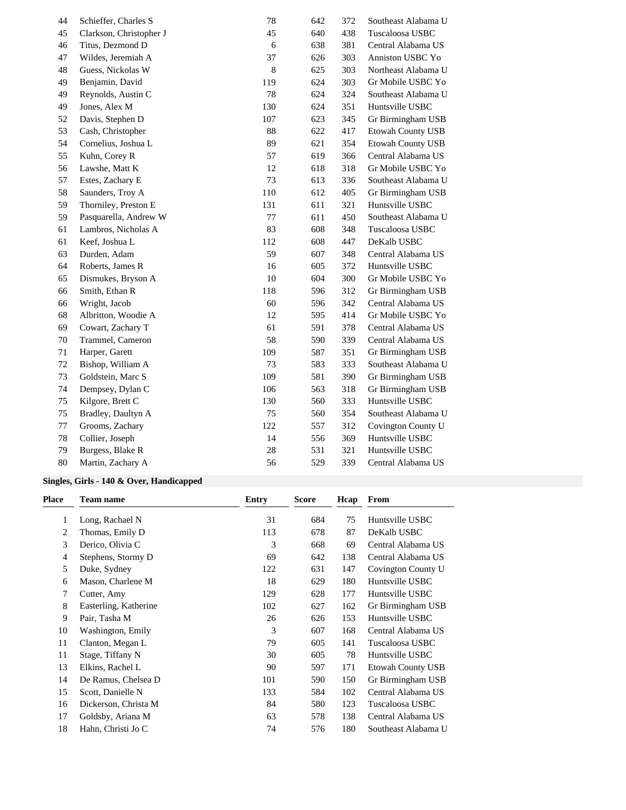| 44 | Schieffer, Charles S    | 78      | 642 | 372 | Southeast Alabama U      |
|----|-------------------------|---------|-----|-----|--------------------------|
| 45 | Clarkson, Christopher J | 45      | 640 | 438 | Tuscaloosa USBC          |
| 46 | Titus, Dezmond D        | 6       | 638 | 381 | Central Alabama US       |
| 47 | Wildes, Jeremiah A      | 37      | 626 | 303 | Anniston USBC Yo         |
| 48 | Guess, Nickolas W       | 8       | 625 | 303 | Northeast Alabama U      |
| 49 | Benjamin, David         | 119     | 624 | 303 | Gr Mobile USBC Yo        |
| 49 | Reynolds, Austin C      | 78      | 624 | 324 | Southeast Alabama U      |
| 49 | Jones, Alex M           | 130     | 624 | 351 | Huntsville USBC          |
| 52 | Davis, Stephen D        | 107     | 623 | 345 | Gr Birmingham USB        |
| 53 | Cash, Christopher       | 88      | 622 | 417 | <b>Etowah County USB</b> |
| 54 | Cornelius, Joshua L     | 89      | 621 | 354 | <b>Etowah County USB</b> |
| 55 | Kuhn, Corey R           | 57      | 619 | 366 | Central Alabama US       |
| 56 | Lawshe, Matt K          | 12      | 618 | 318 | Gr Mobile USBC Yo        |
| 57 | Estes, Zachary E        | 73      | 613 | 336 | Southeast Alabama U      |
| 58 | Saunders, Troy A        | 110     | 612 | 405 | Gr Birmingham USB        |
| 59 | Thorniley, Preston E    | 131     | 611 | 321 | Huntsville USBC          |
| 59 | Pasquarella, Andrew W   | $77 \,$ | 611 | 450 | Southeast Alabama U      |
| 61 | Lambros, Nicholas A     | 83      | 608 | 348 | Tuscaloosa USBC          |
| 61 | Keef, Joshua L          | 112     | 608 | 447 | DeKalb USBC              |
| 63 | Durden, Adam            | 59      | 607 | 348 | Central Alabama US       |
| 64 | Roberts, James R        | 16      | 605 | 372 | Huntsville USBC          |
| 65 | Dismukes, Bryson A      | 10      | 604 | 300 | Gr Mobile USBC Yo        |
| 66 | Smith, Ethan R          | 118     | 596 | 312 | Gr Birmingham USB        |
| 66 | Wright, Jacob           | 60      | 596 | 342 | Central Alabama US       |
| 68 | Albritton, Woodie A     | 12      | 595 | 414 | Gr Mobile USBC Yo        |
| 69 | Cowart, Zachary T       | 61      | 591 | 378 | Central Alabama US       |
| 70 | Trammel, Cameron        | 58      | 590 | 339 | Central Alabama US       |
| 71 | Harper, Garett          | 109     | 587 | 351 | Gr Birmingham USB        |
| 72 | Bishop, William A       | 73      | 583 | 333 | Southeast Alabama U      |
| 73 | Goldstein, Marc S       | 109     | 581 | 390 | Gr Birmingham USB        |
| 74 | Dempsey, Dylan C        | 106     | 563 | 318 | Gr Birmingham USB        |
| 75 | Kilgore, Brett C        | 130     | 560 | 333 | Huntsville USBC          |
| 75 | Bradley, Daultyn A      | 75      | 560 | 354 | Southeast Alabama U      |
| 77 | Grooms, Zachary         | 122     | 557 | 312 | Covington County U       |
| 78 | Collier, Joseph         | 14      | 556 | 369 | Huntsville USBC          |
| 79 | Burgess, Blake R        | 28      | 531 | 321 | Huntsville USBC          |
| 80 | Martin, Zachary A       | 56      | 529 | 339 | Central Alabama US       |

### **Singles, Girls - 140 & Over, Handicapped**

| Place | <b>Team name</b>      | Entry | Score | Hcap | From                     |
|-------|-----------------------|-------|-------|------|--------------------------|
| 1     | Long, Rachael N       | 31    | 684   | 75   | Huntsville USBC          |
| 2     | Thomas, Emily D       | 113   | 678   | 87   | DeKalb USBC              |
| 3     | Derico, Olivia C      | 3     | 668   | 69   | Central Alabama US       |
| 4     | Stephens, Stormy D    | 69    | 642   | 138  | Central Alabama US       |
| 5     | Duke, Sydney          | 122   | 631   | 147  | Covington County U       |
| 6     | Mason, Charlene M     | 18    | 629   | 180  | Huntsville USBC          |
| 7     | Cutter, Amy           | 129   | 628   | 177  | Huntsville USBC          |
| 8     | Easterling, Katherine | 102   | 627   | 162  | Gr Birmingham USB        |
| 9     | Pair, Tasha M         | 26    | 626   | 153  | Huntsville USBC          |
| 10    | Washington, Emily     | 3     | 607   | 168  | Central Alabama US       |
| 11    | Clanton, Megan L      | 79    | 605   | 141  | Tuscaloosa USBC          |
| 11    | Stage, Tiffany N      | 30    | 605   | 78   | Huntsville USBC          |
| 13    | Elkins, Rachel L      | 90    | 597   | 171  | <b>Etowah County USB</b> |
| 14    | De Ramus, Chelsea D   | 101   | 590   | 150  | Gr Birmingham USB        |
| 15    | Scott, Danielle N     | 133   | 584   | 102  | Central Alabama US       |
| 16    | Dickerson, Christa M  | 84    | 580   | 123  | Tuscaloosa USBC          |
| 17    | Goldsby, Ariana M     | 63    | 578   | 138  | Central Alabama US       |
| 18    | Hahn, Christi Jo C    | 74    | 576   | 180  | Southeast Alabama U      |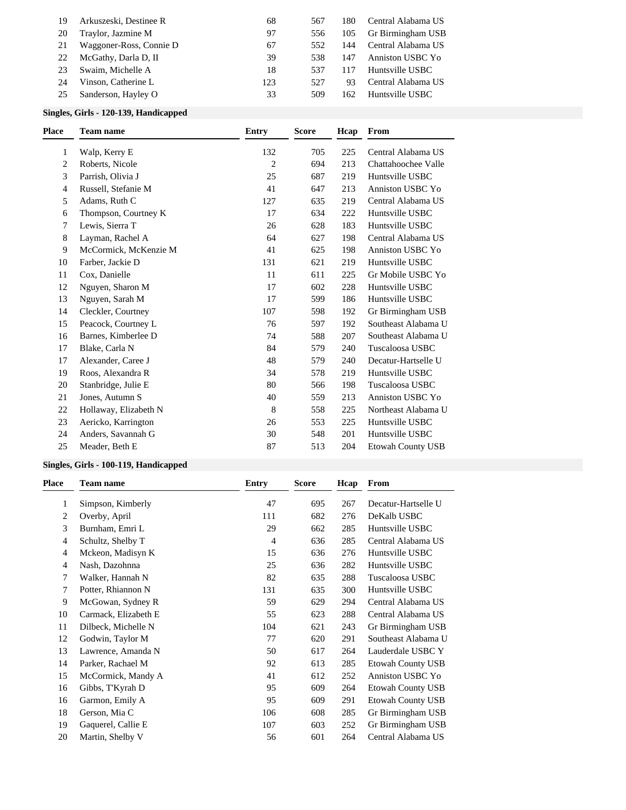| 19<br>20 | Arkuszeski, Destinee R<br>Traylor, Jazmine M | 68<br>97 | 567<br>556 | 180<br>105 | Central Alabama US<br>Gr Birmingham USB |
|----------|----------------------------------------------|----------|------------|------------|-----------------------------------------|
| 21       | Waggoner-Ross, Connie D                      | 67       | 552        | 144        | Central Alabama US                      |
| 22       | McGathy, Darla D, II                         | 39       | 538        | 147        | Anniston USBC Yo                        |
| 23       | Swaim, Michelle A                            | 18       | 537        | 117        | Huntsville USBC                         |
| 24       | Vinson, Catherine L                          | 123      | 527        | 93         | Central Alabama US                      |
| 25       | Sanderson, Hayley O                          | 33       | 509        | 162        | Huntsville USBC                         |

### **Singles, Girls - 120-139, Handicapped**

| <b>Place</b> | <b>Team name</b>      | <b>Entry</b>   | <b>Score</b> | Hcap | From                     |
|--------------|-----------------------|----------------|--------------|------|--------------------------|
| 1            | Walp, Kerry E         | 132            | 705          | 225  | Central Alabama US       |
| 2            | Roberts, Nicole       | $\overline{c}$ | 694          | 213  | Chattahoochee Valle      |
| 3            | Parrish, Olivia J     | 25             | 687          | 219  | Huntsville USBC          |
| 4            | Russell, Stefanie M   | 41             | 647          | 213  | Anniston USBC Yo         |
| 5            | Adams, Ruth C         | 127            | 635          | 219  | Central Alabama US       |
| 6            | Thompson, Courtney K  | 17             | 634          | 222  | Huntsville USBC          |
| 7            | Lewis, Sierra T       | 26             | 628          | 183  | Huntsville USBC          |
| 8            | Layman, Rachel A      | 64             | 627          | 198  | Central Alabama US       |
| 9            | McCormick, McKenzie M | 41             | 625          | 198  | Anniston USBC Yo         |
| 10           | Farber, Jackie D      | 131            | 621          | 219  | Huntsville USBC          |
| 11           | Cox, Danielle         | 11             | 611          | 225  | Gr Mobile USBC Yo        |
| 12           | Nguyen, Sharon M      | 17             | 602          | 228  | Huntsville USBC          |
| 13           | Nguyen, Sarah M       | 17             | 599          | 186  | Huntsville USBC          |
| 14           | Cleckler, Courtney    | 107            | 598          | 192  | Gr Birmingham USB        |
| 15           | Peacock, Courtney L   | 76             | 597          | 192  | Southeast Alabama U      |
| 16           | Barnes, Kimberlee D   | 74             | 588          | 207  | Southeast Alabama U      |
| 17           | Blake, Carla N        | 84             | 579          | 240  | Tuscaloosa USBC          |
| 17           | Alexander, Caree J    | 48             | 579          | 240  | Decatur-Hartselle U      |
| 19           | Roos, Alexandra R     | 34             | 578          | 219  | Huntsville USBC          |
| 20           | Stanbridge, Julie E   | 80             | 566          | 198  | Tuscaloosa USBC          |
| 21           | Jones, Autumn S       | 40             | 559          | 213  | <b>Anniston USBC Yo</b>  |
| 22           | Hollaway, Elizabeth N | 8              | 558          | 225  | Northeast Alabama U      |
| 23           | Aericko, Karrington   | 26             | 553          | 225  | Huntsville USBC          |
| 24           | Anders, Savannah G    | 30             | 548          | 201  | Huntsville USBC          |
| 25           | Meader, Beth E        | 87             | 513          | 204  | <b>Etowah County USB</b> |

## **Singles, Girls - 100-119, Handicapped**

| Place | <b>Team name</b>     | <b>Entry</b> | <b>Score</b> | Hcap | From                     |
|-------|----------------------|--------------|--------------|------|--------------------------|
| 1     | Simpson, Kimberly    | 47           | 695          | 267  | Decatur-Hartselle U      |
| 2     | Overby, April        | 111          | 682          | 276  | DeKalb USBC              |
| 3     | Burnham, Emri L      | 29           | 662          | 285  | Huntsville USBC          |
| 4     | Schultz, Shelby T    | 4            | 636          | 285  | Central Alabama US       |
| 4     | Mckeon, Madisyn K    | 15           | 636          | 276  | Huntsville USBC          |
| 4     | Nash, Dazohnna       | 25           | 636          | 282  | Huntsville USBC          |
| 7     | Walker, Hannah N     | 82           | 635          | 288  | Tuscaloosa USBC          |
| 7     | Potter, Rhiannon N   | 131          | 635          | 300  | Huntsville USBC          |
| 9     | McGowan, Sydney R    | 59           | 629          | 294  | Central Alabama US       |
| 10    | Carmack, Elizabeth E | 55           | 623          | 288  | Central Alabama US       |
| 11    | Dilbeck, Michelle N  | 104          | 621          | 243  | Gr Birmingham USB        |
| 12    | Godwin, Taylor M     | 77           | 620          | 291  | Southeast Alabama U      |
| 13    | Lawrence, Amanda N   | 50           | 617          | 264  | Lauderdale USBC Y        |
| 14    | Parker, Rachael M    | 92           | 613          | 285  | <b>Etowah County USB</b> |
| 15    | McCormick, Mandy A   | 41           | 612          | 252  | Anniston USBC Yo         |
| 16    | Gibbs, T'Kyrah D     | 95           | 609          | 264  | <b>Etowah County USB</b> |
| 16    | Garmon, Emily A      | 95           | 609          | 291  | <b>Etowah County USB</b> |
| 18    | Gerson, Mia C        | 106          | 608          | 285  | Gr Birmingham USB        |
| 19    | Gaquerel, Callie E   | 107          | 603          | 252  | Gr Birmingham USB        |
| 20    | Martin, Shelby V     | 56           | 601          | 264  | Central Alabama US       |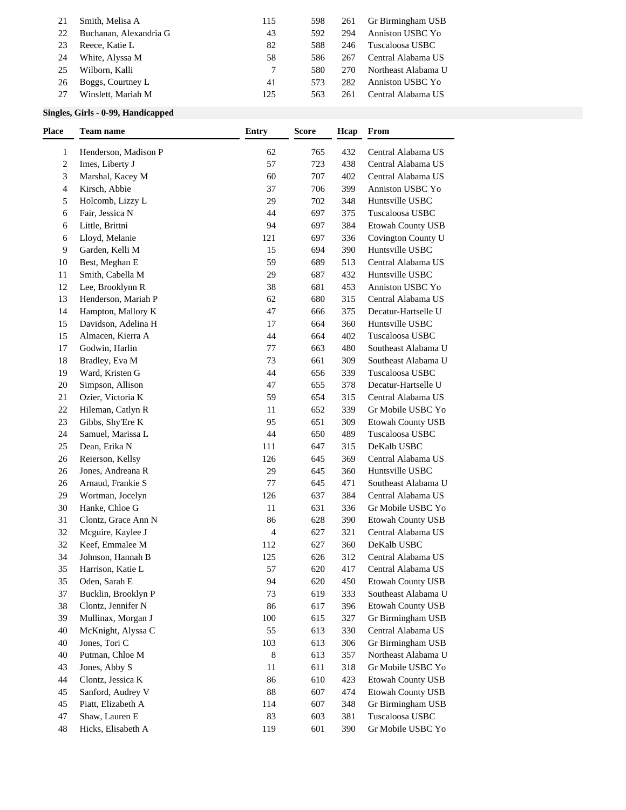| 21 | Smith, Melisa A        | 115 | 598 | 261 | Gr Birmingham USB   |
|----|------------------------|-----|-----|-----|---------------------|
| 22 | Buchanan, Alexandria G | 43  | 592 | 294 | Anniston USBC Yo    |
| 23 | Reece, Katie L         | 82  | 588 | 246 | Tuscaloosa USBC     |
| 24 | White, Alyssa M        | 58  | 586 | 267 | Central Alabama US  |
| 25 | Wilborn, Kalli         |     | 580 | 270 | Northeast Alabama U |
| 26 | Boggs, Courtney L      | 41  | 573 | 282 | Anniston USBC Yo    |
|    | Winslett, Mariah M     | 125 | 563 | 261 | Central Alabama US  |

### **Singles, Girls - 0-99, Handicapped**

| Place        | <b>Team name</b>     | <b>Entry</b> | <b>Score</b> | Hcap | From                     |
|--------------|----------------------|--------------|--------------|------|--------------------------|
| $\mathbf{1}$ | Henderson, Madison P | 62           | 765          | 432  | Central Alabama US       |
| 2            | Imes, Liberty J      | 57           | 723          | 438  | Central Alabama US       |
| 3            | Marshal, Kacey M     | 60           | 707          | 402  | Central Alabama US       |
| 4            | Kirsch, Abbie        | 37           | 706          | 399  | Anniston USBC Yo         |
| 5            | Holcomb, Lizzy L     | 29           | 702          | 348  | Huntsville USBC          |
| 6            | Fair, Jessica N      | 44           | 697          | 375  | Tuscaloosa USBC          |
| 6            | Little, Brittni      | 94           | 697          | 384  | <b>Etowah County USB</b> |
| 6            | Lloyd, Melanie       | 121          | 697          | 336  | Covington County U       |
| 9            | Garden, Kelli M      | 15           | 694          | 390  | Huntsville USBC          |
| 10           | Best, Meghan E       | 59           | 689          | 513  | Central Alabama US       |
| 11           | Smith, Cabella M     | 29           | 687          | 432  | Huntsville USBC          |
| 12           | Lee, Brooklynn R     | 38           | 681          | 453  | Anniston USBC Yo         |
| 13           | Henderson, Mariah P  | 62           | 680          | 315  | Central Alabama US       |
| 14           | Hampton, Mallory K   | 47           | 666          | 375  | Decatur-Hartselle U      |
| 15           | Davidson, Adelina H  | 17           | 664          | 360  | Huntsville USBC          |
| 15           | Almacen, Kierra A    | 44           | 664          | 402  | Tuscaloosa USBC          |
| 17           | Godwin, Harlin       | 77           | 663          | 480  | Southeast Alabama U      |
| 18           | Bradley, Eva M       | 73           | 661          | 309  | Southeast Alabama U      |
| 19           | Ward, Kristen G      | 44           | 656          | 339  | Tuscaloosa USBC          |
| 20           | Simpson, Allison     | 47           | 655          | 378  | Decatur-Hartselle U      |
| 21           | Ozier, Victoria K    | 59           | 654          | 315  | Central Alabama US       |
| 22           | Hileman, Catlyn R    | 11           | 652          | 339  | Gr Mobile USBC Yo        |
| 23           | Gibbs, Shy'Ere K     | 95           | 651          | 309  | Etowah County USB        |
| 24           | Samuel, Marissa L    | 44           | 650          | 489  | Tuscaloosa USBC          |
| 25           | Dean, Erika N        | 111          | 647          | 315  | DeKalb USBC              |
| 26           | Reierson, Kellsy     | 126          | 645          | 369  | Central Alabama US       |
| 26           | Jones, Andreana R    | 29           | 645          | 360  | Huntsville USBC          |
| 26           | Arnaud, Frankie S    | $77\,$       | 645          | 471  | Southeast Alabama U      |
| 29           | Wortman, Jocelyn     | 126          | 637          | 384  | Central Alabama US       |
| 30           | Hanke, Chloe G       | 11           | 631          | 336  | Gr Mobile USBC Yo        |
| 31           | Clontz, Grace Ann N  | 86           | 628          | 390  | Etowah County USB        |
| 32           | Mcguire, Kaylee J    | 4            | 627          | 321  | Central Alabama US       |
| 32           | Keef, Emmalee M      | 112          | 627          | 360  | DeKalb USBC              |
| 34           | Johnson, Hannah B    | 125          | 626          | 312  | Central Alabama US       |
| 35           | Harrison, Katie L    | 57           | 620          | 417  | Central Alabama US       |
| 35           | Oden, Sarah E        | 94           | 620          | 450  | <b>Etowah County USB</b> |
| 37           | Bucklin, Brooklyn P  | 73           | 619          | 333  | Southeast Alabama U      |
| 38           | Clontz, Jennifer N   | 86           | 617          | 396  | Etowah County USB        |
| 39           | Mullinax, Morgan J   | 100          | 615          | 327  | Gr Birmingham USB        |
| 40           | McKnight, Alyssa C   | 55           | 613          | 330  | Central Alabama US       |
| 40           | Jones, Tori C        | 103          | 613          | 306  | Gr Birmingham USB        |
| 40           | Putman, Chloe M      | $\,8\,$      | 613          | 357  | Northeast Alabama U      |
| 43           | Jones, Abby S        | 11           | 611          | 318  | Gr Mobile USBC Yo        |
| 44           | Clontz, Jessica K    | 86           | 610          | 423  | Etowah County USB        |
| 45           | Sanford, Audrey V    | 88           | 607          | 474  | Etowah County USB        |
| 45           | Piatt, Elizabeth A   | 114          | 607          | 348  | Gr Birmingham USB        |
| 47           | Shaw, Lauren E       | 83           | 603          | 381  | Tuscaloosa USBC          |
| 48           | Hicks, Elisabeth A   | 119          | 601          | 390  | Gr Mobile USBC Yo        |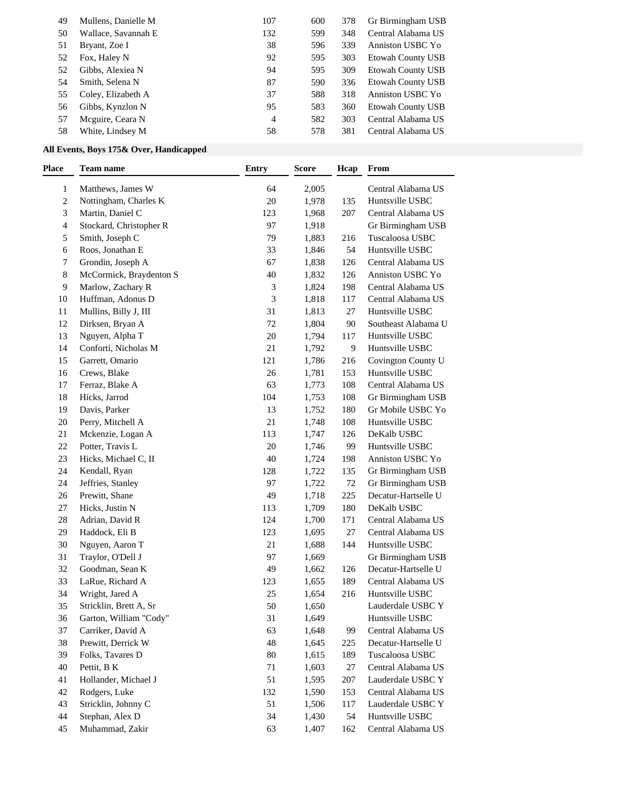| 49 | Mullens, Danielle M | 107 | 600 | 378 | Gr Birmingham USB        |
|----|---------------------|-----|-----|-----|--------------------------|
| 50 | Wallace, Savannah E | 132 | 599 | 348 | Central Alabama US       |
| 51 | Bryant, Zoe I       | 38  | 596 | 339 | Anniston USBC Yo         |
| 52 | Fox, Haley N        | 92  | 595 | 303 | <b>Etowah County USB</b> |
| 52 | Gibbs, Alexiea N    | 94  | 595 | 309 | <b>Etowah County USB</b> |
| 54 | Smith, Selena N     | 87  | 590 | 336 | <b>Etowah County USB</b> |
| 55 | Coley, Elizabeth A  | 37  | 588 | 318 | Anniston USBC Yo         |
| 56 | Gibbs, Kynzlon N    | 95  | 583 | 360 | <b>Etowah County USB</b> |
| 57 | Meguire, Ceara N    | 4   | 582 | 303 | Central Alabama US       |
| 58 | White, Lindsey M    | 58  | 578 | 381 | Central Alabama US       |

## **All Events, Boys 175& Over, Handicapped**

| Place | <b>Team name</b>        | <b>Entry</b> | <b>Score</b> | Hcap | From                |
|-------|-------------------------|--------------|--------------|------|---------------------|
| 1     | Matthews, James W       | 64           | 2,005        |      | Central Alabama US  |
| 2     | Nottingham, Charles K   | 20           | 1,978        | 135  | Huntsville USBC     |
| 3     | Martin, Daniel C        | 123          | 1,968        | 207  | Central Alabama US  |
| 4     | Stockard, Christopher R | 97           | 1,918        |      | Gr Birmingham USB   |
| 5     | Smith, Joseph C         | 79           | 1,883        | 216  | Tuscaloosa USBC     |
| 6     | Roos, Jonathan E        | 33           | 1,846        | 54   | Huntsville USBC     |
| 7     | Grondin, Joseph A       | 67           | 1,838        | 126  | Central Alabama US  |
| 8     | McCormick, Braydenton S | 40           | 1,832        | 126  | Anniston USBC Yo    |
| 9     | Marlow, Zachary R       | 3            | 1,824        | 198  | Central Alabama US  |
| 10    | Huffman, Adonus D       | 3            | 1,818        | 117  | Central Alabama US  |
| 11    | Mullins, Billy J, III   | 31           | 1,813        | 27   | Huntsville USBC     |
| 12    | Dirksen, Bryan A        | $72\,$       | 1,804        | 90   | Southeast Alabama U |
| 13    | Nguyen, Alpha T         | 20           | 1,794        | 117  | Huntsville USBC     |
| 14    | Conforti, Nicholas M    | $21\,$       | 1,792        | 9    | Huntsville USBC     |
| 15    | Garrett, Omario         | 121          | 1,786        | 216  | Covington County U  |
| 16    | Crews, Blake            | $26\,$       | 1,781        | 153  | Huntsville USBC     |
| 17    | Ferraz, Blake A         | 63           | 1,773        | 108  | Central Alabama US  |
| 18    | Hicks, Jarrod           | 104          | 1,753        | 108  | Gr Birmingham USB   |
| 19    | Davis, Parker           | 13           | 1,752        | 180  | Gr Mobile USBC Yo   |
| 20    | Perry, Mitchell A       | $21\,$       | 1,748        | 108  | Huntsville USBC     |
| 21    | Mckenzie, Logan A       | 113          | 1,747        | 126  | DeKalb USBC         |
| 22    | Potter, Travis L        | 20           | 1,746        | 99   | Huntsville USBC     |
| 23    | Hicks, Michael C, II    | 40           | 1,724        | 198  | Anniston USBC Yo    |
| 24    | Kendall, Ryan           | 128          | 1,722        | 135  | Gr Birmingham USB   |
| 24    | Jeffries, Stanley       | 97           | 1,722        | 72   | Gr Birmingham USB   |
| 26    | Prewitt, Shane          | 49           | 1,718        | 225  | Decatur-Hartselle U |
| 27    | Hicks, Justin N         | 113          | 1,709        | 180  | DeKalb USBC         |
| 28    | Adrian, David R         | 124          | 1,700        | 171  | Central Alabama US  |
| 29    | Haddock, Eli B          | 123          | 1,695        | 27   | Central Alabama US  |
| 30    | Nguyen, Aaron T         | $21\,$       | 1,688        | 144  | Huntsville USBC     |
| 31    | Traylor, O'Dell J       | 97           | 1,669        |      | Gr Birmingham USB   |
| 32    | Goodman, Sean K         | 49           | 1,662        | 126  | Decatur-Hartselle U |
| 33    | LaRue, Richard A        | 123          | 1,655        | 189  | Central Alabama US  |
| 34    | Wright, Jared A         | $25\,$       | 1,654        | 216  | Huntsville USBC     |
| 35    | Stricklin, Brett A, Sr  | 50           | 1,650        |      | Lauderdale USBC Y   |
| 36    | Garton, William "Cody"  | 31           | 1,649        |      | Huntsville USBC     |
| 37    | Carriker, David A       | 63           | 1,648        | 99   | Central Alabama US  |
| 38    | Prewitt, Derrick W      | 48           | 1,645        | 225  | Decatur-Hartselle U |
| 39    | Folks, Tavares D        | 80           | 1,615        | 189  | Tuscaloosa USBC     |
| 40    | Pettit, B K             | 71           | 1,603        | 27   | Central Alabama US  |
| 41    | Hollander, Michael J    | 51           | 1,595        | 207  | Lauderdale USBC Y   |
| 42    | Rodgers, Luke           | 132          | 1,590        | 153  | Central Alabama US  |
| 43    | Stricklin, Johnny C     | 51           | 1,506        | 117  | Lauderdale USBC Y   |
| 44    | Stephan, Alex D         | 34           | 1,430        | 54   | Huntsville USBC     |
| 45    | Muhammad, Zakir         | 63           | 1,407        | 162  | Central Alabama US  |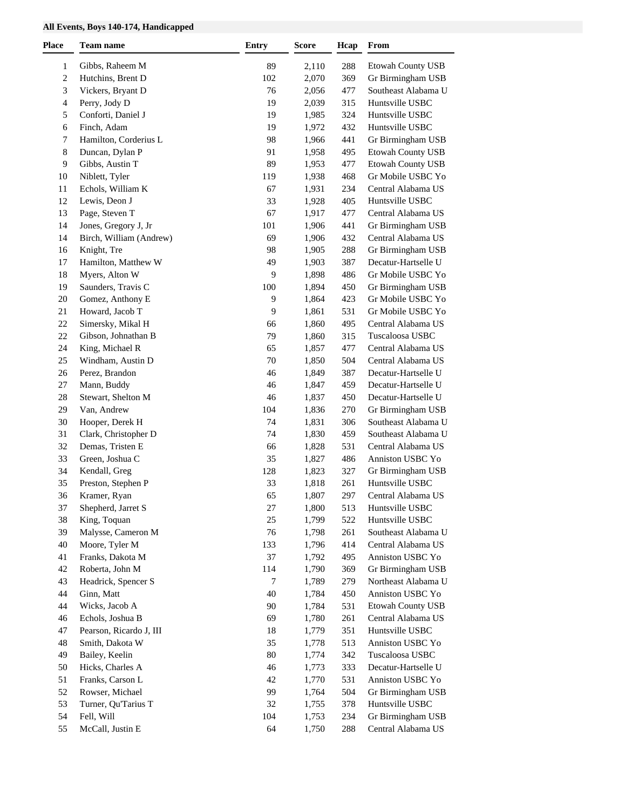### **All Events, Boys 140-174, Handicapped**

| Place          | <b>Team name</b>               | <b>Entry</b> | <b>Score</b> | Hcap       | From                                    |
|----------------|--------------------------------|--------------|--------------|------------|-----------------------------------------|
| 1              | Gibbs, Raheem M                | 89           | 2,110        | 288        | <b>Etowah County USB</b>                |
| $\overline{c}$ | Hutchins, Brent D              | 102          | 2,070        | 369        | Gr Birmingham USB                       |
| 3              | Vickers, Bryant D              | 76           | 2,056        | 477        | Southeast Alabama U                     |
| 4              | Perry, Jody D                  | 19           | 2,039        | 315        | Huntsville USBC                         |
| 5              | Conforti, Daniel J             | 19           | 1,985        | 324        | Huntsville USBC                         |
| 6              | Finch, Adam                    | 19           | 1,972        | 432        | Huntsville USBC                         |
| 7              | Hamilton, Corderius L          | 98           | 1,966        | 441        | Gr Birmingham USB                       |
| 8              | Duncan, Dylan P                | 91           | 1,958        | 495        | Etowah County USB                       |
| 9              | Gibbs, Austin T                | 89           | 1,953        | 477        | <b>Etowah County USB</b>                |
| 10             | Niblett, Tyler                 | 119          | 1,938        | 468        | Gr Mobile USBC Yo                       |
| 11             | Echols, William K              | 67           | 1,931        | 234        | Central Alabama US                      |
| 12             | Lewis, Deon J                  | 33           | 1,928        | 405        | Huntsville USBC                         |
| 13             | Page, Steven T                 | 67           | 1,917        | 477        | Central Alabama US                      |
| 14             | Jones, Gregory J, Jr           | 101          | 1,906        | 441        | Gr Birmingham USB                       |
| 14             | Birch, William (Andrew)        | 69           | 1,906        | 432        | Central Alabama US                      |
| 16             | Knight, Tre                    | 98           | 1,905        | 288        | Gr Birmingham USB                       |
| 17             | Hamilton, Matthew W            | 49           | 1,903        | 387        | Decatur-Hartselle U                     |
| 18             | Myers, Alton W                 | 9            | 1,898        | 486        | Gr Mobile USBC Yo                       |
| 19             | Saunders, Travis C             | 100          | 1,894        | 450        | Gr Birmingham USB                       |
| 20             | Gomez, Anthony E               | 9            | 1,864        | 423        | Gr Mobile USBC Yo                       |
| 21             | Howard, Jacob T                | 9            | 1,861        | 531        | Gr Mobile USBC Yo                       |
| 22             | Simersky, Mikal H              | 66           | 1,860        | 495        | Central Alabama US                      |
| 22             | Gibson, Johnathan B            | 79           | 1,860        | 315        | Tuscaloosa USBC                         |
| 24             | King, Michael R                | 65           | 1,857        | 477        | Central Alabama US                      |
| 25             | Windham, Austin D              | 70           | 1,850        | 504        | Central Alabama US                      |
| 26             | Perez, Brandon                 | $46\,$       | 1,849        | 387        | Decatur-Hartselle U                     |
| $27\,$         | Mann, Buddy                    | 46           | 1,847        | 459        | Decatur-Hartselle U                     |
| 28             | Stewart, Shelton M             | 46           | 1,837        | 450        | Decatur-Hartselle U                     |
| 29             | Van, Andrew                    | 104          | 1,836        | 270        | Gr Birmingham USB                       |
| 30             | Hooper, Derek H                | 74           | 1,831        | 306        | Southeast Alabama U                     |
| 31             | Clark, Christopher D           | 74           | 1,830        | 459        | Southeast Alabama U                     |
| 32             | Demas, Tristen E               | 66           | 1,828        | 531        | Central Alabama US                      |
| 33             | Green, Joshua C                | 35           | 1,827        | 486        | Anniston USBC Yo                        |
| 34             | Kendall, Greg                  | 128          | 1,823        | 327        | Gr Birmingham USB                       |
| 35             | Preston, Stephen P             | 33           | 1,818        | 261        | Huntsville USBC                         |
| 36             | Kramer, Ryan                   | 65           | 1,807        | 297        | Central Alabama US                      |
| 37             | Shepherd, Jarret S             | $27\,$       | 1,800        | 513        | Huntsville USBC                         |
| 38             | King, Toquan                   | $25\,$       | 1,799        | 522        | Huntsville USBC                         |
| 39             | Malysse, Cameron M             | 76           | 1,798        | 261        | Southeast Alabama U                     |
| 40             | Moore, Tyler M                 | 133          | 1,796        | 414        | Central Alabama US                      |
| 41             | Franks, Dakota M               | 37           | 1,792        | 495        | Anniston USBC Yo                        |
| 42             | Roberta, John M                | 114          | 1,790        | 369        | Gr Birmingham USB                       |
| 43             | Headrick, Spencer S            | 7            | 1,789        | 279        | Northeast Alabama U                     |
| 44             | Ginn, Matt                     | 40           | 1,784        | 450        | Anniston USBC Yo                        |
| 44             | Wicks, Jacob A                 | 90           | 1,784        | 531        | <b>Etowah County USB</b>                |
| 46             | Echols, Joshua B               | 69           | 1,780        | 261        | Central Alabama US                      |
| 47             | Pearson, Ricardo J, III        | 18           | 1,779        | 351        | Huntsville USBC                         |
| 48             | Smith, Dakota W                | 35           | 1,778        | 513        | Anniston USBC Yo                        |
| 49             | Bailey, Keelin                 | $80\,$       | 1,774        | 342        | Tuscaloosa USBC                         |
| 50             | Hicks, Charles A               | 46           | 1,773        | 333        | Decatur-Hartselle U                     |
| 51             | Franks, Carson L               | 42           | 1,770        | 531        | Anniston USBC Yo                        |
| 52             | Rowser, Michael                | 99           | 1,764        | 504        | Gr Birmingham USB                       |
| 53             | Turner, Qu'Tarius T            | 32           | 1,755        | 378        | Huntsville USBC                         |
| 54<br>55       | Fell, Will<br>McCall, Justin E | 104<br>64    | 1,753        | 234<br>288 | Gr Birmingham USB<br>Central Alabama US |
|                |                                |              | 1,750        |            |                                         |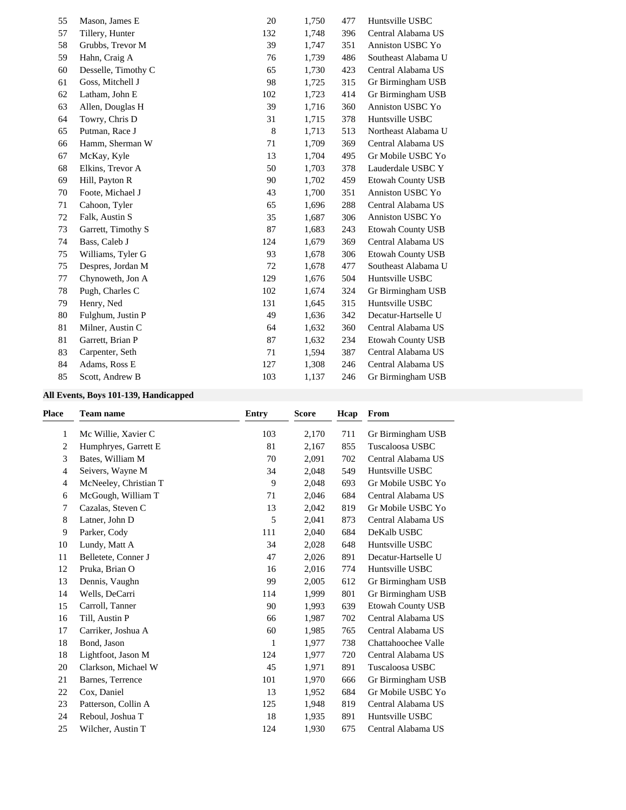| 55 | Mason, James E      | 20  | 1,750 | 477 | Huntsville USBC          |
|----|---------------------|-----|-------|-----|--------------------------|
| 57 | Tillery, Hunter     | 132 | 1,748 | 396 | Central Alabama US       |
| 58 | Grubbs, Trevor M    | 39  | 1,747 | 351 | Anniston USBC Yo         |
| 59 | Hahn, Craig A       | 76  | 1,739 | 486 | Southeast Alabama U      |
| 60 | Desselle, Timothy C | 65  | 1,730 | 423 | Central Alabama US       |
| 61 | Goss, Mitchell J    | 98  | 1,725 | 315 | Gr Birmingham USB        |
| 62 | Latham, John E      | 102 | 1,723 | 414 | Gr Birmingham USB        |
| 63 | Allen, Douglas H    | 39  | 1,716 | 360 | Anniston USBC Yo         |
| 64 | Towry, Chris D      | 31  | 1,715 | 378 | Huntsville USBC          |
| 65 | Putman, Race J      | 8   | 1,713 | 513 | Northeast Alabama U      |
| 66 | Hamm, Sherman W     | 71  | 1,709 | 369 | Central Alabama US       |
| 67 | McKay, Kyle         | 13  | 1,704 | 495 | Gr Mobile USBC Yo        |
| 68 | Elkins, Trevor A    | 50  | 1,703 | 378 | Lauderdale USBC Y        |
| 69 | Hill, Payton R      | 90  | 1,702 | 459 | <b>Etowah County USB</b> |
| 70 | Foote, Michael J    | 43  | 1,700 | 351 | Anniston USBC Yo         |
| 71 | Cahoon, Tyler       | 65  | 1,696 | 288 | Central Alabama US       |
| 72 | Falk, Austin S      | 35  | 1,687 | 306 | Anniston USBC Yo         |
| 73 | Garrett, Timothy S  | 87  | 1,683 | 243 | <b>Etowah County USB</b> |
| 74 | Bass, Caleb J       | 124 | 1,679 | 369 | Central Alabama US       |
| 75 | Williams, Tyler G   | 93  | 1,678 | 306 | <b>Etowah County USB</b> |
| 75 | Despres, Jordan M   | 72  | 1,678 | 477 | Southeast Alabama U      |
| 77 | Chynoweth, Jon A    | 129 | 1,676 | 504 | Huntsville USBC          |
| 78 | Pugh, Charles C     | 102 | 1,674 | 324 | Gr Birmingham USB        |
| 79 | Henry, Ned          | 131 | 1,645 | 315 | Huntsville USBC          |
| 80 | Fulghum, Justin P   | 49  | 1,636 | 342 | Decatur-Hartselle U      |
| 81 | Milner, Austin C    | 64  | 1,632 | 360 | Central Alabama US       |
| 81 | Garrett, Brian P    | 87  | 1,632 | 234 | <b>Etowah County USB</b> |
| 83 | Carpenter, Seth     | 71  | 1,594 | 387 | Central Alabama US       |
| 84 | Adams, Ross E       | 127 | 1,308 | 246 | Central Alabama US       |
| 85 | Scott, Andrew B     | 103 | 1,137 | 246 | Gr Birmingham USB        |

### **All Events, Boys 101-139, Handicapped**

| <b>Place</b> | <b>Team name</b>      | <b>Entry</b> | <b>Score</b> | Hcap | From                     |
|--------------|-----------------------|--------------|--------------|------|--------------------------|
| 1            | Mc Willie, Xavier C   | 103          | 2,170        | 711  | Gr Birmingham USB        |
| 2            | Humphryes, Garrett E  | 81           | 2,167        | 855  | Tuscaloosa USBC          |
| 3            | Bates, William M      | 70           | 2,091        | 702  | Central Alabama US       |
| 4            | Seivers, Wayne M      | 34           | 2,048        | 549  | Huntsville USBC          |
| 4            | McNeeley, Christian T | 9            | 2,048        | 693  | Gr Mobile USBC Yo        |
| 6            | McGough, William T    | 71           | 2,046        | 684  | Central Alabama US       |
| 7            | Cazalas, Steven C     | 13           | 2,042        | 819  | Gr Mobile USBC Yo        |
| 8            | Latner, John D        | 5            | 2,041        | 873  | Central Alabama US       |
| 9            | Parker, Cody          | 111          | 2,040        | 684  | DeKalb USBC              |
| 10           | Lundy, Matt A         | 34           | 2,028        | 648  | Huntsville USBC          |
| 11           | Belletete, Conner J   | 47           | 2,026        | 891  | Decatur-Hartselle U      |
| 12           | Pruka, Brian O        | 16           | 2,016        | 774  | Huntsville USBC          |
| 13           | Dennis, Vaughn        | 99           | 2,005        | 612  | Gr Birmingham USB        |
| 14           | Wells, DeCarri        | 114          | 1,999        | 801  | Gr Birmingham USB        |
| 15           | Carroll, Tanner       | 90           | 1,993        | 639  | <b>Etowah County USB</b> |
| 16           | Till, Austin P        | 66           | 1,987        | 702  | Central Alabama US       |
| 17           | Carriker, Joshua A    | 60           | 1,985        | 765  | Central Alabama US       |
| 18           | Bond, Jason           | 1            | 1,977        | 738  | Chattahoochee Valle      |
| 18           | Lightfoot, Jason M    | 124          | 1,977        | 720  | Central Alabama US       |
| 20           | Clarkson, Michael W   | 45           | 1,971        | 891  | Tuscaloosa USBC          |
| 21           | Barnes, Terrence      | 101          | 1,970        | 666  | Gr Birmingham USB        |
| 22           | Cox, Daniel           | 13           | 1,952        | 684  | Gr Mobile USBC Yo        |
| 23           | Patterson, Collin A   | 125          | 1,948        | 819  | Central Alabama US       |
| 24           | Reboul, Joshua T      | 18           | 1,935        | 891  | Huntsville USBC          |
| 25           | Wilcher, Austin T     | 124          | 1,930        | 675  | Central Alabama US       |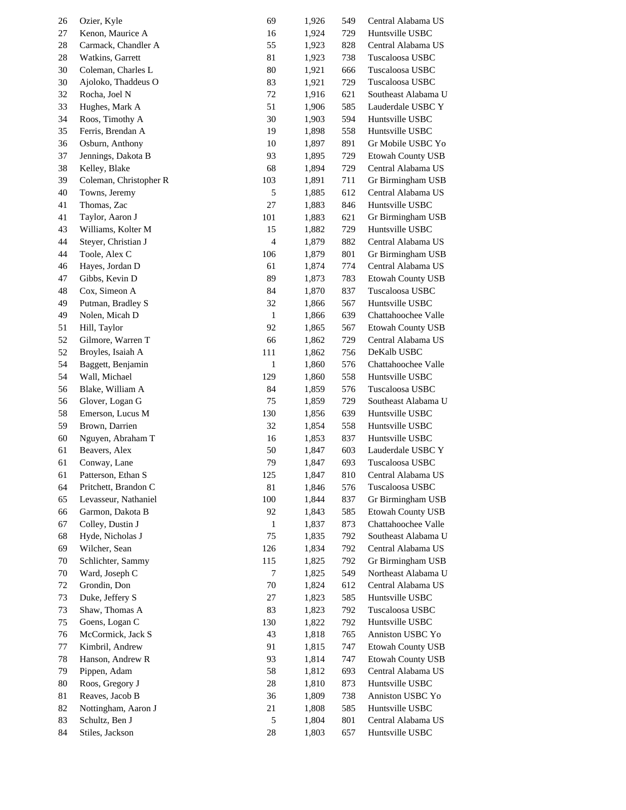| 26 | Ozier, Kyle            | 69           | 1,926 | 549 | Central Alabama US       |
|----|------------------------|--------------|-------|-----|--------------------------|
| 27 | Kenon, Maurice A       | 16           | 1,924 | 729 | Huntsville USBC          |
| 28 | Carmack, Chandler A    | 55           | 1,923 | 828 | Central Alabama US       |
| 28 | Watkins, Garrett       | 81           | 1,923 | 738 | Tuscaloosa USBC          |
| 30 | Coleman, Charles L     | 80           | 1,921 | 666 | Tuscaloosa USBC          |
| 30 | Ajoloko, Thaddeus O    | 83           | 1,921 | 729 | Tuscaloosa USBC          |
| 32 | Rocha, Joel N          | 72           | 1,916 | 621 | Southeast Alabama U      |
| 33 | Hughes, Mark A         | 51           | 1,906 | 585 | Lauderdale USBC Y        |
| 34 | Roos, Timothy A        | 30           | 1,903 | 594 | Huntsville USBC          |
| 35 | Ferris, Brendan A      | 19           | 1,898 | 558 | Huntsville USBC          |
|    | Osburn, Anthony        | 10           |       | 891 | Gr Mobile USBC Yo        |
| 36 |                        |              | 1,897 |     |                          |
| 37 | Jennings, Dakota B     | 93           | 1,895 | 729 | <b>Etowah County USB</b> |
| 38 | Kelley, Blake          | 68           | 1,894 | 729 | Central Alabama US       |
| 39 | Coleman, Christopher R | 103          | 1,891 | 711 | Gr Birmingham USB        |
| 40 | Towns, Jeremy          | 5            | 1,885 | 612 | Central Alabama US       |
| 41 | Thomas, Zac            | 27           | 1,883 | 846 | Huntsville USBC          |
| 41 | Taylor, Aaron J        | 101          | 1,883 | 621 | Gr Birmingham USB        |
| 43 | Williams, Kolter M     | 15           | 1,882 | 729 | Huntsville USBC          |
| 44 | Steyer, Christian J    | 4            | 1,879 | 882 | Central Alabama US       |
| 44 | Toole, Alex C          | 106          | 1,879 | 801 | Gr Birmingham USB        |
| 46 | Hayes, Jordan D        | 61           | 1,874 | 774 | Central Alabama US       |
| 47 | Gibbs, Kevin D         | 89           | 1,873 | 783 | <b>Etowah County USB</b> |
| 48 | Cox, Simeon A          | 84           | 1,870 | 837 | Tuscaloosa USBC          |
| 49 | Putman, Bradley S      | 32           | 1,866 | 567 | Huntsville USBC          |
| 49 | Nolen, Micah D         | $\mathbf{1}$ | 1,866 | 639 | Chattahoochee Valle      |
| 51 | Hill, Taylor           | 92           | 1,865 | 567 | <b>Etowah County USB</b> |
| 52 | Gilmore, Warren T      | 66           | 1,862 | 729 | Central Alabama US       |
| 52 | Broyles, Isaiah A      | 111          | 1,862 | 756 | DeKalb USBC              |
| 54 | Baggett, Benjamin      | $\mathbf{1}$ | 1,860 | 576 | Chattahoochee Valle      |
| 54 | Wall, Michael          | 129          | 1,860 | 558 | Huntsville USBC          |
| 56 | Blake, William A       | 84           | 1,859 | 576 | Tuscaloosa USBC          |
| 56 | Glover, Logan G        | 75           | 1,859 | 729 | Southeast Alabama U      |
| 58 | Emerson, Lucus M       | 130          |       | 639 | Huntsville USBC          |
|    | Brown, Darrien         |              | 1,856 |     | Huntsville USBC          |
| 59 | Nguyen, Abraham T      | 32           | 1,854 | 558 |                          |
| 60 |                        | 16           | 1,853 | 837 | Huntsville USBC          |
| 61 | Beavers, Alex          | 50           | 1,847 | 603 | Lauderdale USBC Y        |
| 61 | Conway, Lane           | 79           | 1,847 | 693 | Tuscaloosa USBC          |
| 61 | Patterson, Ethan S     | 125          | 1,847 | 810 | Central Alabama US       |
| 64 | Pritchett, Brandon C   | 81           | 1,846 | 576 | Tuscaloosa USBC          |
| 65 | Levasseur, Nathaniel   | 100          | 1,844 | 837 | Gr Birmingham USB        |
| 66 | Garmon, Dakota B       | 92           | 1,843 | 585 | Etowah County USB        |
| 67 | Colley, Dustin J       | 1            | 1,837 | 873 | Chattahoochee Valle      |
| 68 | Hyde, Nicholas J       | 75           | 1,835 | 792 | Southeast Alabama U      |
| 69 | Wilcher, Sean          | 126          | 1,834 | 792 | Central Alabama US       |
| 70 | Schlichter, Sammy      | 115          | 1,825 | 792 | Gr Birmingham USB        |
| 70 | Ward, Joseph C         | 7            | 1,825 | 549 | Northeast Alabama U      |
| 72 | Grondin, Don           | 70           | 1,824 | 612 | Central Alabama US       |
| 73 | Duke, Jeffery S        | 27           | 1,823 | 585 | Huntsville USBC          |
| 73 | Shaw, Thomas A         | 83           | 1,823 | 792 | Tuscaloosa USBC          |
| 75 | Goens, Logan C         | 130          | 1,822 | 792 | Huntsville USBC          |
| 76 | McCormick, Jack S      | 43           | 1,818 | 765 | Anniston USBC Yo         |
| 77 | Kimbril, Andrew        | 91           | 1,815 | 747 | <b>Etowah County USB</b> |
| 78 | Hanson, Andrew R       | 93           | 1,814 | 747 | Etowah County USB        |
| 79 | Pippen, Adam           | 58           | 1,812 | 693 | Central Alabama US       |
| 80 | Roos, Gregory J        | $28\,$       | 1,810 | 873 | Huntsville USBC          |
| 81 | Reaves, Jacob B        | 36           | 1,809 | 738 | Anniston USBC Yo         |
| 82 | Nottingham, Aaron J    | 21           | 1,808 | 585 | Huntsville USBC          |
|    | Schultz, Ben J         |              |       |     | Central Alabama US       |
| 83 |                        | 5            | 1,804 | 801 |                          |
| 84 | Stiles, Jackson        | 28           | 1,803 | 657 | Huntsville USBC          |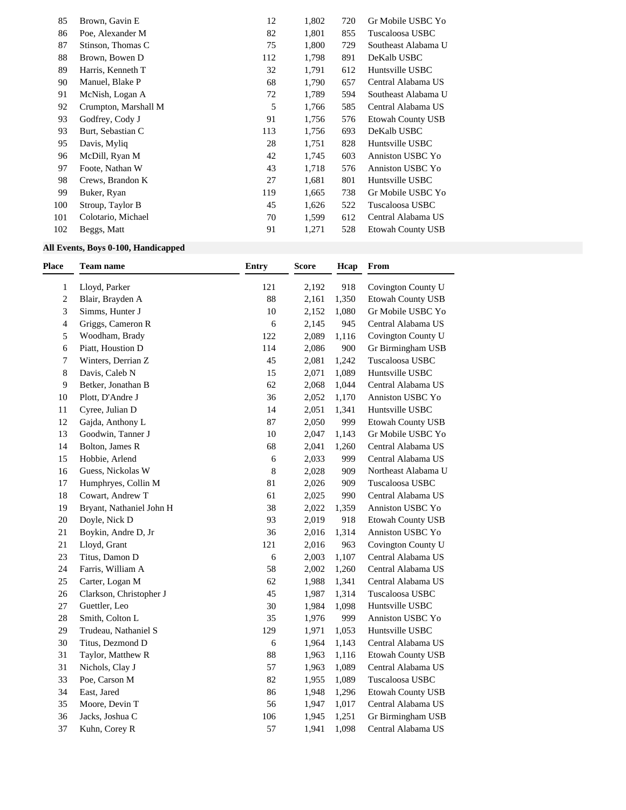| 85  | Brown, Gavin E       | 12  | 1,802 | 720 | Gr Mobile USBC Yo        |
|-----|----------------------|-----|-------|-----|--------------------------|
| 86  | Poe, Alexander M     | 82  | 1,801 | 855 | Tuscaloosa USBC          |
| 87  | Stinson, Thomas C    | 75  | 1,800 | 729 | Southeast Alabama U      |
| 88  | Brown, Bowen D       | 112 | 1,798 | 891 | DeKalb USBC              |
| 89  | Harris, Kenneth T    | 32  | 1,791 | 612 | Huntsville USBC          |
| 90  | Manuel, Blake P      | 68  | 1,790 | 657 | Central Alabama US       |
| 91  | McNish, Logan A      | 72  | 1,789 | 594 | Southeast Alabama U      |
| 92  | Crumpton, Marshall M | 5   | 1,766 | 585 | Central Alabama US       |
| 93  | Godfrey, Cody J      | 91  | 1,756 | 576 | <b>Etowah County USB</b> |
| 93  | Burt, Sebastian C    | 113 | 1,756 | 693 | DeKalb USBC              |
| 95  | Davis, Myliq         | 28  | 1,751 | 828 | Huntsville USBC          |
| 96  | McDill, Ryan M       | 42  | 1,745 | 603 | Anniston USBC Yo         |
| 97  | Foote, Nathan W      | 43  | 1,718 | 576 | Anniston USBC Yo         |
| 98  | Crews, Brandon K     | 27  | 1,681 | 801 | Huntsville USBC          |
| 99  | Buker, Ryan          | 119 | 1,665 | 738 | Gr Mobile USBC Yo        |
| 100 | Stroup, Taylor B     | 45  | 1,626 | 522 | Tuscaloosa USBC          |
| 101 | Colotario, Michael   | 70  | 1,599 | 612 | Central Alabama US       |
| 102 | Beggs, Matt          | 91  | 1,271 | 528 | Etowah County USB        |

### **All Events, Boys 0-100, Handicapped**

| <b>Place</b> | <b>Team name</b>         | <b>Entry</b> | <b>Score</b> | Hcap  | From                     |
|--------------|--------------------------|--------------|--------------|-------|--------------------------|
| $\mathbf{1}$ | Lloyd, Parker            | 121          | 2,192        | 918   | Covington County U       |
| 2            | Blair, Brayden A         | 88           | 2,161        | 1,350 | <b>Etowah County USB</b> |
| 3            | Simms, Hunter J          | 10           | 2,152        | 1,080 | Gr Mobile USBC Yo        |
| 4            | Griggs, Cameron R        | 6            | 2,145        | 945   | Central Alabama US       |
| 5            | Woodham, Brady           | 122          | 2,089        | 1,116 | Covington County U       |
| 6            | Piatt, Houstion D        | 114          | 2,086        | 900   | Gr Birmingham USB        |
| 7            | Winters, Derrian Z       | 45           | 2,081        | 1,242 | Tuscaloosa USBC          |
| 8            | Davis, Caleb N           | 15           | 2,071        | 1,089 | Huntsville USBC          |
| 9            | Betker, Jonathan B       | 62           | 2,068        | 1,044 | Central Alabama US       |
| 10           | Plott, D'Andre J         | 36           | 2,052        | 1,170 | Anniston USBC Yo         |
| 11           | Cyree, Julian D          | 14           | 2,051        | 1,341 | Huntsville USBC          |
| 12           | Gajda, Anthony L         | 87           | 2,050        | 999   | Etowah County USB        |
| 13           | Goodwin, Tanner J        | $10\,$       | 2,047        | 1,143 | Gr Mobile USBC Yo        |
| 14           | Bolton, James R          | 68           | 2,041        | 1,260 | Central Alabama US       |
| 15           | Hobbie, Arlend           | 6            | 2,033        | 999   | Central Alabama US       |
| 16           | Guess, Nickolas W        | 8            | 2,028        | 909   | Northeast Alabama U      |
| 17           | Humphryes, Collin M      | 81           | 2,026        | 909   | Tuscaloosa USBC          |
| 18           | Cowart, Andrew T         | 61           | 2,025        | 990   | Central Alabama US       |
| 19           | Bryant, Nathaniel John H | 38           | 2,022        | 1,359 | Anniston USBC Yo         |
| 20           | Doyle, Nick D            | 93           | 2,019        | 918   | <b>Etowah County USB</b> |
| 21           | Boykin, Andre D, Jr      | 36           | 2,016        | 1,314 | Anniston USBC Yo         |
| 21           | Lloyd, Grant             | 121          | 2,016        | 963   | Covington County U       |
| 23           | Titus, Damon D           | 6            | 2,003        | 1,107 | Central Alabama US       |
| 24           | Farris, William A        | 58           | 2,002        | 1,260 | Central Alabama US       |
| 25           | Carter, Logan M          | 62           | 1,988        | 1,341 | Central Alabama US       |
| 26           | Clarkson, Christopher J  | 45           | 1,987        | 1,314 | Tuscaloosa USBC          |
| $27\,$       | Guettler, Leo            | $30\,$       | 1,984        | 1,098 | Huntsville USBC          |
| 28           | Smith, Colton L          | 35           | 1,976        | 999   | Anniston USBC Yo         |
| 29           | Trudeau, Nathaniel S     | 129          | 1,971        | 1,053 | Huntsville USBC          |
| 30           | Titus, Dezmond D         | 6            | 1,964        | 1,143 | Central Alabama US       |
| 31           | Taylor, Matthew R        | 88           | 1,963        | 1,116 | <b>Etowah County USB</b> |
| 31           | Nichols, Clay J          | 57           | 1,963        | 1,089 | Central Alabama US       |
| 33           | Poe, Carson M            | $82\,$       | 1,955        | 1,089 | Tuscaloosa USBC          |
| 34           | East, Jared              | 86           | 1,948        | 1,296 | <b>Etowah County USB</b> |
| 35           | Moore, Devin T           | 56           | 1,947        | 1,017 | Central Alabama US       |
| 36           | Jacks, Joshua C          | 106          | 1,945        | 1,251 | Gr Birmingham USB        |
| 37           | Kuhn, Corey R            | 57           | 1,941        | 1,098 | Central Alabama US       |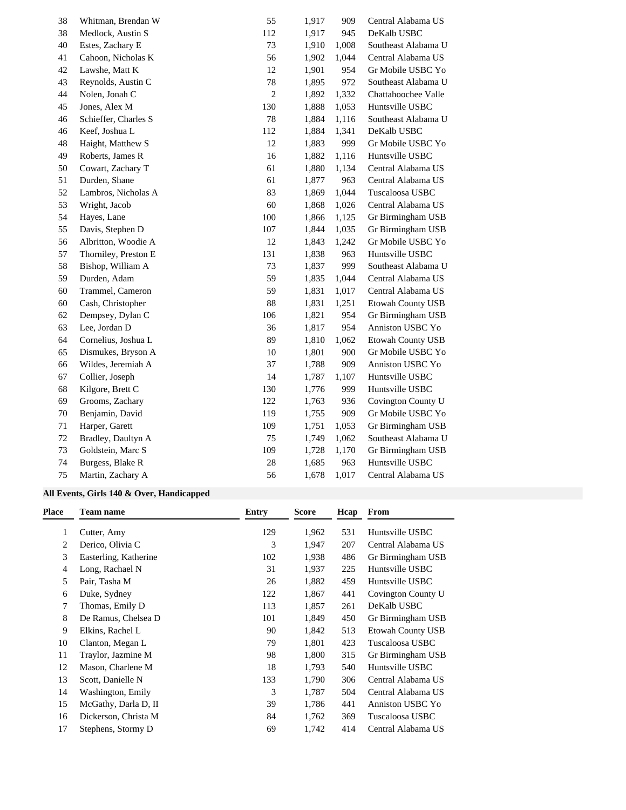| 38 | Whitman, Brendan W   | 55         | 1,917 | 909   | Central Alabama US  |
|----|----------------------|------------|-------|-------|---------------------|
| 38 | Medlock, Austin S    | 112        | 1,917 | 945   | DeKalb USBC         |
| 40 | Estes, Zachary E     | 73         | 1,910 | 1,008 | Southeast Alabama U |
| 41 | Cahoon, Nicholas K   | 56         | 1,902 | 1,044 | Central Alabama US  |
| 42 | Lawshe, Matt K       | 12         | 1,901 | 954   | Gr Mobile USBC Yo   |
| 43 | Reynolds, Austin C   | 78         | 1,895 | 972   | Southeast Alabama U |
| 44 | Nolen, Jonah C       | $\sqrt{2}$ | 1,892 | 1,332 | Chattahoochee Valle |
| 45 | Jones, Alex M        | 130        | 1,888 | 1,053 | Huntsville USBC     |
| 46 | Schieffer, Charles S | $78\,$     | 1,884 | 1,116 | Southeast Alabama U |
| 46 | Keef, Joshua L       | 112        | 1,884 | 1,341 | DeKalb USBC         |
| 48 | Haight, Matthew S    | 12         | 1,883 | 999   | Gr Mobile USBC Yo   |
| 49 | Roberts, James R     | 16         | 1,882 | 1,116 | Huntsville USBC     |
| 50 | Cowart, Zachary T    | 61         | 1,880 | 1,134 | Central Alabama US  |
| 51 | Durden, Shane        | 61         | 1,877 | 963   | Central Alabama US  |
| 52 | Lambros, Nicholas A  | 83         | 1,869 | 1,044 | Tuscaloosa USBC     |
| 53 | Wright, Jacob        | 60         | 1,868 | 1,026 | Central Alabama US  |
| 54 | Hayes, Lane          | 100        | 1,866 | 1,125 | Gr Birmingham USB   |
| 55 | Davis, Stephen D     | 107        | 1,844 | 1,035 | Gr Birmingham USB   |
| 56 | Albritton, Woodie A  | 12         | 1,843 | 1,242 | Gr Mobile USBC Yo   |
| 57 | Thorniley, Preston E | 131        | 1,838 | 963   | Huntsville USBC     |
| 58 | Bishop, William A    | 73         | 1,837 | 999   | Southeast Alabama U |
| 59 | Durden, Adam         | 59         | 1,835 | 1,044 | Central Alabama US  |
| 60 | Trammel, Cameron     | 59         | 1,831 | 1,017 | Central Alabama US  |
| 60 | Cash, Christopher    | 88         | 1,831 | 1,251 | Etowah County USB   |
| 62 | Dempsey, Dylan C     | 106        | 1,821 | 954   | Gr Birmingham USB   |
| 63 | Lee, Jordan D        | 36         | 1,817 | 954   | Anniston USBC Yo    |
| 64 | Cornelius, Joshua L  | 89         | 1,810 | 1,062 | Etowah County USB   |
| 65 | Dismukes, Bryson A   | 10         | 1,801 | 900   | Gr Mobile USBC Yo   |
| 66 | Wildes, Jeremiah A   | 37         | 1,788 | 909   | Anniston USBC Yo    |
| 67 | Collier, Joseph      | 14         | 1,787 | 1,107 | Huntsville USBC     |
| 68 | Kilgore, Brett C     | 130        | 1,776 | 999   | Huntsville USBC     |
| 69 | Grooms, Zachary      | 122        | 1,763 | 936   | Covington County U  |
| 70 | Benjamin, David      | 119        | 1,755 | 909   | Gr Mobile USBC Yo   |
| 71 | Harper, Garett       | 109        | 1,751 | 1,053 | Gr Birmingham USB   |
| 72 | Bradley, Daultyn A   | 75         | 1,749 | 1,062 | Southeast Alabama U |
| 73 | Goldstein, Marc S    | 109        | 1,728 | 1,170 | Gr Birmingham USB   |
| 74 | Burgess, Blake R     | 28         | 1,685 | 963   | Huntsville USBC     |
| 75 | Martin, Zachary A    | 56         | 1,678 | 1,017 | Central Alabama US  |

### **All Events, Girls 140 & Over, Handicapped**

| Place | Team name             | <b>Entry</b> | Score | Hcap | From                     |
|-------|-----------------------|--------------|-------|------|--------------------------|
|       | Cutter, Amy           | 129          | 1,962 | 531  | Huntsville USBC          |
| 2     | Derico, Olivia C      | 3            | 1,947 | 207  | Central Alabama US       |
| 3     | Easterling, Katherine | 102          | 1,938 | 486  | Gr Birmingham USB        |
| 4     | Long, Rachael N       | 31           | 1,937 | 225  | Huntsville USBC          |
| 5     | Pair, Tasha M         | 26           | 1,882 | 459  | Huntsville USBC          |
| 6     | Duke, Sydney          | 122          | 1,867 | 441  | Covington County U       |
| 7     | Thomas, Emily D       | 113          | 1,857 | 261  | DeKalb USBC              |
| 8     | De Ramus, Chelsea D   | 101          | 1,849 | 450  | Gr Birmingham USB        |
| 9     | Elkins, Rachel L      | 90           | 1,842 | 513  | <b>Etowah County USB</b> |
| 10    | Clanton, Megan L      | 79           | 1,801 | 423  | Tuscaloosa USBC          |
| 11    | Traylor, Jazmine M    | 98           | 1,800 | 315  | Gr Birmingham USB        |
| 12    | Mason, Charlene M     | 18           | 1,793 | 540  | Huntsville USBC          |
| 13    | Scott, Danielle N     | 133          | 1,790 | 306  | Central Alabama US       |
| 14    | Washington, Emily     | 3            | 1,787 | 504  | Central Alabama US       |
| 15    | McGathy, Darla D, II  | 39           | 1,786 | 441  | Anniston USBC Yo         |
| 16    | Dickerson, Christa M  | 84           | 1,762 | 369  | Tuscaloosa USBC          |
| 17    | Stephens, Stormy D    | 69           | 1,742 | 414  | Central Alabama US       |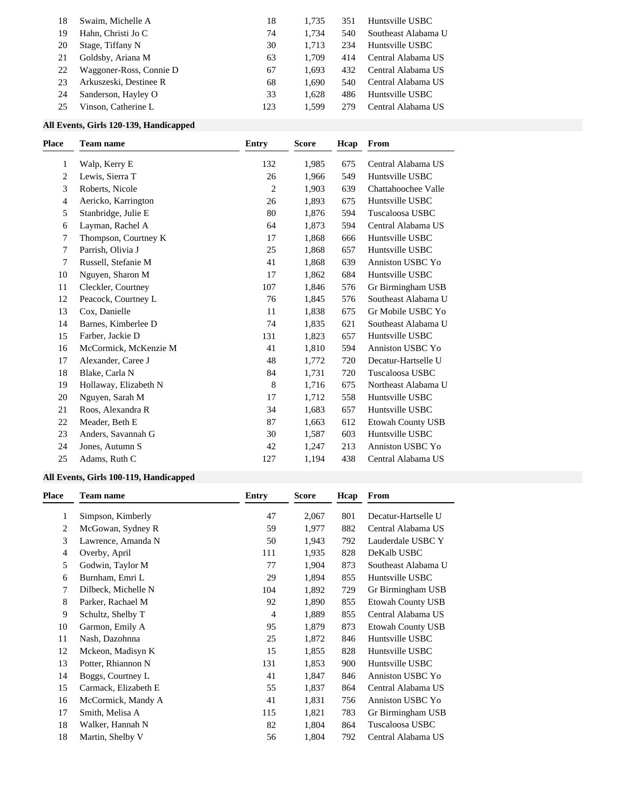| 18 | Swaim, Michelle A       | 18  | 1.735 | 351 | Huntsville USBC     |
|----|-------------------------|-----|-------|-----|---------------------|
| 19 | Hahn, Christi Jo C      | 74  | 1.734 | 540 | Southeast Alabama U |
| 20 | Stage, Tiffany N        | 30  | 1.713 | 234 | Huntsville USBC     |
| 21 | Goldsby, Ariana M       | 63  | 1.709 | 414 | Central Alabama US  |
| 22 | Waggoner-Ross, Connie D | 67  | 1.693 | 432 | Central Alabama US  |
| 23 | Arkuszeski, Destinee R  | 68  | 1.690 | 540 | Central Alabama US  |
| 24 | Sanderson, Hayley O     | 33  | 1.628 | 486 | Huntsville USBC     |
| 25 | Vinson, Catherine L     | 123 | 1.599 | 279 | Central Alabama US  |

### **All Events, Girls 120-139, Handicapped**

| <b>Place</b> | <b>Team name</b>      | <b>Entry</b> | <b>Score</b> | Hcap | From                     |
|--------------|-----------------------|--------------|--------------|------|--------------------------|
| 1            | Walp, Kerry E         | 132          | 1,985        | 675  | Central Alabama US       |
| 2            | Lewis, Sierra T       | 26           | 1,966        | 549  | Huntsville USBC          |
| 3            | Roberts, Nicole       | 2            | 1,903        | 639  | Chattahoochee Valle      |
| 4            | Aericko, Karrington   | 26           | 1,893        | 675  | Huntsville USBC          |
| 5            | Stanbridge, Julie E   | 80           | 1,876        | 594  | Tuscaloosa USBC          |
| 6            | Layman, Rachel A      | 64           | 1,873        | 594  | Central Alabama US       |
| 7            | Thompson, Courtney K  | 17           | 1,868        | 666  | Huntsville USBC          |
| 7            | Parrish, Olivia J     | 25           | 1,868        | 657  | Huntsville USBC          |
| 7            | Russell, Stefanie M   | 41           | 1,868        | 639  | Anniston USBC Yo         |
| 10           | Nguyen, Sharon M      | 17           | 1,862        | 684  | Huntsville USBC          |
| 11           | Cleckler, Courtney    | 107          | 1,846        | 576  | Gr Birmingham USB        |
| 12           | Peacock, Courtney L   | 76           | 1,845        | 576  | Southeast Alabama U      |
| 13           | Cox, Danielle         | 11           | 1,838        | 675  | Gr Mobile USBC Yo        |
| 14           | Barnes, Kimberlee D   | 74           | 1,835        | 621  | Southeast Alabama U      |
| 15           | Farber, Jackie D      | 131          | 1,823        | 657  | Huntsville USBC          |
| 16           | McCormick, McKenzie M | 41           | 1,810        | 594  | Anniston USBC Yo         |
| 17           | Alexander, Caree J    | 48           | 1,772        | 720  | Decatur-Hartselle U      |
| 18           | Blake, Carla N        | 84           | 1,731        | 720  | Tuscaloosa USBC          |
| 19           | Hollaway, Elizabeth N | $\,8\,$      | 1,716        | 675  | Northeast Alabama U      |
| 20           | Nguyen, Sarah M       | 17           | 1,712        | 558  | Huntsville USBC          |
| 21           | Roos, Alexandra R     | 34           | 1,683        | 657  | Huntsville USBC          |
| 22           | Meader, Beth E        | 87           | 1,663        | 612  | <b>Etowah County USB</b> |
| 23           | Anders, Savannah G    | 30           | 1,587        | 603  | Huntsville USBC          |
| 24           | Jones, Autumn S       | 42           | 1,247        | 213  | Anniston USBC Yo         |
| 25           | Adams, Ruth C         | 127          | 1,194        | 438  | Central Alabama US       |

### **All Events, Girls 100-119, Handicapped**

| Place | <b>Team name</b>     | Entry | <b>Score</b> | Hcap | From                     |
|-------|----------------------|-------|--------------|------|--------------------------|
|       | Simpson, Kimberly    | 47    | 2,067        | 801  | Decatur-Hartselle U      |
| 2     | McGowan, Sydney R    | 59    | 1,977        | 882  | Central Alabama US       |
| 3     | Lawrence, Amanda N   | 50    | 1,943        | 792  | Lauderdale USBC Y        |
| 4     | Overby, April        | 111   | 1,935        | 828  | DeKalb USBC              |
| 5     | Godwin, Taylor M     | 77    | 1,904        | 873  | Southeast Alabama U      |
| 6     | Burnham, Emri L      | 29    | 1,894        | 855  | Huntsville USBC          |
| 7     | Dilbeck, Michelle N  | 104   | 1,892        | 729  | Gr Birmingham USB        |
| 8     | Parker, Rachael M    | 92    | 1,890        | 855  | <b>Etowah County USB</b> |
| 9     | Schultz, Shelby T    | 4     | 1,889        | 855  | Central Alabama US       |
| 10    | Garmon, Emily A      | 95    | 1,879        | 873  | <b>Etowah County USB</b> |
| 11    | Nash, Dazohnna       | 25    | 1,872        | 846  | Huntsville USBC          |
| 12    | Mckeon, Madisyn K    | 15    | 1,855        | 828  | Huntsville USBC          |
| 13    | Potter, Rhiannon N   | 131   | 1,853        | 900  | Huntsville USBC          |
| 14    | Boggs, Courtney L    | 41    | 1,847        | 846  | Anniston USBC Yo         |
| 15    | Carmack, Elizabeth E | 55    | 1,837        | 864  | Central Alabama US       |
| 16    | McCormick, Mandy A   | 41    | 1,831        | 756  | Anniston USBC Yo         |
| 17    | Smith, Melisa A      | 115   | 1,821        | 783  | Gr Birmingham USB        |
| 18    | Walker, Hannah N     | 82    | 1,804        | 864  | Tuscaloosa USBC          |
| 18    | Martin, Shelby V     | 56    | 1,804        | 792  | Central Alabama US       |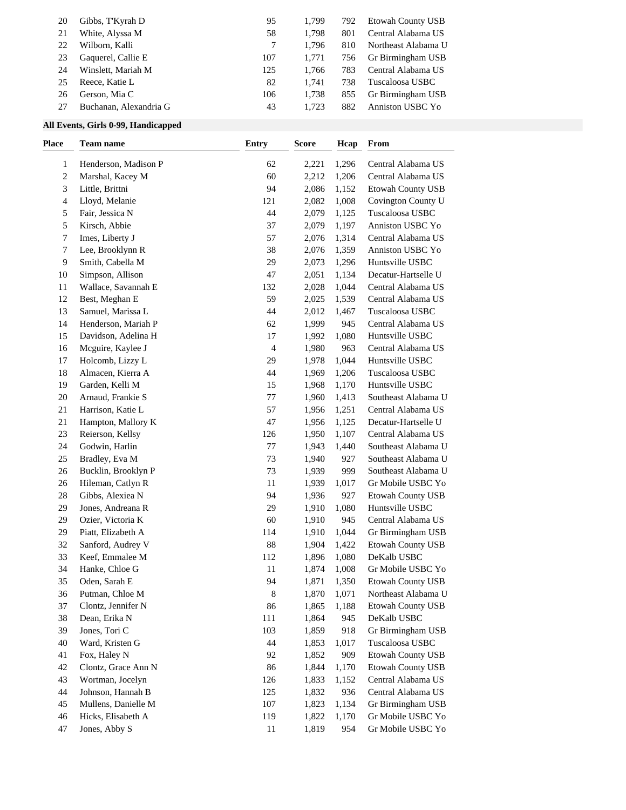| 20 | Gibbs, T'Kyrah D       | 95  | 1.799 | 792 | Etowah County USB   |
|----|------------------------|-----|-------|-----|---------------------|
| 21 | White, Alyssa M        | 58  | 1.798 | 801 | Central Alabama US  |
| 22 | Wilborn, Kalli         |     | 1.796 | 810 | Northeast Alabama U |
| 23 | Gaquerel, Callie E     | 107 | 1.771 | 756 | Gr Birmingham USB   |
| 24 | Winslett, Mariah M     | 125 | 1.766 | 783 | Central Alabama US  |
| 25 | Reece, Katie L         | 82  | 1.741 | 738 | Tuscaloosa USBC     |
| 26 | Gerson, Mia C          | 106 | 1.738 | 855 | Gr Birmingham USB   |
| 27 | Buchanan, Alexandria G | 43  | 1.723 | 882 | Anniston USBC Yo    |

### **All Events, Girls 0-99, Handicapped**

| Henderson, Madison P<br>62<br>1,296<br>Central Alabama US<br>1<br>2,221<br>2,212<br>2<br>Marshal, Kacey M<br>60<br>1,206<br>Central Alabama US<br>3<br>Little, Brittni<br>94<br>2,086<br><b>Etowah County USB</b><br>1,152<br>Lloyd, Melanie<br>121<br>2,082<br>Covington County U<br>4<br>1,008<br>44<br>2,079<br>Tuscaloosa USBC<br>5<br>Fair, Jessica N<br>1,125<br>5<br>Kirsch, Abbie<br>37<br>2,079<br>1,197<br>Anniston USBC Yo<br>Imes, Liberty J<br>57<br>2,076<br>1,314<br>Central Alabama US<br>7<br>38<br>Lee, Brooklynn R<br>2,076<br>Anniston USBC Yo<br>7<br>1,359<br>9<br>Smith, Cabella M<br>29<br>2,073<br>1,296<br>Huntsville USBC<br>Simpson, Allison<br>47<br>2,051<br>Decatur-Hartselle U<br>10<br>1,134<br>Wallace, Savannah E<br>132<br>2,028<br>1,044<br>Central Alabama US<br>11<br>12<br>Best, Meghan E<br>59<br>2,025<br>1,539<br>Central Alabama US<br>13<br>Samuel, Marissa L<br>44<br>2,012<br>Tuscaloosa USBC<br>1,467<br>14<br>Henderson, Mariah P<br>62<br>1,999<br>Central Alabama US<br>945<br>15<br>Davidson, Adelina H<br>17<br>1,080<br>Huntsville USBC<br>1,992<br>Mcguire, Kaylee J<br>$\overline{\mathcal{A}}$<br>1,980<br>Central Alabama US<br>16<br>963<br>Holcomb, Lizzy L<br>29<br>1,978<br>Huntsville USBC<br>17<br>1,044<br>18<br>Almacen, Kierra A<br>44<br>1,969<br>Tuscaloosa USBC<br>1,206<br>19<br>Garden, Kelli M<br>15<br>1,968<br>Huntsville USBC<br>1,170<br>20<br>Arnaud, Frankie S<br>$77 \,$<br>1,960<br>Southeast Alabama U<br>1,413<br>57<br>21<br>Harrison, Katie L<br>1,956<br>1,251<br>Central Alabama US<br>21<br>Hampton, Mallory K<br>47<br>1,956<br>Decatur-Hartselle U<br>1,125<br>23<br>Reierson, Kellsy<br>126<br>1,950<br>Central Alabama US<br>1,107<br>Southeast Alabama U<br>24<br>Godwin, Harlin<br>77<br>1,943<br>1,440<br>25<br>Bradley, Eva M<br>73<br>1,940<br>Southeast Alabama U<br>927<br>26<br>Bucklin, Brooklyn P<br>73<br>Southeast Alabama U<br>1,939<br>999<br>26<br>Hileman, Catlyn R<br>11<br>1,939<br>1,017<br>Gr Mobile USBC Yo<br>94<br>28<br>Gibbs, Alexiea N<br>1,936<br>927<br><b>Etowah County USB</b><br>29<br>Jones, Andreana R<br>29<br>1,910<br>1,080<br>Huntsville USBC<br>29<br>Ozier, Victoria K<br>60<br>1,910<br>945<br>Central Alabama US<br>29<br>Piatt, Elizabeth A<br>114<br>Gr Birmingham USB<br>1,910<br>1,044<br>88<br>32<br>Sanford, Audrey V<br>1,904<br><b>Etowah County USB</b><br>1,422<br>33<br>Keef, Emmalee M<br>112<br>1,896<br>1,080<br>DeKalb USBC<br>34<br>Hanke, Chloe G<br>11<br>1,874<br>Gr Mobile USBC Yo<br>1,008<br>Oden, Sarah E<br>94<br>35<br>1,871<br>1,350<br><b>Etowah County USB</b><br>36<br>8<br>1,870<br>1,071<br>Putman, Chloe M<br>Northeast Alabama U<br>Etowah County USB<br>Clontz, Jennifer N<br>86<br>1,865<br>1,188<br>37<br>38<br>111<br>1,864<br>DeKalb USBC<br>Dean, Erika N<br>945<br>39<br>Jones, Tori C<br>103<br>1,859<br>Gr Birmingham USB<br>918<br>40<br>Ward, Kristen G<br>44<br>Tuscaloosa USBC<br>1,853<br>1,017<br>Fox, Haley N<br>92<br>1,852<br>Etowah County USB<br>41<br>909<br>42<br>Clontz, Grace Ann N<br>86<br>1,844<br><b>Etowah County USB</b><br>1,170<br>43<br>Wortman, Jocelyn<br>126<br>1,833<br>Central Alabama US<br>1,152<br>Johnson, Hannah B<br>125<br>1,832<br>Central Alabama US<br>44<br>936<br>Mullens, Danielle M<br>107<br>Gr Birmingham USB<br>45<br>1,823<br>1,134<br>Hicks, Elisabeth A<br>119<br>Gr Mobile USBC Yo<br>46<br>1,822<br>1,170<br>47<br>954 | Place | Team name     | <b>Entry</b> | <b>Score</b> | Hcap | From              |
|----------------------------------------------------------------------------------------------------------------------------------------------------------------------------------------------------------------------------------------------------------------------------------------------------------------------------------------------------------------------------------------------------------------------------------------------------------------------------------------------------------------------------------------------------------------------------------------------------------------------------------------------------------------------------------------------------------------------------------------------------------------------------------------------------------------------------------------------------------------------------------------------------------------------------------------------------------------------------------------------------------------------------------------------------------------------------------------------------------------------------------------------------------------------------------------------------------------------------------------------------------------------------------------------------------------------------------------------------------------------------------------------------------------------------------------------------------------------------------------------------------------------------------------------------------------------------------------------------------------------------------------------------------------------------------------------------------------------------------------------------------------------------------------------------------------------------------------------------------------------------------------------------------------------------------------------------------------------------------------------------------------------------------------------------------------------------------------------------------------------------------------------------------------------------------------------------------------------------------------------------------------------------------------------------------------------------------------------------------------------------------------------------------------------------------------------------------------------------------------------------------------------------------------------------------------------------------------------------------------------------------------------------------------------------------------------------------------------------------------------------------------------------------------------------------------------------------------------------------------------------------------------------------------------------------------------------------------------------------------------------------------------------------------------------------------------------------------------------------------------------------------------------------------------------------------------------------------------------------------------------------------------------------------------------------------------------------------------------------------------------------------------------------------------------------------------------------|-------|---------------|--------------|--------------|------|-------------------|
|                                                                                                                                                                                                                                                                                                                                                                                                                                                                                                                                                                                                                                                                                                                                                                                                                                                                                                                                                                                                                                                                                                                                                                                                                                                                                                                                                                                                                                                                                                                                                                                                                                                                                                                                                                                                                                                                                                                                                                                                                                                                                                                                                                                                                                                                                                                                                                                                                                                                                                                                                                                                                                                                                                                                                                                                                                                                                                                                                                                                                                                                                                                                                                                                                                                                                                                                                                                                                                                          |       |               |              |              |      |                   |
|                                                                                                                                                                                                                                                                                                                                                                                                                                                                                                                                                                                                                                                                                                                                                                                                                                                                                                                                                                                                                                                                                                                                                                                                                                                                                                                                                                                                                                                                                                                                                                                                                                                                                                                                                                                                                                                                                                                                                                                                                                                                                                                                                                                                                                                                                                                                                                                                                                                                                                                                                                                                                                                                                                                                                                                                                                                                                                                                                                                                                                                                                                                                                                                                                                                                                                                                                                                                                                                          |       |               |              |              |      |                   |
|                                                                                                                                                                                                                                                                                                                                                                                                                                                                                                                                                                                                                                                                                                                                                                                                                                                                                                                                                                                                                                                                                                                                                                                                                                                                                                                                                                                                                                                                                                                                                                                                                                                                                                                                                                                                                                                                                                                                                                                                                                                                                                                                                                                                                                                                                                                                                                                                                                                                                                                                                                                                                                                                                                                                                                                                                                                                                                                                                                                                                                                                                                                                                                                                                                                                                                                                                                                                                                                          |       |               |              |              |      |                   |
|                                                                                                                                                                                                                                                                                                                                                                                                                                                                                                                                                                                                                                                                                                                                                                                                                                                                                                                                                                                                                                                                                                                                                                                                                                                                                                                                                                                                                                                                                                                                                                                                                                                                                                                                                                                                                                                                                                                                                                                                                                                                                                                                                                                                                                                                                                                                                                                                                                                                                                                                                                                                                                                                                                                                                                                                                                                                                                                                                                                                                                                                                                                                                                                                                                                                                                                                                                                                                                                          |       |               |              |              |      |                   |
|                                                                                                                                                                                                                                                                                                                                                                                                                                                                                                                                                                                                                                                                                                                                                                                                                                                                                                                                                                                                                                                                                                                                                                                                                                                                                                                                                                                                                                                                                                                                                                                                                                                                                                                                                                                                                                                                                                                                                                                                                                                                                                                                                                                                                                                                                                                                                                                                                                                                                                                                                                                                                                                                                                                                                                                                                                                                                                                                                                                                                                                                                                                                                                                                                                                                                                                                                                                                                                                          |       |               |              |              |      |                   |
|                                                                                                                                                                                                                                                                                                                                                                                                                                                                                                                                                                                                                                                                                                                                                                                                                                                                                                                                                                                                                                                                                                                                                                                                                                                                                                                                                                                                                                                                                                                                                                                                                                                                                                                                                                                                                                                                                                                                                                                                                                                                                                                                                                                                                                                                                                                                                                                                                                                                                                                                                                                                                                                                                                                                                                                                                                                                                                                                                                                                                                                                                                                                                                                                                                                                                                                                                                                                                                                          |       |               |              |              |      |                   |
|                                                                                                                                                                                                                                                                                                                                                                                                                                                                                                                                                                                                                                                                                                                                                                                                                                                                                                                                                                                                                                                                                                                                                                                                                                                                                                                                                                                                                                                                                                                                                                                                                                                                                                                                                                                                                                                                                                                                                                                                                                                                                                                                                                                                                                                                                                                                                                                                                                                                                                                                                                                                                                                                                                                                                                                                                                                                                                                                                                                                                                                                                                                                                                                                                                                                                                                                                                                                                                                          |       |               |              |              |      |                   |
|                                                                                                                                                                                                                                                                                                                                                                                                                                                                                                                                                                                                                                                                                                                                                                                                                                                                                                                                                                                                                                                                                                                                                                                                                                                                                                                                                                                                                                                                                                                                                                                                                                                                                                                                                                                                                                                                                                                                                                                                                                                                                                                                                                                                                                                                                                                                                                                                                                                                                                                                                                                                                                                                                                                                                                                                                                                                                                                                                                                                                                                                                                                                                                                                                                                                                                                                                                                                                                                          |       |               |              |              |      |                   |
|                                                                                                                                                                                                                                                                                                                                                                                                                                                                                                                                                                                                                                                                                                                                                                                                                                                                                                                                                                                                                                                                                                                                                                                                                                                                                                                                                                                                                                                                                                                                                                                                                                                                                                                                                                                                                                                                                                                                                                                                                                                                                                                                                                                                                                                                                                                                                                                                                                                                                                                                                                                                                                                                                                                                                                                                                                                                                                                                                                                                                                                                                                                                                                                                                                                                                                                                                                                                                                                          |       |               |              |              |      |                   |
|                                                                                                                                                                                                                                                                                                                                                                                                                                                                                                                                                                                                                                                                                                                                                                                                                                                                                                                                                                                                                                                                                                                                                                                                                                                                                                                                                                                                                                                                                                                                                                                                                                                                                                                                                                                                                                                                                                                                                                                                                                                                                                                                                                                                                                                                                                                                                                                                                                                                                                                                                                                                                                                                                                                                                                                                                                                                                                                                                                                                                                                                                                                                                                                                                                                                                                                                                                                                                                                          |       |               |              |              |      |                   |
|                                                                                                                                                                                                                                                                                                                                                                                                                                                                                                                                                                                                                                                                                                                                                                                                                                                                                                                                                                                                                                                                                                                                                                                                                                                                                                                                                                                                                                                                                                                                                                                                                                                                                                                                                                                                                                                                                                                                                                                                                                                                                                                                                                                                                                                                                                                                                                                                                                                                                                                                                                                                                                                                                                                                                                                                                                                                                                                                                                                                                                                                                                                                                                                                                                                                                                                                                                                                                                                          |       |               |              |              |      |                   |
|                                                                                                                                                                                                                                                                                                                                                                                                                                                                                                                                                                                                                                                                                                                                                                                                                                                                                                                                                                                                                                                                                                                                                                                                                                                                                                                                                                                                                                                                                                                                                                                                                                                                                                                                                                                                                                                                                                                                                                                                                                                                                                                                                                                                                                                                                                                                                                                                                                                                                                                                                                                                                                                                                                                                                                                                                                                                                                                                                                                                                                                                                                                                                                                                                                                                                                                                                                                                                                                          |       |               |              |              |      |                   |
|                                                                                                                                                                                                                                                                                                                                                                                                                                                                                                                                                                                                                                                                                                                                                                                                                                                                                                                                                                                                                                                                                                                                                                                                                                                                                                                                                                                                                                                                                                                                                                                                                                                                                                                                                                                                                                                                                                                                                                                                                                                                                                                                                                                                                                                                                                                                                                                                                                                                                                                                                                                                                                                                                                                                                                                                                                                                                                                                                                                                                                                                                                                                                                                                                                                                                                                                                                                                                                                          |       |               |              |              |      |                   |
|                                                                                                                                                                                                                                                                                                                                                                                                                                                                                                                                                                                                                                                                                                                                                                                                                                                                                                                                                                                                                                                                                                                                                                                                                                                                                                                                                                                                                                                                                                                                                                                                                                                                                                                                                                                                                                                                                                                                                                                                                                                                                                                                                                                                                                                                                                                                                                                                                                                                                                                                                                                                                                                                                                                                                                                                                                                                                                                                                                                                                                                                                                                                                                                                                                                                                                                                                                                                                                                          |       |               |              |              |      |                   |
|                                                                                                                                                                                                                                                                                                                                                                                                                                                                                                                                                                                                                                                                                                                                                                                                                                                                                                                                                                                                                                                                                                                                                                                                                                                                                                                                                                                                                                                                                                                                                                                                                                                                                                                                                                                                                                                                                                                                                                                                                                                                                                                                                                                                                                                                                                                                                                                                                                                                                                                                                                                                                                                                                                                                                                                                                                                                                                                                                                                                                                                                                                                                                                                                                                                                                                                                                                                                                                                          |       |               |              |              |      |                   |
|                                                                                                                                                                                                                                                                                                                                                                                                                                                                                                                                                                                                                                                                                                                                                                                                                                                                                                                                                                                                                                                                                                                                                                                                                                                                                                                                                                                                                                                                                                                                                                                                                                                                                                                                                                                                                                                                                                                                                                                                                                                                                                                                                                                                                                                                                                                                                                                                                                                                                                                                                                                                                                                                                                                                                                                                                                                                                                                                                                                                                                                                                                                                                                                                                                                                                                                                                                                                                                                          |       |               |              |              |      |                   |
|                                                                                                                                                                                                                                                                                                                                                                                                                                                                                                                                                                                                                                                                                                                                                                                                                                                                                                                                                                                                                                                                                                                                                                                                                                                                                                                                                                                                                                                                                                                                                                                                                                                                                                                                                                                                                                                                                                                                                                                                                                                                                                                                                                                                                                                                                                                                                                                                                                                                                                                                                                                                                                                                                                                                                                                                                                                                                                                                                                                                                                                                                                                                                                                                                                                                                                                                                                                                                                                          |       |               |              |              |      |                   |
|                                                                                                                                                                                                                                                                                                                                                                                                                                                                                                                                                                                                                                                                                                                                                                                                                                                                                                                                                                                                                                                                                                                                                                                                                                                                                                                                                                                                                                                                                                                                                                                                                                                                                                                                                                                                                                                                                                                                                                                                                                                                                                                                                                                                                                                                                                                                                                                                                                                                                                                                                                                                                                                                                                                                                                                                                                                                                                                                                                                                                                                                                                                                                                                                                                                                                                                                                                                                                                                          |       |               |              |              |      |                   |
|                                                                                                                                                                                                                                                                                                                                                                                                                                                                                                                                                                                                                                                                                                                                                                                                                                                                                                                                                                                                                                                                                                                                                                                                                                                                                                                                                                                                                                                                                                                                                                                                                                                                                                                                                                                                                                                                                                                                                                                                                                                                                                                                                                                                                                                                                                                                                                                                                                                                                                                                                                                                                                                                                                                                                                                                                                                                                                                                                                                                                                                                                                                                                                                                                                                                                                                                                                                                                                                          |       |               |              |              |      |                   |
|                                                                                                                                                                                                                                                                                                                                                                                                                                                                                                                                                                                                                                                                                                                                                                                                                                                                                                                                                                                                                                                                                                                                                                                                                                                                                                                                                                                                                                                                                                                                                                                                                                                                                                                                                                                                                                                                                                                                                                                                                                                                                                                                                                                                                                                                                                                                                                                                                                                                                                                                                                                                                                                                                                                                                                                                                                                                                                                                                                                                                                                                                                                                                                                                                                                                                                                                                                                                                                                          |       |               |              |              |      |                   |
|                                                                                                                                                                                                                                                                                                                                                                                                                                                                                                                                                                                                                                                                                                                                                                                                                                                                                                                                                                                                                                                                                                                                                                                                                                                                                                                                                                                                                                                                                                                                                                                                                                                                                                                                                                                                                                                                                                                                                                                                                                                                                                                                                                                                                                                                                                                                                                                                                                                                                                                                                                                                                                                                                                                                                                                                                                                                                                                                                                                                                                                                                                                                                                                                                                                                                                                                                                                                                                                          |       |               |              |              |      |                   |
|                                                                                                                                                                                                                                                                                                                                                                                                                                                                                                                                                                                                                                                                                                                                                                                                                                                                                                                                                                                                                                                                                                                                                                                                                                                                                                                                                                                                                                                                                                                                                                                                                                                                                                                                                                                                                                                                                                                                                                                                                                                                                                                                                                                                                                                                                                                                                                                                                                                                                                                                                                                                                                                                                                                                                                                                                                                                                                                                                                                                                                                                                                                                                                                                                                                                                                                                                                                                                                                          |       |               |              |              |      |                   |
|                                                                                                                                                                                                                                                                                                                                                                                                                                                                                                                                                                                                                                                                                                                                                                                                                                                                                                                                                                                                                                                                                                                                                                                                                                                                                                                                                                                                                                                                                                                                                                                                                                                                                                                                                                                                                                                                                                                                                                                                                                                                                                                                                                                                                                                                                                                                                                                                                                                                                                                                                                                                                                                                                                                                                                                                                                                                                                                                                                                                                                                                                                                                                                                                                                                                                                                                                                                                                                                          |       |               |              |              |      |                   |
|                                                                                                                                                                                                                                                                                                                                                                                                                                                                                                                                                                                                                                                                                                                                                                                                                                                                                                                                                                                                                                                                                                                                                                                                                                                                                                                                                                                                                                                                                                                                                                                                                                                                                                                                                                                                                                                                                                                                                                                                                                                                                                                                                                                                                                                                                                                                                                                                                                                                                                                                                                                                                                                                                                                                                                                                                                                                                                                                                                                                                                                                                                                                                                                                                                                                                                                                                                                                                                                          |       |               |              |              |      |                   |
|                                                                                                                                                                                                                                                                                                                                                                                                                                                                                                                                                                                                                                                                                                                                                                                                                                                                                                                                                                                                                                                                                                                                                                                                                                                                                                                                                                                                                                                                                                                                                                                                                                                                                                                                                                                                                                                                                                                                                                                                                                                                                                                                                                                                                                                                                                                                                                                                                                                                                                                                                                                                                                                                                                                                                                                                                                                                                                                                                                                                                                                                                                                                                                                                                                                                                                                                                                                                                                                          |       |               |              |              |      |                   |
|                                                                                                                                                                                                                                                                                                                                                                                                                                                                                                                                                                                                                                                                                                                                                                                                                                                                                                                                                                                                                                                                                                                                                                                                                                                                                                                                                                                                                                                                                                                                                                                                                                                                                                                                                                                                                                                                                                                                                                                                                                                                                                                                                                                                                                                                                                                                                                                                                                                                                                                                                                                                                                                                                                                                                                                                                                                                                                                                                                                                                                                                                                                                                                                                                                                                                                                                                                                                                                                          |       |               |              |              |      |                   |
|                                                                                                                                                                                                                                                                                                                                                                                                                                                                                                                                                                                                                                                                                                                                                                                                                                                                                                                                                                                                                                                                                                                                                                                                                                                                                                                                                                                                                                                                                                                                                                                                                                                                                                                                                                                                                                                                                                                                                                                                                                                                                                                                                                                                                                                                                                                                                                                                                                                                                                                                                                                                                                                                                                                                                                                                                                                                                                                                                                                                                                                                                                                                                                                                                                                                                                                                                                                                                                                          |       |               |              |              |      |                   |
|                                                                                                                                                                                                                                                                                                                                                                                                                                                                                                                                                                                                                                                                                                                                                                                                                                                                                                                                                                                                                                                                                                                                                                                                                                                                                                                                                                                                                                                                                                                                                                                                                                                                                                                                                                                                                                                                                                                                                                                                                                                                                                                                                                                                                                                                                                                                                                                                                                                                                                                                                                                                                                                                                                                                                                                                                                                                                                                                                                                                                                                                                                                                                                                                                                                                                                                                                                                                                                                          |       |               |              |              |      |                   |
|                                                                                                                                                                                                                                                                                                                                                                                                                                                                                                                                                                                                                                                                                                                                                                                                                                                                                                                                                                                                                                                                                                                                                                                                                                                                                                                                                                                                                                                                                                                                                                                                                                                                                                                                                                                                                                                                                                                                                                                                                                                                                                                                                                                                                                                                                                                                                                                                                                                                                                                                                                                                                                                                                                                                                                                                                                                                                                                                                                                                                                                                                                                                                                                                                                                                                                                                                                                                                                                          |       |               |              |              |      |                   |
|                                                                                                                                                                                                                                                                                                                                                                                                                                                                                                                                                                                                                                                                                                                                                                                                                                                                                                                                                                                                                                                                                                                                                                                                                                                                                                                                                                                                                                                                                                                                                                                                                                                                                                                                                                                                                                                                                                                                                                                                                                                                                                                                                                                                                                                                                                                                                                                                                                                                                                                                                                                                                                                                                                                                                                                                                                                                                                                                                                                                                                                                                                                                                                                                                                                                                                                                                                                                                                                          |       |               |              |              |      |                   |
|                                                                                                                                                                                                                                                                                                                                                                                                                                                                                                                                                                                                                                                                                                                                                                                                                                                                                                                                                                                                                                                                                                                                                                                                                                                                                                                                                                                                                                                                                                                                                                                                                                                                                                                                                                                                                                                                                                                                                                                                                                                                                                                                                                                                                                                                                                                                                                                                                                                                                                                                                                                                                                                                                                                                                                                                                                                                                                                                                                                                                                                                                                                                                                                                                                                                                                                                                                                                                                                          |       |               |              |              |      |                   |
|                                                                                                                                                                                                                                                                                                                                                                                                                                                                                                                                                                                                                                                                                                                                                                                                                                                                                                                                                                                                                                                                                                                                                                                                                                                                                                                                                                                                                                                                                                                                                                                                                                                                                                                                                                                                                                                                                                                                                                                                                                                                                                                                                                                                                                                                                                                                                                                                                                                                                                                                                                                                                                                                                                                                                                                                                                                                                                                                                                                                                                                                                                                                                                                                                                                                                                                                                                                                                                                          |       |               |              |              |      |                   |
|                                                                                                                                                                                                                                                                                                                                                                                                                                                                                                                                                                                                                                                                                                                                                                                                                                                                                                                                                                                                                                                                                                                                                                                                                                                                                                                                                                                                                                                                                                                                                                                                                                                                                                                                                                                                                                                                                                                                                                                                                                                                                                                                                                                                                                                                                                                                                                                                                                                                                                                                                                                                                                                                                                                                                                                                                                                                                                                                                                                                                                                                                                                                                                                                                                                                                                                                                                                                                                                          |       |               |              |              |      |                   |
|                                                                                                                                                                                                                                                                                                                                                                                                                                                                                                                                                                                                                                                                                                                                                                                                                                                                                                                                                                                                                                                                                                                                                                                                                                                                                                                                                                                                                                                                                                                                                                                                                                                                                                                                                                                                                                                                                                                                                                                                                                                                                                                                                                                                                                                                                                                                                                                                                                                                                                                                                                                                                                                                                                                                                                                                                                                                                                                                                                                                                                                                                                                                                                                                                                                                                                                                                                                                                                                          |       |               |              |              |      |                   |
|                                                                                                                                                                                                                                                                                                                                                                                                                                                                                                                                                                                                                                                                                                                                                                                                                                                                                                                                                                                                                                                                                                                                                                                                                                                                                                                                                                                                                                                                                                                                                                                                                                                                                                                                                                                                                                                                                                                                                                                                                                                                                                                                                                                                                                                                                                                                                                                                                                                                                                                                                                                                                                                                                                                                                                                                                                                                                                                                                                                                                                                                                                                                                                                                                                                                                                                                                                                                                                                          |       |               |              |              |      |                   |
|                                                                                                                                                                                                                                                                                                                                                                                                                                                                                                                                                                                                                                                                                                                                                                                                                                                                                                                                                                                                                                                                                                                                                                                                                                                                                                                                                                                                                                                                                                                                                                                                                                                                                                                                                                                                                                                                                                                                                                                                                                                                                                                                                                                                                                                                                                                                                                                                                                                                                                                                                                                                                                                                                                                                                                                                                                                                                                                                                                                                                                                                                                                                                                                                                                                                                                                                                                                                                                                          |       |               |              |              |      |                   |
|                                                                                                                                                                                                                                                                                                                                                                                                                                                                                                                                                                                                                                                                                                                                                                                                                                                                                                                                                                                                                                                                                                                                                                                                                                                                                                                                                                                                                                                                                                                                                                                                                                                                                                                                                                                                                                                                                                                                                                                                                                                                                                                                                                                                                                                                                                                                                                                                                                                                                                                                                                                                                                                                                                                                                                                                                                                                                                                                                                                                                                                                                                                                                                                                                                                                                                                                                                                                                                                          |       |               |              |              |      |                   |
|                                                                                                                                                                                                                                                                                                                                                                                                                                                                                                                                                                                                                                                                                                                                                                                                                                                                                                                                                                                                                                                                                                                                                                                                                                                                                                                                                                                                                                                                                                                                                                                                                                                                                                                                                                                                                                                                                                                                                                                                                                                                                                                                                                                                                                                                                                                                                                                                                                                                                                                                                                                                                                                                                                                                                                                                                                                                                                                                                                                                                                                                                                                                                                                                                                                                                                                                                                                                                                                          |       |               |              |              |      |                   |
|                                                                                                                                                                                                                                                                                                                                                                                                                                                                                                                                                                                                                                                                                                                                                                                                                                                                                                                                                                                                                                                                                                                                                                                                                                                                                                                                                                                                                                                                                                                                                                                                                                                                                                                                                                                                                                                                                                                                                                                                                                                                                                                                                                                                                                                                                                                                                                                                                                                                                                                                                                                                                                                                                                                                                                                                                                                                                                                                                                                                                                                                                                                                                                                                                                                                                                                                                                                                                                                          |       |               |              |              |      |                   |
|                                                                                                                                                                                                                                                                                                                                                                                                                                                                                                                                                                                                                                                                                                                                                                                                                                                                                                                                                                                                                                                                                                                                                                                                                                                                                                                                                                                                                                                                                                                                                                                                                                                                                                                                                                                                                                                                                                                                                                                                                                                                                                                                                                                                                                                                                                                                                                                                                                                                                                                                                                                                                                                                                                                                                                                                                                                                                                                                                                                                                                                                                                                                                                                                                                                                                                                                                                                                                                                          |       |               |              |              |      |                   |
|                                                                                                                                                                                                                                                                                                                                                                                                                                                                                                                                                                                                                                                                                                                                                                                                                                                                                                                                                                                                                                                                                                                                                                                                                                                                                                                                                                                                                                                                                                                                                                                                                                                                                                                                                                                                                                                                                                                                                                                                                                                                                                                                                                                                                                                                                                                                                                                                                                                                                                                                                                                                                                                                                                                                                                                                                                                                                                                                                                                                                                                                                                                                                                                                                                                                                                                                                                                                                                                          |       |               |              |              |      |                   |
|                                                                                                                                                                                                                                                                                                                                                                                                                                                                                                                                                                                                                                                                                                                                                                                                                                                                                                                                                                                                                                                                                                                                                                                                                                                                                                                                                                                                                                                                                                                                                                                                                                                                                                                                                                                                                                                                                                                                                                                                                                                                                                                                                                                                                                                                                                                                                                                                                                                                                                                                                                                                                                                                                                                                                                                                                                                                                                                                                                                                                                                                                                                                                                                                                                                                                                                                                                                                                                                          |       |               |              |              |      |                   |
|                                                                                                                                                                                                                                                                                                                                                                                                                                                                                                                                                                                                                                                                                                                                                                                                                                                                                                                                                                                                                                                                                                                                                                                                                                                                                                                                                                                                                                                                                                                                                                                                                                                                                                                                                                                                                                                                                                                                                                                                                                                                                                                                                                                                                                                                                                                                                                                                                                                                                                                                                                                                                                                                                                                                                                                                                                                                                                                                                                                                                                                                                                                                                                                                                                                                                                                                                                                                                                                          |       |               |              |              |      |                   |
|                                                                                                                                                                                                                                                                                                                                                                                                                                                                                                                                                                                                                                                                                                                                                                                                                                                                                                                                                                                                                                                                                                                                                                                                                                                                                                                                                                                                                                                                                                                                                                                                                                                                                                                                                                                                                                                                                                                                                                                                                                                                                                                                                                                                                                                                                                                                                                                                                                                                                                                                                                                                                                                                                                                                                                                                                                                                                                                                                                                                                                                                                                                                                                                                                                                                                                                                                                                                                                                          |       |               |              |              |      |                   |
|                                                                                                                                                                                                                                                                                                                                                                                                                                                                                                                                                                                                                                                                                                                                                                                                                                                                                                                                                                                                                                                                                                                                                                                                                                                                                                                                                                                                                                                                                                                                                                                                                                                                                                                                                                                                                                                                                                                                                                                                                                                                                                                                                                                                                                                                                                                                                                                                                                                                                                                                                                                                                                                                                                                                                                                                                                                                                                                                                                                                                                                                                                                                                                                                                                                                                                                                                                                                                                                          |       |               |              |              |      |                   |
|                                                                                                                                                                                                                                                                                                                                                                                                                                                                                                                                                                                                                                                                                                                                                                                                                                                                                                                                                                                                                                                                                                                                                                                                                                                                                                                                                                                                                                                                                                                                                                                                                                                                                                                                                                                                                                                                                                                                                                                                                                                                                                                                                                                                                                                                                                                                                                                                                                                                                                                                                                                                                                                                                                                                                                                                                                                                                                                                                                                                                                                                                                                                                                                                                                                                                                                                                                                                                                                          |       |               |              |              |      |                   |
|                                                                                                                                                                                                                                                                                                                                                                                                                                                                                                                                                                                                                                                                                                                                                                                                                                                                                                                                                                                                                                                                                                                                                                                                                                                                                                                                                                                                                                                                                                                                                                                                                                                                                                                                                                                                                                                                                                                                                                                                                                                                                                                                                                                                                                                                                                                                                                                                                                                                                                                                                                                                                                                                                                                                                                                                                                                                                                                                                                                                                                                                                                                                                                                                                                                                                                                                                                                                                                                          |       | Jones, Abby S | 11           | 1,819        |      | Gr Mobile USBC Yo |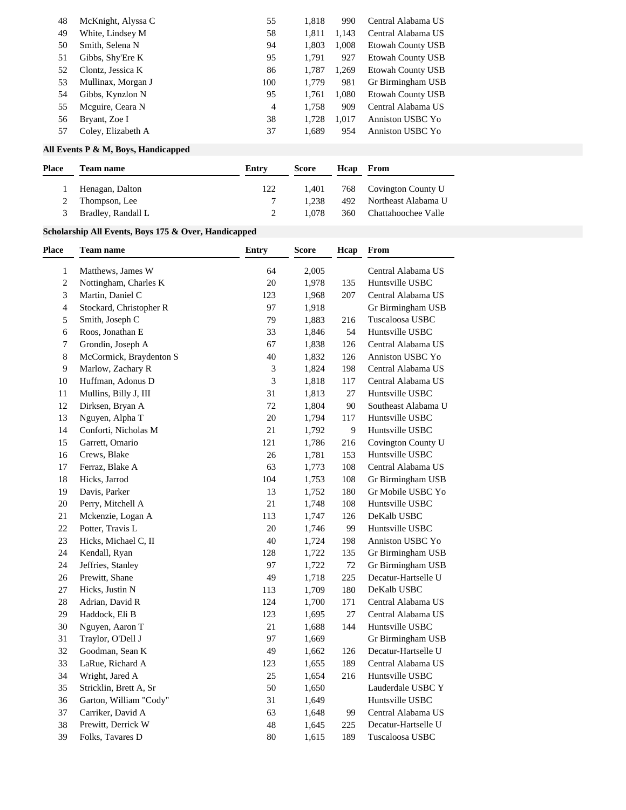| 48 | McKnight, Alyssa C | 55  | 1.818 | 990   | Central Alabama US       |
|----|--------------------|-----|-------|-------|--------------------------|
| 49 | White, Lindsey M   | 58  | 1,811 | 1,143 | Central Alabama US       |
| 50 | Smith, Selena N    | 94  | 1.803 | 1.008 | <b>Etowah County USB</b> |
| 51 | Gibbs, Shy'Ere K   | 95  | 1.791 | 927   | Etowah County USB        |
| 52 | Clontz, Jessica K  | 86  | 1.787 | 1,269 | Etowah County USB        |
| 53 | Mullinax, Morgan J | 100 | 1.779 | 981   | Gr Birmingham USB        |
| 54 | Gibbs, Kynzlon N   | 95  | 1.761 | 1,080 | <b>Etowah County USB</b> |
| 55 | Meguire, Ceara N   | 4   | 1.758 | 909   | Central Alabama US       |
| 56 | Bryant, Zoe I      | 38  | 1.728 | 1.017 | Anniston USBC Yo         |
| 57 | Coley, Elizabeth A | 37  | 1,689 | 954   | Anniston USBC Yo         |
|    |                    |     |       |       |                          |

## **All Events P & M, Boys, Handicapped**

| <b>Place</b><br><b>Team name</b><br>Hcap<br>Entry<br>From<br>Score |
|--------------------------------------------------------------------|
| Henagan, Dalton<br>122<br>768 Covington County U<br>1.401          |
| 492 Northeast Alabama U<br>1.238<br>Thompson, Lee                  |
| Bradley, Randall L<br>360 Chattahoochee Valle<br>1.078<br>3        |

## **Scholarship All Events, Boys 175 & Over, Handicapped**

| Place          | <b>Team name</b>        | Entry                       | <b>Score</b> | Hcap | From                |
|----------------|-------------------------|-----------------------------|--------------|------|---------------------|
| $\mathbf{1}$   | Matthews, James W       | 64                          | 2,005        |      | Central Alabama US  |
| 2              | Nottingham, Charles K   | 20                          | 1,978        | 135  | Huntsville USBC     |
| 3              | Martin, Daniel C        | 123                         | 1,968        | 207  | Central Alabama US  |
| $\overline{4}$ | Stockard, Christopher R | 97                          | 1,918        |      | Gr Birmingham USB   |
| 5              | Smith, Joseph C         | 79                          | 1,883        | 216  | Tuscaloosa USBC     |
| 6              | Roos, Jonathan E        | 33                          | 1,846        | 54   | Huntsville USBC     |
| 7              | Grondin, Joseph A       | 67                          | 1,838        | 126  | Central Alabama US  |
| 8              | McCormick, Braydenton S | 40                          | 1,832        | 126  | Anniston USBC Yo    |
| 9              | Marlow, Zachary R       | $\ensuremath{\mathfrak{Z}}$ | 1,824        | 198  | Central Alabama US  |
| 10             | Huffman, Adonus D       | $\mathfrak{Z}$              | 1,818        | 117  | Central Alabama US  |
| 11             | Mullins, Billy J, III   | 31                          | 1,813        | 27   | Huntsville USBC     |
| 12             | Dirksen, Bryan A        | 72                          | 1,804        | 90   | Southeast Alabama U |
| 13             | Nguyen, Alpha T         | $20\,$                      | 1,794        | 117  | Huntsville USBC     |
| 14             | Conforti, Nicholas M    | 21                          | 1,792        | 9    | Huntsville USBC     |
| 15             | Garrett, Omario         | 121                         | 1,786        | 216  | Covington County U  |
| 16             | Crews, Blake            | 26                          | 1,781        | 153  | Huntsville USBC     |
| 17             | Ferraz, Blake A         | 63                          | 1,773        | 108  | Central Alabama US  |
| 18             | Hicks, Jarrod           | 104                         | 1,753        | 108  | Gr Birmingham USB   |
| 19             | Davis, Parker           | 13                          | 1,752        | 180  | Gr Mobile USBC Yo   |
| 20             | Perry, Mitchell A       | 21                          | 1,748        | 108  | Huntsville USBC     |
| $21\,$         | Mckenzie, Logan A       | 113                         | 1,747        | 126  | DeKalb USBC         |
| 22             | Potter, Travis L        | 20                          | 1,746        | 99   | Huntsville USBC     |
| 23             | Hicks, Michael C, II    | 40                          | 1,724        | 198  | Anniston USBC Yo    |
| 24             | Kendall, Ryan           | 128                         | 1,722        | 135  | Gr Birmingham USB   |
| 24             | Jeffries, Stanley       | 97                          | 1,722        | 72   | Gr Birmingham USB   |
| 26             | Prewitt, Shane          | 49                          | 1,718        | 225  | Decatur-Hartselle U |
| 27             | Hicks, Justin N         | 113                         | 1,709        | 180  | DeKalb USBC         |
| 28             | Adrian, David R         | 124                         | 1,700        | 171  | Central Alabama US  |
| 29             | Haddock, Eli B          | 123                         | 1,695        | 27   | Central Alabama US  |
| 30             | Nguyen, Aaron T         | $21\,$                      | 1,688        | 144  | Huntsville USBC     |
| 31             | Traylor, O'Dell J       | 97                          | 1,669        |      | Gr Birmingham USB   |
| 32             | Goodman, Sean K         | 49                          | 1,662        | 126  | Decatur-Hartselle U |
| 33             | LaRue, Richard A        | 123                         | 1,655        | 189  | Central Alabama US  |
| 34             | Wright, Jared A         | 25                          | 1,654        | 216  | Huntsville USBC     |
| 35             | Stricklin, Brett A, Sr  | 50                          | 1,650        |      | Lauderdale USBC Y   |
| 36             | Garton, William "Cody"  | 31                          | 1,649        |      | Huntsville USBC     |
| 37             | Carriker, David A       | 63                          | 1,648        | 99   | Central Alabama US  |
| 38             | Prewitt, Derrick W      | 48                          | 1,645        | 225  | Decatur-Hartselle U |
| 39             | Folks, Tavares D        | 80                          | 1,615        | 189  | Tuscaloosa USBC     |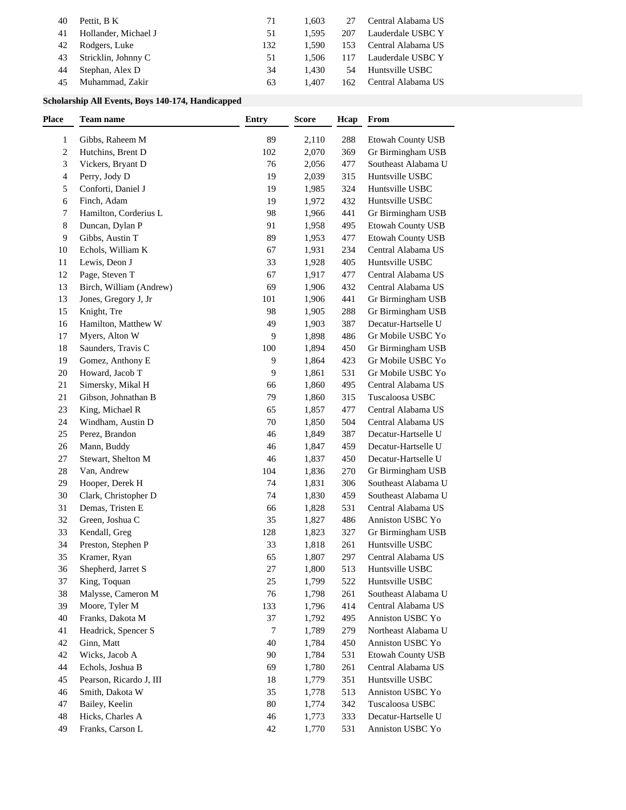| Hollander, Michael J<br>Lauderdale USBC Y<br>1.595<br>207<br>51<br>41<br>Rodgers, Luke<br>Central Alabama US<br>132<br>1.590<br>153<br>42<br>43 Stricklin, Johnny C<br>Lauderdale USBC Y<br>1.506<br>117<br>51 |
|----------------------------------------------------------------------------------------------------------------------------------------------------------------------------------------------------------------|
|                                                                                                                                                                                                                |
|                                                                                                                                                                                                                |
|                                                                                                                                                                                                                |
| Stephan, Alex D<br>Huntsville USBC<br>34<br>1.430<br>54<br>44                                                                                                                                                  |
| Muhammad, Zakir<br>Central Alabama US<br>1.407<br>63<br>162<br>45                                                                                                                                              |

### **Scholarship All Events, Boys 140-174, Handicapped**

| Place        | <b>Team name</b>                      | <b>Entry</b> | <b>Score</b>   | Hcap       | From                     |
|--------------|---------------------------------------|--------------|----------------|------------|--------------------------|
| $\mathbf{1}$ | Gibbs, Raheem M                       | 89           | 2,110          | 288        | Etowah County USB        |
| 2            | Hutchins, Brent D                     | 102          | 2,070          | 369        | Gr Birmingham USB        |
| 3            | Vickers, Bryant D                     | 76           | 2,056          | 477        | Southeast Alabama U      |
| 4            | Perry, Jody D                         | 19           | 2,039          | 315        | Huntsville USBC          |
| 5            | Conforti, Daniel J                    | 19           | 1,985          | 324        | Huntsville USBC          |
| 6            | Finch, Adam                           | 19           | 1,972          | 432        | Huntsville USBC          |
| 7            | Hamilton, Corderius L                 | 98           | 1,966          | 441        | Gr Birmingham USB        |
| 8            | Duncan, Dylan P                       | 91           | 1,958          | 495        | Etowah County USB        |
| 9            | Gibbs, Austin T                       | 89           | 1,953          | 477        | <b>Etowah County USB</b> |
| 10           | Echols, William K                     | 67           | 1,931          | 234        | Central Alabama US       |
| 11           | Lewis, Deon J                         | 33           | 1,928          | 405        | Huntsville USBC          |
| 12           | Page, Steven T                        | 67           | 1,917          | 477        | Central Alabama US       |
| 13           | Birch, William (Andrew)               | 69           | 1,906          | 432        | Central Alabama US       |
| 13           | Jones, Gregory J, Jr                  | 101          | 1,906          | 441        | Gr Birmingham USB        |
| 15           | Knight, Tre                           | 98           | 1,905          | 288        | Gr Birmingham USB        |
|              |                                       |              |                |            | Decatur-Hartselle U      |
| 16           | Hamilton, Matthew W<br>Myers, Alton W | 49<br>9      | 1,903<br>1,898 | 387<br>486 | Gr Mobile USBC Yo        |
| 17           |                                       |              |                |            |                          |
| 18           | Saunders, Travis C                    | 100          | 1,894          | 450        | Gr Birmingham USB        |
| 19           | Gomez, Anthony E<br>Howard, Jacob T   | 9            | 1,864          | 423        | Gr Mobile USBC Yo        |
| 20           |                                       | 9            | 1,861          | 531        | Gr Mobile USBC Yo        |
| 21           | Simersky, Mikal H                     | 66           | 1,860          | 495        | Central Alabama US       |
| 21           | Gibson, Johnathan B                   | 79           | 1,860          | 315        | Tuscaloosa USBC          |
| 23           | King, Michael R                       | 65           | 1,857          | 477        | Central Alabama US       |
| 24           | Windham, Austin D                     | $70\,$       | 1,850          | 504        | Central Alabama US       |
| 25           | Perez, Brandon                        | 46           | 1,849          | 387        | Decatur-Hartselle U      |
| 26           | Mann, Buddy                           | 46           | 1,847          | 459        | Decatur-Hartselle U      |
| $27\,$       | Stewart, Shelton M                    | 46           | 1,837          | 450        | Decatur-Hartselle U      |
| 28           | Van, Andrew                           | 104          | 1,836          | 270        | Gr Birmingham USB        |
| 29           | Hooper, Derek H                       | 74           | 1,831          | 306        | Southeast Alabama U      |
| 30           | Clark, Christopher D                  | 74           | 1,830          | 459        | Southeast Alabama U      |
| 31           | Demas, Tristen E                      | 66           | 1,828          | 531        | Central Alabama US       |
| 32           | Green, Joshua C                       | 35           | 1,827          | 486        | Anniston USBC Yo         |
| 33           | Kendall, Greg                         | 128          | 1,823          | 327        | Gr Birmingham USB        |
| 34           | Preston, Stephen P                    | 33           | 1,818          | 261        | Huntsville USBC          |
| 35           | Kramer, Ryan                          | 65           | 1,807          | 297        | Central Alabama US       |
| 36           | Shepherd, Jarret S                    | $27\,$       | 1,800          | 513        | Huntsville USBC          |
| 37           | King, Toquan                          | 25           | 1,799          | 522        | Huntsville USBC          |
| 38           | Malysse, Cameron M                    | 76           | 1,798          | 261        | Southeast Alabama U      |
| 39           | Moore, Tyler M                        | 133          | 1,796          | 414        | Central Alabama US       |
| 40           | Franks, Dakota M                      | 37           | 1,792          | 495        | Anniston USBC Yo         |
| 41           | Headrick, Spencer S                   | 7            | 1,789          | 279        | Northeast Alabama U      |
| 42           | Ginn, Matt                            | 40           | 1,784          | 450        | Anniston USBC Yo         |
| 42           | Wicks, Jacob A                        | 90           | 1,784          | 531        | Etowah County USB        |
| 44           | Echols, Joshua B                      | 69           | 1,780          | 261        | Central Alabama US       |
| 45           | Pearson, Ricardo J, III               | 18           | 1,779          | 351        | Huntsville USBC          |
| 46           | Smith, Dakota W                       | 35           | 1,778          | 513        | Anniston USBC Yo         |
| 47           | Bailey, Keelin                        | 80           | 1,774          | 342        | Tuscaloosa USBC          |
| 48           | Hicks, Charles A                      | $46\,$       | 1,773          | 333        | Decatur-Hartselle U      |
| 49           | Franks, Carson L                      | 42           | 1,770          | 531        | Anniston USBC Yo         |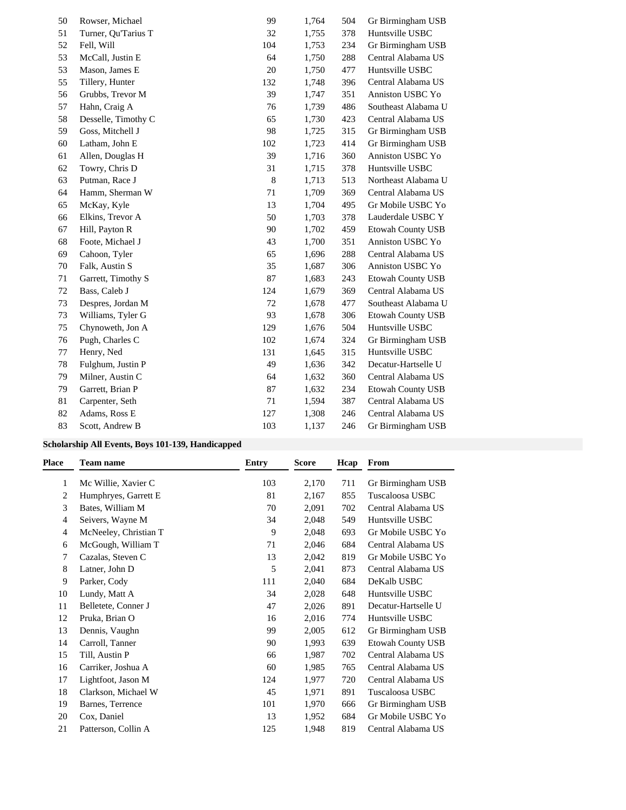| 50 | Rowser, Michael     | 99  | 1,764 | 504 | Gr Birmingham USB        |
|----|---------------------|-----|-------|-----|--------------------------|
| 51 | Turner, Qu'Tarius T | 32  | 1,755 | 378 | Huntsville USBC          |
| 52 | Fell, Will          | 104 | 1,753 | 234 | Gr Birmingham USB        |
| 53 | McCall, Justin E    | 64  | 1,750 | 288 | Central Alabama US       |
| 53 | Mason, James E      | 20  | 1,750 | 477 | Huntsville USBC          |
| 55 | Tillery, Hunter     | 132 | 1,748 | 396 | Central Alabama US       |
| 56 | Grubbs, Trevor M    | 39  | 1,747 | 351 | Anniston USBC Yo         |
| 57 | Hahn, Craig A       | 76  | 1,739 | 486 | Southeast Alabama U      |
| 58 | Desselle, Timothy C | 65  | 1,730 | 423 | Central Alabama US       |
| 59 | Goss, Mitchell J    | 98  | 1,725 | 315 | Gr Birmingham USB        |
| 60 | Latham, John E      | 102 | 1,723 | 414 | Gr Birmingham USB        |
| 61 | Allen, Douglas H    | 39  | 1,716 | 360 | Anniston USBC Yo         |
| 62 | Towry, Chris D      | 31  | 1,715 | 378 | Huntsville USBC          |
| 63 | Putman, Race J      | 8   | 1,713 | 513 | Northeast Alabama U      |
| 64 | Hamm, Sherman W     | 71  | 1,709 | 369 | Central Alabama US       |
| 65 | McKay, Kyle         | 13  | 1,704 | 495 | Gr Mobile USBC Yo        |
| 66 | Elkins, Trevor A    | 50  | 1,703 | 378 | Lauderdale USBC Y        |
| 67 | Hill, Payton R      | 90  | 1,702 | 459 | <b>Etowah County USB</b> |
| 68 | Foote, Michael J    | 43  | 1,700 | 351 | Anniston USBC Yo         |
| 69 | Cahoon, Tyler       | 65  | 1,696 | 288 | Central Alabama US       |
| 70 | Falk, Austin S      | 35  | 1,687 | 306 | Anniston USBC Yo         |
| 71 | Garrett, Timothy S  | 87  | 1,683 | 243 | <b>Etowah County USB</b> |
| 72 | Bass, Caleb J       | 124 | 1,679 | 369 | Central Alabama US       |
| 73 | Despres, Jordan M   | 72  | 1,678 | 477 | Southeast Alabama U      |
| 73 | Williams, Tyler G   | 93  | 1,678 | 306 | <b>Etowah County USB</b> |
| 75 | Chynoweth, Jon A    | 129 | 1,676 | 504 | Huntsville USBC          |
| 76 | Pugh, Charles C     | 102 | 1,674 | 324 | Gr Birmingham USB        |
| 77 | Henry, Ned          | 131 | 1,645 | 315 | Huntsville USBC          |
| 78 | Fulghum, Justin P   | 49  | 1,636 | 342 | Decatur-Hartselle U      |
| 79 | Milner, Austin C    | 64  | 1,632 | 360 | Central Alabama US       |
| 79 | Garrett, Brian P    | 87  | 1,632 | 234 | Etowah County USB        |
| 81 | Carpenter, Seth     | 71  | 1,594 | 387 | Central Alabama US       |
| 82 | Adams, Ross E       | 127 | 1,308 | 246 | Central Alabama US       |
| 83 | Scott, Andrew B     | 103 | 1,137 | 246 | Gr Birmingham USB        |

### **Scholarship All Events, Boys 101-139, Handicapped**

| Place | <b>Team name</b>      | <b>Entry</b> | Score | Hcap | From                     |
|-------|-----------------------|--------------|-------|------|--------------------------|
| 1     | Mc Willie, Xavier C   | 103          | 2,170 | 711  | Gr Birmingham USB        |
| 2     | Humphryes, Garrett E  | 81           | 2,167 | 855  | Tuscaloosa USBC          |
| 3     | Bates, William M      | 70           | 2,091 | 702  | Central Alabama US       |
| 4     | Seivers, Wayne M      | 34           | 2,048 | 549  | Huntsville USBC          |
| 4     | McNeeley, Christian T | 9            | 2,048 | 693  | Gr Mobile USBC Yo        |
| 6     | McGough, William T    | 71           | 2,046 | 684  | Central Alabama US       |
| 7     | Cazalas, Steven C     | 13           | 2,042 | 819  | Gr Mobile USBC Yo        |
| 8     | Latner, John D        | 5            | 2,041 | 873  | Central Alabama US       |
| 9     | Parker, Cody          | 111          | 2,040 | 684  | DeKalb USBC              |
| 10    | Lundy, Matt A         | 34           | 2,028 | 648  | Huntsville USBC          |
| 11    | Belletete, Conner J   | 47           | 2,026 | 891  | Decatur-Hartselle U      |
| 12    | Pruka, Brian O        | 16           | 2,016 | 774  | Huntsville USBC          |
| 13    | Dennis, Vaughn        | 99           | 2,005 | 612  | Gr Birmingham USB        |
| 14    | Carroll, Tanner       | 90           | 1,993 | 639  | <b>Etowah County USB</b> |
| 15    | Till, Austin P        | 66           | 1,987 | 702  | Central Alabama US       |
| 16    | Carriker, Joshua A    | 60           | 1,985 | 765  | Central Alabama US       |
| 17    | Lightfoot, Jason M    | 124          | 1,977 | 720  | Central Alabama US       |
| 18    | Clarkson, Michael W   | 45           | 1,971 | 891  | Tuscaloosa USBC          |
| 19    | Barnes, Terrence      | 101          | 1,970 | 666  | Gr Birmingham USB        |
| 20    | Cox, Daniel           | 13           | 1,952 | 684  | Gr Mobile USBC Yo        |
| 21    | Patterson, Collin A   | 125          | 1,948 | 819  | Central Alabama US       |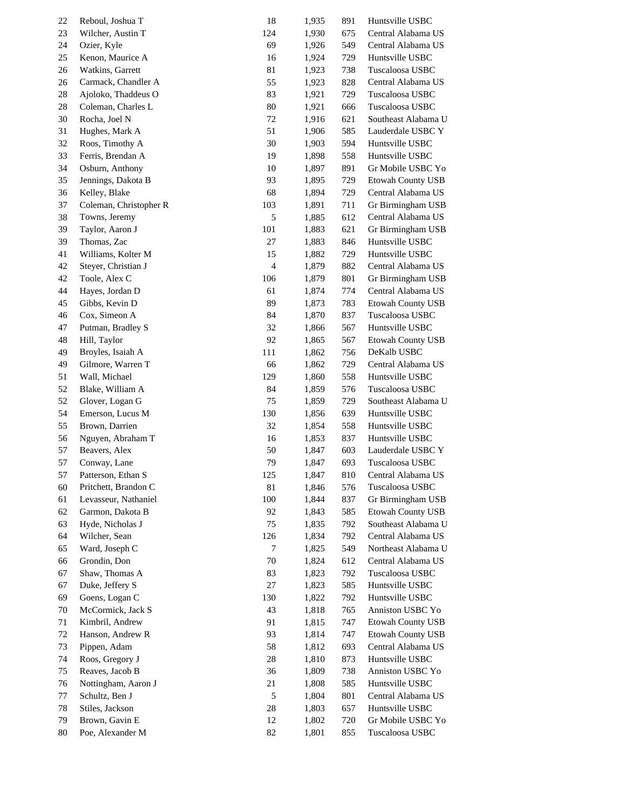| 22 | Reboul, Joshua T       | 18                       | 1,935 | 891 | Huntsville USBC          |
|----|------------------------|--------------------------|-------|-----|--------------------------|
| 23 | Wilcher, Austin T      | 124                      | 1,930 | 675 | Central Alabama US       |
| 24 | Ozier, Kyle            | 69                       | 1,926 | 549 | Central Alabama US       |
| 25 | Kenon, Maurice A       | 16                       | 1,924 | 729 | Huntsville USBC          |
| 26 | Watkins, Garrett       | $81\,$                   | 1,923 | 738 | Tuscaloosa USBC          |
| 26 | Carmack, Chandler A    | 55                       | 1,923 | 828 | Central Alabama US       |
| 28 | Ajoloko, Thaddeus O    | 83                       | 1,921 | 729 | Tuscaloosa USBC          |
| 28 | Coleman, Charles L     | 80                       | 1,921 | 666 | Tuscaloosa USBC          |
| 30 | Rocha, Joel N          | 72                       | 1,916 | 621 | Southeast Alabama U      |
| 31 | Hughes, Mark A         | 51                       | 1,906 | 585 | Lauderdale USBC Y        |
| 32 | Roos, Timothy A        | 30                       | 1,903 | 594 | Huntsville USBC          |
|    | Ferris, Brendan A      | 19                       |       |     | Huntsville USBC          |
| 33 | Osburn, Anthony        |                          | 1,898 | 558 |                          |
| 34 |                        | 10                       | 1,897 | 891 | Gr Mobile USBC Yo        |
| 35 | Jennings, Dakota B     | 93                       | 1,895 | 729 | <b>Etowah County USB</b> |
| 36 | Kelley, Blake          | 68                       | 1,894 | 729 | Central Alabama US       |
| 37 | Coleman, Christopher R | 103                      | 1,891 | 711 | Gr Birmingham USB        |
| 38 | Towns, Jeremy          | 5                        | 1,885 | 612 | Central Alabama US       |
| 39 | Taylor, Aaron J        | 101                      | 1,883 | 621 | Gr Birmingham USB        |
| 39 | Thomas, Zac            | 27                       | 1,883 | 846 | Huntsville USBC          |
| 41 | Williams, Kolter M     | 15                       | 1,882 | 729 | Huntsville USBC          |
| 42 | Steyer, Christian J    | $\overline{\mathcal{A}}$ | 1,879 | 882 | Central Alabama US       |
| 42 | Toole, Alex C          | 106                      | 1,879 | 801 | Gr Birmingham USB        |
| 44 | Hayes, Jordan D        | 61                       | 1,874 | 774 | Central Alabama US       |
| 45 | Gibbs, Kevin D         | 89                       | 1,873 | 783 | <b>Etowah County USB</b> |
| 46 | Cox, Simeon A          | 84                       | 1,870 | 837 | Tuscaloosa USBC          |
| 47 | Putman, Bradley S      | 32                       | 1,866 | 567 | Huntsville USBC          |
| 48 | Hill, Taylor           | 92                       | 1,865 | 567 | <b>Etowah County USB</b> |
| 49 | Broyles, Isaiah A      | 111                      | 1,862 | 756 | DeKalb USBC              |
| 49 | Gilmore, Warren T      | 66                       | 1,862 | 729 | Central Alabama US       |
| 51 | Wall, Michael          | 129                      | 1,860 | 558 | Huntsville USBC          |
| 52 | Blake, William A       | 84                       | 1,859 | 576 | Tuscaloosa USBC          |
| 52 | Glover, Logan G        | 75                       | 1,859 | 729 | Southeast Alabama U      |
| 54 | Emerson, Lucus M       | 130                      | 1,856 | 639 | Huntsville USBC          |
| 55 | Brown, Darrien         | 32                       | 1,854 | 558 | Huntsville USBC          |
| 56 | Nguyen, Abraham T      | 16                       | 1,853 | 837 | Huntsville USBC          |
| 57 | Beavers, Alex          | 50                       | 1,847 | 603 | Lauderdale USBC Y        |
| 57 | Conway, Lane           | 79                       | 1,847 | 693 | Tuscaloosa USBC          |
| 57 | Patterson, Ethan S     | 125                      | 1,847 | 810 | Central Alabama US       |
| 60 | Pritchett, Brandon C   | 81                       | 1,846 | 576 | Tuscaloosa USBC          |
| 61 | Levasseur, Nathaniel   | 100                      | 1,844 | 837 | Gr Birmingham USB        |
| 62 | Garmon, Dakota B       | 92                       | 1,843 | 585 | Etowah County USB        |
| 63 | Hyde, Nicholas J       | 75                       | 1,835 | 792 | Southeast Alabama U      |
| 64 | Wilcher, Sean          | 126                      | 1,834 | 792 | Central Alabama US       |
|    | Ward, Joseph C         | 7                        |       | 549 | Northeast Alabama U      |
| 65 | Grondin, Don           |                          | 1,825 |     | Central Alabama US       |
| 66 |                        | 70                       | 1,824 | 612 |                          |
| 67 | Shaw, Thomas A         | 83                       | 1,823 | 792 | Tuscaloosa USBC          |
| 67 | Duke, Jeffery S        | 27                       | 1,823 | 585 | Huntsville USBC          |
| 69 | Goens, Logan C         | 130                      | 1,822 | 792 | Huntsville USBC          |
| 70 | McCormick, Jack S      | 43                       | 1,818 | 765 | Anniston USBC Yo         |
| 71 | Kimbril, Andrew        | 91                       | 1,815 | 747 | <b>Etowah County USB</b> |
| 72 | Hanson, Andrew R       | 93                       | 1,814 | 747 | <b>Etowah County USB</b> |
| 73 | Pippen, Adam           | 58                       | 1,812 | 693 | Central Alabama US       |
| 74 | Roos, Gregory J        | 28                       | 1,810 | 873 | Huntsville USBC          |
| 75 | Reaves, Jacob B        | 36                       | 1,809 | 738 | Anniston USBC Yo         |
| 76 | Nottingham, Aaron J    | 21                       | 1,808 | 585 | Huntsville USBC          |
| 77 | Schultz, Ben J         | 5                        | 1,804 | 801 | Central Alabama US       |
| 78 | Stiles, Jackson        | 28                       | 1,803 | 657 | Huntsville USBC          |
| 79 | Brown, Gavin E         | 12                       | 1,802 | 720 | Gr Mobile USBC Yo        |
| 80 | Poe, Alexander M       | 82                       | 1,801 | 855 | Tuscaloosa USBC          |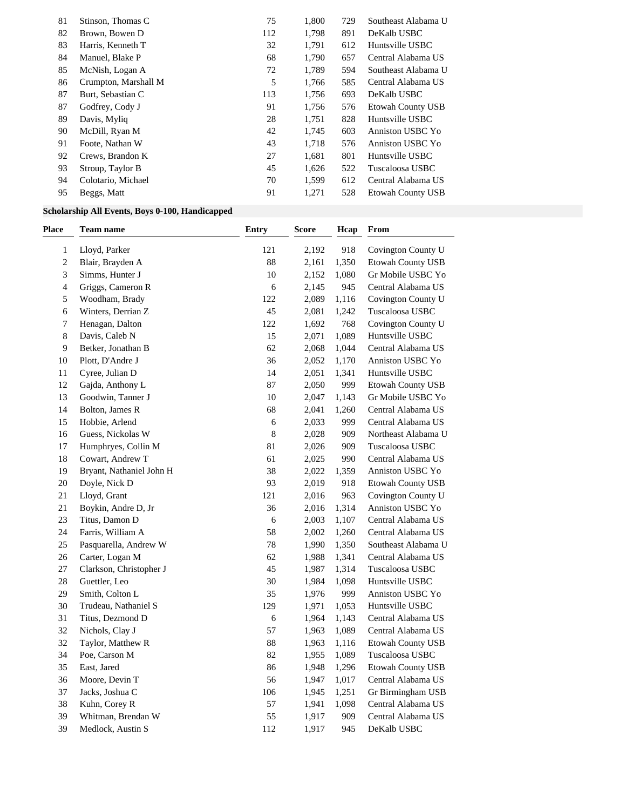| 81 | Stinson, Thomas C    | 75  | 1,800 | 729 | Southeast Alabama U      |
|----|----------------------|-----|-------|-----|--------------------------|
| 82 | Brown, Bowen D       | 112 | 1,798 | 891 | DeKalb USBC              |
| 83 | Harris, Kenneth T    | 32  | 1.791 | 612 | Huntsville USBC          |
| 84 | Manuel, Blake P      | 68  | 1,790 | 657 | Central Alabama US       |
| 85 | McNish, Logan A      | 72  | 1.789 | 594 | Southeast Alabama U      |
| 86 | Crumpton, Marshall M | 5   | 1,766 | 585 | Central Alabama US       |
| 87 | Burt, Sebastian C    | 113 | 1.756 | 693 | DeKalb USBC              |
| 87 | Godfrey, Cody J      | 91  | 1,756 | 576 | <b>Etowah County USB</b> |
| 89 | Davis, Myliq         | 28  | 1,751 | 828 | Huntsville USBC          |
| 90 | McDill, Ryan M       | 42  | 1,745 | 603 | Anniston USBC Yo         |
| 91 | Foote, Nathan W      | 43  | 1.718 | 576 | Anniston USBC Yo         |
| 92 | Crews, Brandon K     | 27  | 1,681 | 801 | Huntsville USBC          |
| 93 | Stroup, Taylor B     | 45  | 1.626 | 522 | Tuscaloosa USBC          |
| 94 | Colotario, Michael   | 70  | 1,599 | 612 | Central Alabama US       |
| 95 | Beggs, Matt          | 91  | 1,271 | 528 | <b>Etowah County USB</b> |

## **Scholarship All Events, Boys 0-100, Handicapped**

| Place          | <b>Team name</b>         | Entry       | <b>Score</b> | Hcap  | From                     |
|----------------|--------------------------|-------------|--------------|-------|--------------------------|
| 1              | Lloyd, Parker            | 121         | 2,192        | 918   | Covington County U       |
| $\overline{c}$ | Blair, Brayden A         | 88          | 2,161        | 1,350 | Etowah County USB        |
| 3              | Simms, Hunter J          | 10          | 2,152        | 1,080 | Gr Mobile USBC Yo        |
| 4              | Griggs, Cameron R        | 6           | 2,145        | 945   | Central Alabama US       |
| 5              | Woodham, Brady           | 122         | 2,089        | 1,116 | Covington County U       |
| 6              | Winters, Derrian Z       | 45          | 2,081        | 1,242 | Tuscaloosa USBC          |
| 7              | Henagan, Dalton          | 122         | 1,692        | 768   | Covington County U       |
| 8              | Davis, Caleb N           | 15          | 2,071        | 1,089 | Huntsville USBC          |
| 9              | Betker, Jonathan B       | 62          | 2,068        | 1,044 | Central Alabama US       |
| 10             | Plott, D'Andre J         | 36          | 2,052        | 1,170 | Anniston USBC Yo         |
| 11             | Cyree, Julian D          | 14          | 2,051        | 1,341 | Huntsville USBC          |
| 12             | Gajda, Anthony L         | 87          | 2,050        | 999   | <b>Etowah County USB</b> |
| 13             | Goodwin, Tanner J        | 10          | 2,047        | 1,143 | Gr Mobile USBC Yo        |
| 14             | Bolton, James R          | 68          | 2,041        | 1,260 | Central Alabama US       |
| 15             | Hobbie, Arlend           | $\epsilon$  | 2,033        | 999   | Central Alabama US       |
| 16             | Guess, Nickolas W        | $\,$ 8 $\,$ | 2,028        | 909   | Northeast Alabama U      |
| 17             | Humphryes, Collin M      | $81\,$      | 2,026        | 909   | Tuscaloosa USBC          |
| 18             | Cowart, Andrew T         | 61          | 2,025        | 990   | Central Alabama US       |
| 19             | Bryant, Nathaniel John H | 38          | 2,022        | 1,359 | Anniston USBC Yo         |
| 20             | Doyle, Nick D            | 93          | 2,019        | 918   | Etowah County USB        |
| $21\,$         | Lloyd, Grant             | 121         | 2,016        | 963   | Covington County U       |
| 21             | Boykin, Andre D, Jr      | 36          | 2,016        | 1,314 | Anniston USBC Yo         |
| 23             | Titus, Damon D           | 6           | 2,003        | 1,107 | Central Alabama US       |
| 24             | Farris, William A        | 58          | 2,002        | 1,260 | Central Alabama US       |
| 25             | Pasquarella, Andrew W    | 78          | 1,990        | 1,350 | Southeast Alabama U      |
| 26             | Carter, Logan M          | 62          | 1,988        | 1,341 | Central Alabama US       |
| $27\,$         | Clarkson, Christopher J  | 45          | 1,987        | 1,314 | Tuscaloosa USBC          |
| 28             | Guettler, Leo            | 30          | 1,984        | 1,098 | Huntsville USBC          |
| 29             | Smith, Colton L          | 35          | 1,976        | 999   | Anniston USBC Yo         |
| 30             | Trudeau, Nathaniel S     | 129         | 1,971        | 1,053 | Huntsville USBC          |
| 31             | Titus, Dezmond D         | 6           | 1,964        | 1,143 | Central Alabama US       |
| 32             | Nichols, Clay J          | 57          | 1,963        | 1,089 | Central Alabama US       |
| 32             | Taylor, Matthew R        | 88          | 1,963        | 1,116 | Etowah County USB        |
| 34             | Poe, Carson M            | 82          | 1,955        | 1,089 | Tuscaloosa USBC          |
| 35             | East, Jared              | 86          | 1,948        | 1,296 | Etowah County USB        |
| 36             | Moore, Devin T           | 56          | 1,947        | 1,017 | Central Alabama US       |
| 37             | Jacks, Joshua C          | 106         | 1,945        | 1,251 | Gr Birmingham USB        |
| 38             | Kuhn, Corey R            | 57          | 1,941        | 1,098 | Central Alabama US       |
| 39             | Whitman, Brendan W       | 55          | 1,917        | 909   | Central Alabama US       |
| 39             | Medlock, Austin S        | 112         | 1,917        | 945   | DeKalb USBC              |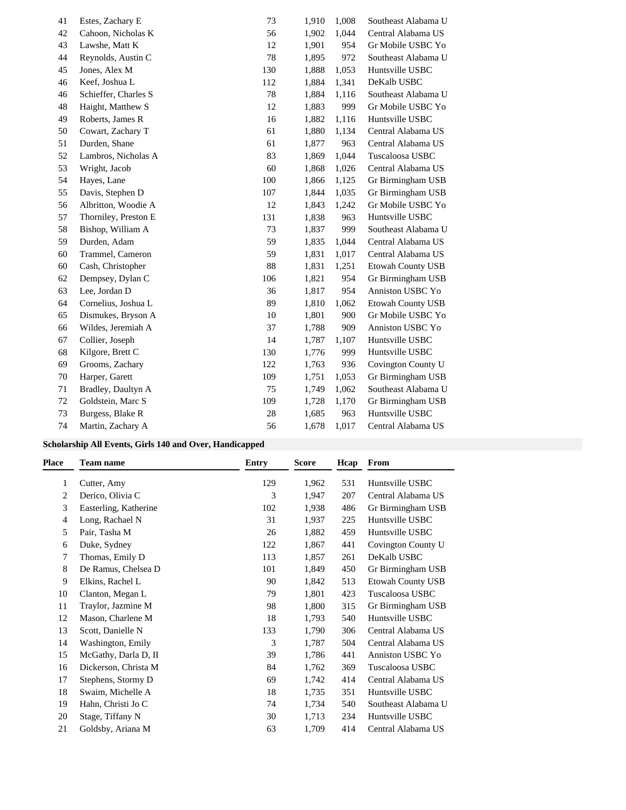| 41 | Estes, Zachary E     | 73  | 1,910 | 1,008 | Southeast Alabama U      |
|----|----------------------|-----|-------|-------|--------------------------|
| 42 | Cahoon, Nicholas K   | 56  | 1,902 | 1,044 | Central Alabama US       |
| 43 | Lawshe, Matt K       | 12  | 1,901 | 954   | Gr Mobile USBC Yo        |
| 44 | Reynolds, Austin C   | 78  | 1,895 | 972   | Southeast Alabama U      |
| 45 | Jones, Alex M        | 130 | 1,888 | 1,053 | Huntsville USBC          |
| 46 | Keef, Joshua L       | 112 | 1,884 | 1,341 | DeKalb USBC              |
| 46 | Schieffer, Charles S | 78  | 1,884 | 1,116 | Southeast Alabama U      |
| 48 | Haight, Matthew S    | 12  | 1,883 | 999   | Gr Mobile USBC Yo        |
| 49 | Roberts, James R     | 16  | 1,882 | 1,116 | Huntsville USBC          |
| 50 | Cowart, Zachary T    | 61  | 1,880 | 1,134 | Central Alabama US       |
| 51 | Durden, Shane        | 61  | 1,877 | 963   | Central Alabama US       |
| 52 | Lambros, Nicholas A  | 83  | 1,869 | 1,044 | Tuscaloosa USBC          |
| 53 | Wright, Jacob        | 60  | 1,868 | 1,026 | Central Alabama US       |
| 54 | Hayes, Lane          | 100 | 1,866 | 1,125 | Gr Birmingham USB        |
| 55 | Davis, Stephen D     | 107 | 1,844 | 1,035 | Gr Birmingham USB        |
| 56 | Albritton, Woodie A  | 12  | 1,843 | 1,242 | Gr Mobile USBC Yo        |
| 57 | Thorniley, Preston E | 131 | 1,838 | 963   | Huntsville USBC          |
| 58 | Bishop, William A    | 73  | 1,837 | 999   | Southeast Alabama U      |
| 59 | Durden, Adam         | 59  | 1,835 | 1,044 | Central Alabama US       |
| 60 | Trammel, Cameron     | 59  | 1,831 | 1,017 | Central Alabama US       |
| 60 | Cash, Christopher    | 88  | 1,831 | 1,251 | <b>Etowah County USB</b> |
| 62 | Dempsey, Dylan C     | 106 | 1,821 | 954   | Gr Birmingham USB        |
| 63 | Lee, Jordan D        | 36  | 1,817 | 954   | Anniston USBC Yo         |
| 64 | Cornelius, Joshua L  | 89  | 1,810 | 1,062 | <b>Etowah County USB</b> |
| 65 | Dismukes, Bryson A   | 10  | 1,801 | 900   | Gr Mobile USBC Yo        |
| 66 | Wildes, Jeremiah A   | 37  | 1,788 | 909   | Anniston USBC Yo         |
| 67 | Collier, Joseph      | 14  | 1,787 | 1,107 | Huntsville USBC          |
| 68 | Kilgore, Brett C     | 130 | 1,776 | 999   | Huntsville USBC          |
| 69 | Grooms, Zachary      | 122 | 1,763 | 936   | Covington County U       |
| 70 | Harper, Garett       | 109 | 1,751 | 1,053 | Gr Birmingham USB        |
| 71 | Bradley, Daultyn A   | 75  | 1,749 | 1,062 | Southeast Alabama U      |
| 72 | Goldstein, Marc S    | 109 | 1,728 | 1,170 | Gr Birmingham USB        |
| 73 | Burgess, Blake R     | 28  | 1,685 | 963   | Huntsville USBC          |
| 74 | Martin, Zachary A    | 56  | 1,678 | 1,017 | Central Alabama US       |

### **Scholarship All Events, Girls 140 and Over, Handicapped**

| Place | Team name             | <b>Entry</b> | <b>Score</b> | Hcap | From                     |
|-------|-----------------------|--------------|--------------|------|--------------------------|
| 1     | Cutter, Amy           | 129          | 1,962        | 531  | Huntsville USBC          |
| 2     | Derico, Olivia C      | 3            | 1,947        | 207  | Central Alabama US       |
| 3     | Easterling, Katherine | 102          | 1,938        | 486  | Gr Birmingham USB        |
| 4     | Long, Rachael N       | 31           | 1,937        | 225  | Huntsville USBC          |
| 5     | Pair, Tasha M         | 26           | 1,882        | 459  | Huntsville USBC          |
| 6     | Duke, Sydney          | 122          | 1,867        | 441  | Covington County U       |
| 7     | Thomas, Emily D       | 113          | 1,857        | 261  | DeKalb USBC              |
| 8     | De Ramus, Chelsea D   | 101          | 1,849        | 450  | Gr Birmingham USB        |
| 9     | Elkins, Rachel L      | 90           | 1,842        | 513  | <b>Etowah County USB</b> |
| 10    | Clanton, Megan L      | 79           | 1,801        | 423  | Tuscaloosa USBC          |
| 11    | Traylor, Jazmine M    | 98           | 1,800        | 315  | Gr Birmingham USB        |
| 12    | Mason, Charlene M     | 18           | 1,793        | 540  | Huntsville USBC          |
| 13    | Scott, Danielle N     | 133          | 1,790        | 306  | Central Alabama US       |
| 14    | Washington, Emily     | 3            | 1,787        | 504  | Central Alabama US       |
| 15    | McGathy, Darla D, II  | 39           | 1,786        | 441  | Anniston USBC Yo         |
| 16    | Dickerson, Christa M  | 84           | 1,762        | 369  | Tuscaloosa USBC          |
| 17    | Stephens, Stormy D    | 69           | 1,742        | 414  | Central Alabama US       |
| 18    | Swaim, Michelle A     | 18           | 1,735        | 351  | Huntsville USBC          |
| 19    | Hahn, Christi Jo C    | 74           | 1,734        | 540  | Southeast Alabama U      |
| 20    | Stage, Tiffany N      | 30           | 1,713        | 234  | Huntsville USBC          |
| 21    | Goldsby, Ariana M     | 63           | 1,709        | 414  | Central Alabama US       |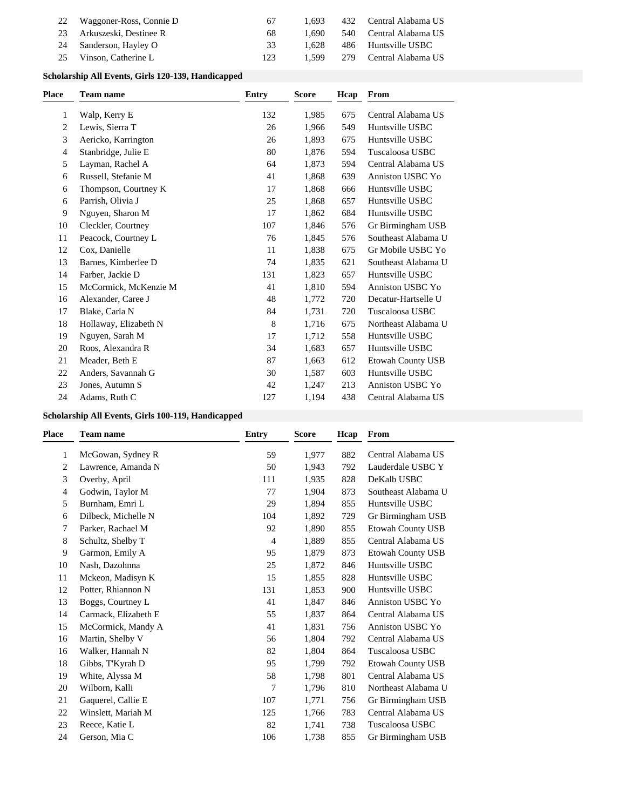| 22 | Waggoner-Ross, Connie D   | 67  | 1.693 |     | 432 Central Alabama US |
|----|---------------------------|-----|-------|-----|------------------------|
|    | 23 Arkuszeski, Destinee R | 68  | 1.690 |     | 540 Central Alabama US |
|    | 24 Sanderson, Hayley O    | 33  | 1.628 | 486 | Huntsville USBC        |
| 25 | Vinson, Catherine L       | 123 | 1.599 |     | 279 Central Alabama US |

### **Scholarship All Events, Girls 120-139, Handicapped**

| Place | <b>Team name</b>      | <b>Entry</b> | <b>Score</b> | Hcap | From                     |
|-------|-----------------------|--------------|--------------|------|--------------------------|
| 1     | Walp, Kerry E         | 132          | 1,985        | 675  | Central Alabama US       |
| 2     | Lewis, Sierra T       | 26           | 1,966        | 549  | Huntsville USBC          |
| 3     | Aericko, Karrington   | 26           | 1,893        | 675  | Huntsville USBC          |
| 4     | Stanbridge, Julie E   | 80           | 1,876        | 594  | Tuscaloosa USBC          |
| 5     | Layman, Rachel A      | 64           | 1,873        | 594  | Central Alabama US       |
| 6     | Russell, Stefanie M   | 41           | 1,868        | 639  | Anniston USBC Yo         |
| 6     | Thompson, Courtney K  | 17           | 1.868        | 666  | Huntsville USBC          |
| 6     | Parrish, Olivia J     | 25           | 1,868        | 657  | Huntsville USBC          |
| 9     | Nguyen, Sharon M      | 17           | 1.862        | 684  | Huntsville USBC          |
| 10    | Cleckler, Courtney    | 107          | 1,846        | 576  | Gr Birmingham USB        |
| 11    | Peacock, Courtney L   | 76           | 1,845        | 576  | Southeast Alabama U      |
| 12    | Cox, Danielle         | 11           | 1,838        | 675  | Gr Mobile USBC Yo        |
| 13    | Barnes, Kimberlee D   | 74           | 1,835        | 621  | Southeast Alabama U      |
| 14    | Farber, Jackie D      | 131          | 1,823        | 657  | Huntsville USBC          |
| 15    | McCormick, McKenzie M | 41           | 1,810        | 594  | Anniston USBC Yo         |
| 16    | Alexander, Caree J    | 48           | 1,772        | 720  | Decatur-Hartselle U      |
| 17    | Blake, Carla N        | 84           | 1,731        | 720  | Tuscaloosa USBC          |
| 18    | Hollaway, Elizabeth N | $\,8\,$      | 1,716        | 675  | Northeast Alabama U      |
| 19    | Nguyen, Sarah M       | 17           | 1,712        | 558  | Huntsville USBC          |
| 20    | Roos, Alexandra R     | 34           | 1,683        | 657  | Huntsville USBC          |
| 21    | Meader, Beth E        | 87           | 1,663        | 612  | <b>Etowah County USB</b> |
| 22    | Anders, Savannah G    | 30           | 1,587        | 603  | Huntsville USBC          |
| 23    | Jones, Autumn S       | 42           | 1,247        | 213  | Anniston USBC Yo         |
| 24    | Adams, Ruth C         | 127          | 1,194        | 438  | Central Alabama US       |

### **Scholarship All Events, Girls 100-119, Handicapped**

| Place | <b>Team name</b>     | <b>Entry</b> | <b>Score</b> | Hcap | From                     |
|-------|----------------------|--------------|--------------|------|--------------------------|
| 1     | McGowan, Sydney R    | 59           | 1,977        | 882  | Central Alabama US       |
| 2     | Lawrence, Amanda N   | 50           | 1,943        | 792  | Lauderdale USBC Y        |
| 3     | Overby, April        | 111          | 1,935        | 828  | DeKalb USBC              |
| 4     | Godwin, Taylor M     | 77           | 1,904        | 873  | Southeast Alabama U      |
| 5     | Burnham, Emri L      | 29           | 1,894        | 855  | Huntsville USBC          |
| 6     | Dilbeck, Michelle N  | 104          | 1,892        | 729  | Gr Birmingham USB        |
| 7     | Parker, Rachael M    | 92           | 1,890        | 855  | Etowah County USB        |
| 8     | Schultz, Shelby T    | 4            | 1,889        | 855  | Central Alabama US       |
| 9     | Garmon, Emily A      | 95           | 1,879        | 873  | <b>Etowah County USB</b> |
| 10    | Nash, Dazohnna       | 25           | 1,872        | 846  | Huntsville USBC          |
| 11    | Mckeon, Madisyn K    | 15           | 1,855        | 828  | Huntsville USBC          |
| 12    | Potter, Rhiannon N   | 131          | 1,853        | 900  | Huntsville USBC          |
| 13    | Boggs, Courtney L    | 41           | 1,847        | 846  | Anniston USBC Yo         |
| 14    | Carmack, Elizabeth E | 55           | 1,837        | 864  | Central Alabama US       |
| 15    | McCormick, Mandy A   | 41           | 1,831        | 756  | Anniston USBC Yo         |
| 16    | Martin, Shelby V     | 56           | 1,804        | 792  | Central Alabama US       |
| 16    | Walker, Hannah N     | 82           | 1,804        | 864  | Tuscaloosa USBC          |
| 18    | Gibbs, T'Kyrah D     | 95           | 1,799        | 792  | <b>Etowah County USB</b> |
| 19    | White, Alyssa M      | 58           | 1,798        | 801  | Central Alabama US       |
| 20    | Wilborn, Kalli       | 7            | 1,796        | 810  | Northeast Alabama U      |
| 21    | Gaquerel, Callie E   | 107          | 1,771        | 756  | Gr Birmingham USB        |
| 22    | Winslett, Mariah M   | 125          | 1,766        | 783  | Central Alabama US       |
| 23    | Reece, Katie L       | 82           | 1,741        | 738  | Tuscaloosa USBC          |
| 24    | Gerson, Mia C        | 106          | 1,738        | 855  | Gr Birmingham USB        |